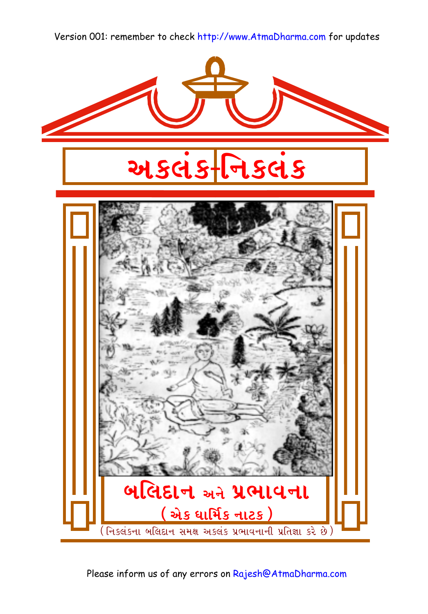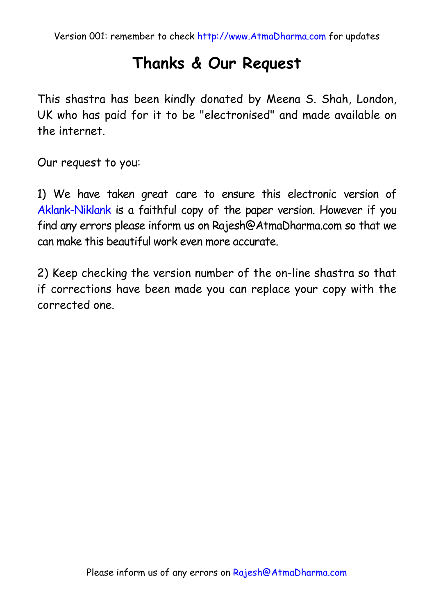### **Thanks & Our Request**

This shastra has been kindly donated by Meena S. Shah, London, UK who has paid for it to be "electronised" and made available on the internet.

Our request to you:

1) We have taken great care to ensure this electronic version of Aklank-Niklank is a faithful copy of the paper version. However if you find any errors please inform us on Rajesh@AtmaDharma.com so that we can make this beautiful work even more accurate.

2) Keep checking the version number of the on-line shastra so that if corrections have been made you can replace your copy with the corrected one.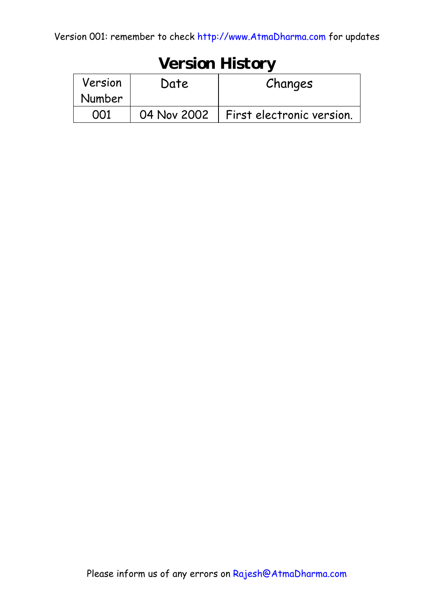| <b>Version History</b> |             |                           |  |  |  |  |
|------------------------|-------------|---------------------------|--|--|--|--|
| Version                | Date        | Changes                   |  |  |  |  |
| Number                 |             |                           |  |  |  |  |
|                        | 04 Nov 2002 | First electronic version. |  |  |  |  |

## **Version History**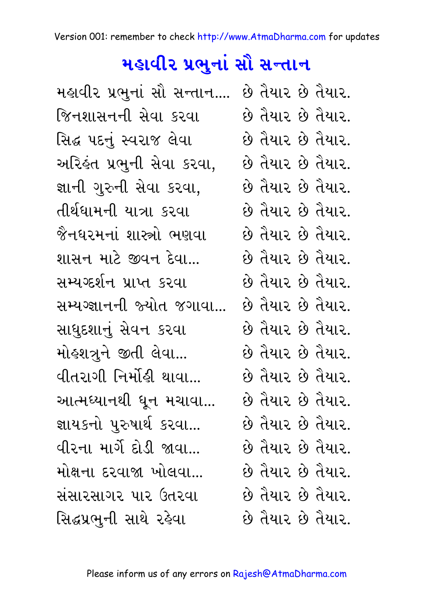# મ<mark>હાવીર પ્રભુનાં સૌ સન્તાન</mark>

| મહાવીર પ્રભુનાં સૌ સન્તાન             |  | છે તૈયાર છે તૈયાર. |
|---------------------------------------|--|--------------------|
| જિનશાસનની સેવા કરવા                   |  | છે તૈયાર છે તૈયાર. |
| સિદ્ધ પદનું સ્વરાજ લેવા               |  | છે તૈયાર છે તૈયાર. |
| અરિકંત પ્રભુની સેવા કરવા,             |  | છે તૈયાર છે તૈયાર. |
| જ્ઞાની ગુરુની સેવા કરવા,              |  | છે તૈયાર છે તૈયાર. |
| તીર્થધામની યાત્રા કરવા                |  | છે તૈયાર છે તૈયાર. |
| જૈનધરમનાં શાસ્ત્રો ભણવા               |  | છે તૈયાર છે તૈયાર. |
| શાસન માટે જીવન દેવા                   |  | છે તૈયાર છે તૈયાર. |
| સમ્યગ્દર્શન પ્રાપ્ત કરવા              |  | છે તૈયાર છે તૈયાર. |
| સમ્યગ્જ્ઞાનની જ્યોત જગાવા             |  | છે તૈયાર છે તૈયાર. |
| સાધુદશાનું સેવન કરવા                  |  | છે તૈયાર છે તૈયાર. |
| મોહશત્રુને જીતી લેવા                  |  | છે તૈયાર છે તૈયાર. |
| વીતરાગી નિર્મોહી થાવા                 |  | છે તૈયાર છે તૈયાર. |
| આત્મધ્યાનથી ધૂન મચાવા                 |  | છે તૈયાર છે તૈયાર. |
| જ્ઞાયકનો પુરુષાર્થ કરવા               |  | છે તૈયાર છે તૈયાર. |
| વીરના માર્ગે દોડી જાવા                |  | છે તૈયાર છે તૈયાર. |
| મોક્ષના દરવાજા ખોલવા                  |  | છે તૈયાર છે તૈયાર. |
| સંસારસાગર પાર ઉતરવા                   |  | છે તૈયાર છે તૈયાર. |
| સિદ્ધપ્રભુની સાથે <mark>ર</mark> હેવા |  | છે તૈયાર છે તૈયાર. |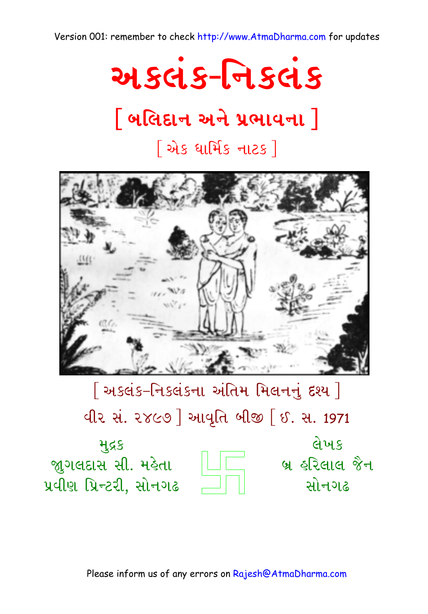

# <u>|</u> બલિદાન અને પ્રભાવના |

## <u>શિક ધાર્મિક નાટક]</u>



[અકલંક-નિકલંકના અંતિમ મિલનનું દશ્ય]

વીર સં. ૨૪૯૭ ] આવૃતિ બીજી [ ઈ. સ. 1971

લેખક બ્ર હરિલાલ જૈન સોનગઢ



મુદ્રક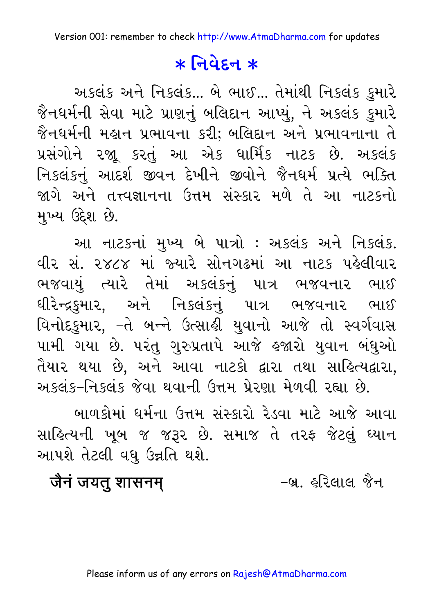## $*$  <u>जिये</u> हन  $*$

અકલંક અને નિકલંક... બે ભાઈ... તેમાંથી નિકલંક કુમારે જૈનધર્મની સેવા માટે પ્રાણનું બલિદાન આપ્યું, ને અકલંક કુમારે જૈનધર્મની મહાન પ્રભાવના કરી; બલિદાન અને પ્રભાવનાના તે પ્રસંગોને રજાૂ કરતું આ એક ધાર્મિક નાટક છે. અકલંક નિકલંકનું આદર્શ જીવન દેખીને જીવોને જૈનધર્મ પ્રત્યે ભક્તિ જાગે અને તત્ત્વજ્ઞાનના ઉત્તમ સંસ્કાર મળે તે આ નાટકનો મુખ્ય ઉદેશ છે.

આ નાટકનાં મુખ્ય બે પાત્રો : અકલંક અને નિકલંક. વીર સં. ૨૪૮૪ માં જ્યારે સોનગઢમાં આ નાટક પહેલીવાર ભજવાયું ત્યારે તેમાં અકલંકનું પાત્ર ભજવનાર ભાઈ ધીરેન્દ્રકુમાર, અને નિકલંકનું પાત્ર ભજવનાર ભાઈ વિનોદકુમાર, –તે બન્ને ઉત્સાહી યુવાનો આજે તો સ્વર્ગવાસ પામી ગયા છે. પરંતુ ગુરુપ્રતાપે આજે હજારો યુવાન બંધુઓ તૈયાર થયા છે, અને આવા નાટકો દ્વારા તથા સાહિત્યદ્વારા, અકલંક-નિકલંક જેવા થવાની ઉત્તમ પ્રેરણા મેળવી રહ્યા છે.

બાળકોમાં ધર્મના ઉત્તમ સંસ્કારો રેડવા માટે આજે આવા સાહિત્યની ખૂબ જ જરૂર છે. સમાજ તે તરફ જેટલું ધ્યાન આપશે તેટલી વધુ ઉન્નતિ થશે.

**jEnH jytu xasnmŸ** ‐b/. hirlal jEn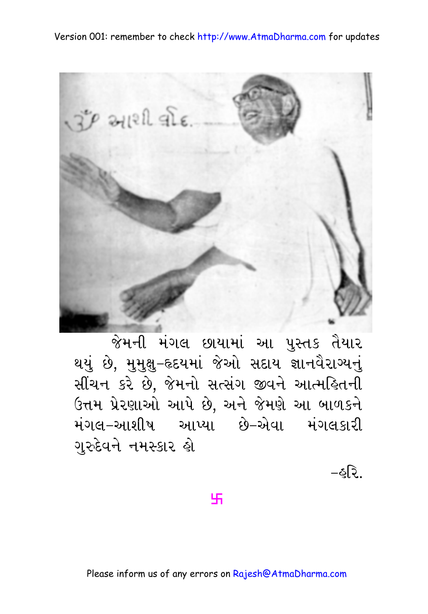

જેમની મંગલ છાયામાં આ પુસ્તક તૈયાર થયું છે, મુમુક્ષુ–હૃદયમાં જેઓ સદાય જ્ઞાનવૈરાગ્યનું સીંચન કરે છે, જેમનો સત્સંગ જીવને આત્મહિતની ઉત્તમ પ્રેરણાઓ આપે છે, અને જેમણે આ બાળકને મંગલ–આશીષ આપ્યા છે–એવા મંગલકારી ગુરુદેવને નમસ્કાર હો

-ઠત્રિ

卐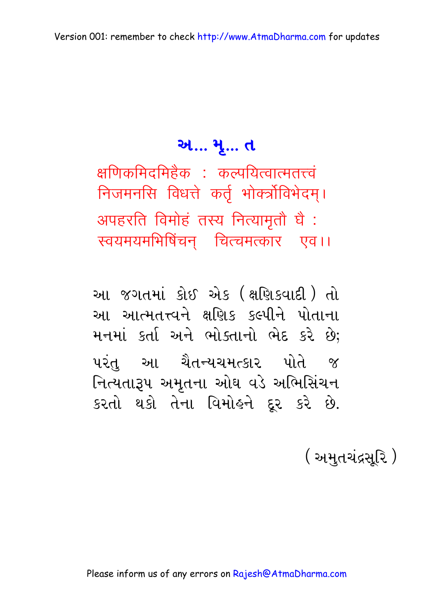### અ... મૃ... ત

क्षणिकमिदमिहेक : कल्पयित्वात्मतत्त्वं निजमनसि विधत्ते कर्तृ भोक्त्रोविभेदम्। अपहरति विमोहं तस्य नित्यामृतौ घै: स्वयमयमभिषिंचन चित्चमत्कार एव।।

આ જગતમાં કોઈ એક (ક્ષણિકવાદી) તો આ આત્મતત્ત્વને ક્ષણિક કલ્પીને પોતાના મનમાં કર્તા અને ભોક્તાનો ભેદ કરે છે: પરંત આ ચૈતન્યચમત્કાર પોતે જ નિત્યતારૂપ અમૃતના ઓઘ વડે અભિસિંચન કરતો થકો તેના વિમોહને દૂર કરે છે.

( અમતચંદ્રસરિ )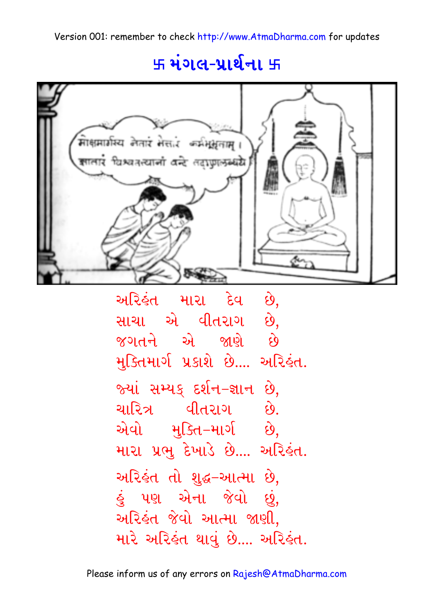## ५ मंगल-प्रार्थना ५

![](_page_8_Figure_2.jpeg)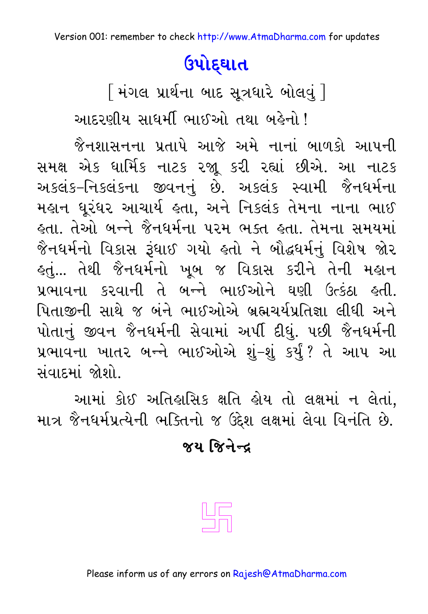# ઉપોદ્ઘાત

[ મંગલ પ્રાર્થના બાદ સૂત્રધારે બોલવું ] આદરણીય સાધર્મી ભાઈઓ તથા બહેનો !

જૈનશાસનના પ્રતાપે આજે અમે નાનાં બાળકો આપની સમક્ષ એક ધાર્મિક નાટક રજૂ કરી રહ્યાં છીએ. આ નાટક અકલંક-નિકલંકના જીવનનું છે. અકલંક સ્વામી જૈનધર્મના મહાન ધૂરંધર આચાર્ય હતા, અને નિકલંક તેમના નાના ભાઈ હતા. તેઓ બન્ને જૈનધર્મના પરમ ભક્ત હતા. તેમના સમયમાં જૈનઘર્મનો વિકાસ રૂંઘાઈ ગયો હતો ને બૌદ્ધર્મનું વિશેષ જોર <u> હતું...</u> તેથી જૈનધર્મનો ખૂબ જ વિકાસ કરીને તેની મહાન પ્રભાવના કરવાની તે બન્ને ભાઈઓને ઘણી ઉત્કંઠા હતી. પિતાજીની સાથે જ બંને ભાઈઓએ બ્રહ્મચર્યપ્રતિજ્ઞા લીધી અને પોતાનું જીવન જૈનધર્મની સેવામાં અર્પી દીધું. પછી જૈનધર્મની પ્રભાવના ખાતર બન્ને ભાઈઓએ શું-શું કર્યું? તે આપ આ સંવાદમાં જોશો.

આમાં કોઈ અતિહાસિક ક્ષતિ હોય તો લક્ષમાં ન લેતાં, માત્ર જૈનઘર્મપ્રત્યેની ભક્તિનો જ ઉદ્દેશ લક્ષમાં લેવા વિનંતિ છે.

### <u> જય જિનેન્દ</u>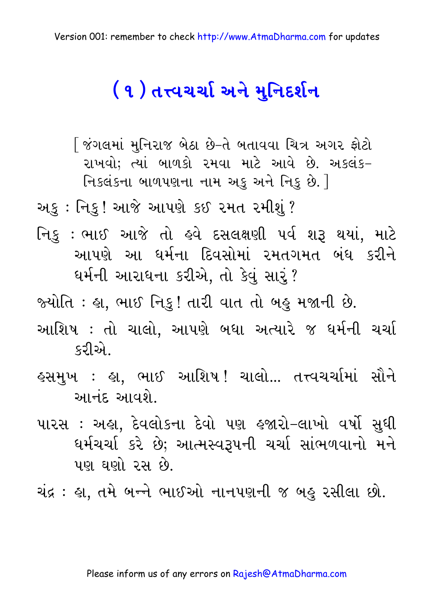# ( ૧ ) તત્ત્વચર્ચા અને મુનિદર્શન

∫ જંગલમાં મુનિરાજ બેઠા છે−તે બતાવવા ચિત્ર અગર ફોટો રાખવો; ત્યાં બાળકો રમવા માટે આવે છે. અકલંક-નિકલંકના બાળપણના નામ અકુ અને નિકુ છે. |

અફ : નિકુ ! આજે આપણે કઈ ૨મત ૨મીશું ?

નિકુ : ભાઈ આજે તો હવે દસલક્ષણી પર્વ શરૂ થયાં, માટે આપણે આ ધર્મના દિવસોમાં રમતગમત બંધ કરીને ધર્મની આરાધના કરીએ, તો કેવું સારૃં?

જ્યોતિ : હ્રા. ભાઈ નિક્! તારી વાત તો બહુ મજાની છે.

- આશિષ : તો ચાલો, આપણે બધા અત્યારે જ ધર્મની ચર્ચા မသျှေ
- હસમુખ : હા, ભાઈ આશિષ! ચાલો... તત્ત્વચર્ચામાં સૌને આનંદ આવશે.
- પારસ : અહ્રા, દેવલોકના દેવો પણ હજારો–લાખો વર્ષો સુધી ઘર્મચર્ચા કરે છે; આત્મસ્વરૂપની ચર્ચા સાંભળવાનો મને પણ ઘણો રસ છે.

ચંદ્ર : હા, તમે બન્ને ભાઈઓ નાનપણની જ બહુ રસીલા છો.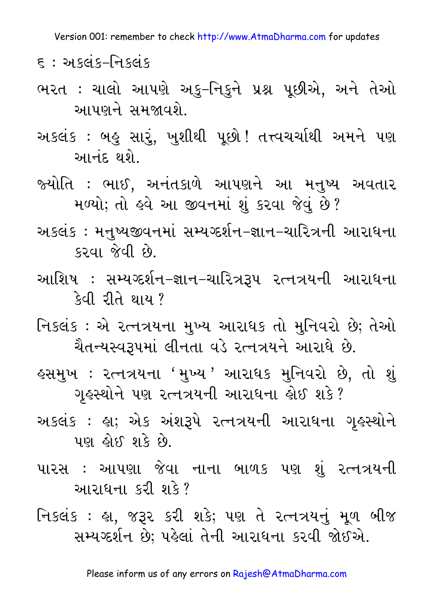૬ : અકલંક–નિકલંક

- ભરત : ચાલો આપણે અકુ–નિકુને પ્રશ્ન પૂછીએ, અને તેઓ આપણને સમજાવશે.
- અકલંક : બહુ સારું, ખુશીથી પૂછો ! તત્ત્વચર્ચાથી અમને પણ આનંદ થશે.
- જ્યોતિ : ભાઈ, અનંતકાળે આપણને આ મનુષ્ય અવતાર મળ્યો; તો હવે આ જીવનમાં શું કરવા જેવું છે?
- અકલંક : મનષ્યજીવનમાં સમ્યગ્દર્શન–જ્ઞાન–ચારિત્રની આરાધના  $$34$   $$4$   $$5$
- આશિષ : સમ્યગ્દર્શન–જ્ઞાન–ચારિત્રરૂપ રત્નત્રયની આરાધના કેવી રીતે થાય ?
- નિકલંક : એ રત્નત્રયના મુખ્ય આરાધક તો મુનિવરો છે; તેઓ ચૈતન્યસ્વરૂપમાં લીનતા વડે રત્નત્રયને આરાધે છે.
- હસમુખ : રત્નત્રયના 'મુખ્ય ' આરાધક મુનિવરો છે, તો શું ગૃહસ્થોને પણ રત્નત્રયની આરાધના હોઈ શકે?
- અકલંક : હા; એક અંશરૂપે રત્નત્રયની આરાધના ગૃહસ્થોને પણ ફોઈ શકે છે.
- પારસ : આપણા જેવા નાના બાળક પણ શું રત્નત્રયની આરાધના કરી શકે?
- નિકલંક : હા, જરૂર કરી શકે; પણ તે રત્નત્રયનું મૂળ બીજ સમ્યગ્દર્શન છે; પહેલાં તેની આરાધના કરવી જોઈએ.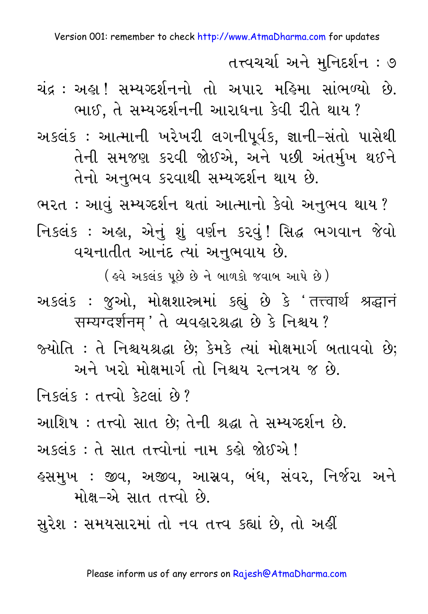તત્ત્વચર્ચા અને મુનિદર્શન : ૭

ચંદ્ર : અહા !સમ્યુગ્દર્શનનો તો અપાર મહિમા સાંભળ્યો છે. ભાઈ. તે સમ્યગ્દર્શનની આરાધના કેવી રીતે થાય ?

અકલંક : આત્માની ખરેખરી લગનીપૂર્વક, જ્ઞાની–સંતો પાસેથી તેની સમજણ કરવી જોઈએ. અને પછી અંતર્મુખ થઈને તેનો અનુભવ કરવાથી સમ્યગ્દર્શન થાય છે.

ભરત : આવું સમ્યગ્દર્શન થતાં આત્માનો કેવો અનુભવ થાય ? નિકલંક : અહ્ય, એનું શું વર્ણન કરવું! સિદ્ધ ભગવાન જેવો વચનાતીત આનંદ ત્યાં અનુભવાય છે.

(इवे અडલंક पूछे छे ने બाળકો જવાબ આપે છે) અકલંક : જુઓ, મોક્ષશાસ્ત્રમાં કહ્યું છે કે 'तत्त्वार्थ श्रद्धान सम्यग्दर्शनम्' ते व्यवशरश्रद्धा छे डे निश्चय ?

જ્યોતિ : તે નિશ્ચયશ્રદ્ધા છે; કેમકે ત્યાં મોક્ષમાર્ગ બતાવવો છે; અને ખરો મોક્ષમાર્ગ તો નિશ્ચય રત્નત્રય જ છે.

निश्लंध: तत्त्वो देटलां छे?

આશિષ : તત્ત્વો સાત છે; તેની શ્રદ્ધા તે સમ્યગ્દર્શન છે.

અકલંક : તે સાત તત્ત્વોનાં નામ કહો જોઈએ !

હસમુખ : જીવ, અજીવ, આસ્રવ, બંધ, સંવર, નિર્જરા અને મોક્ષ-એ સાત તત્ત્વો છે.

સુરેશ : સમયસારમાં તો નવ તત્ત્વ કહ્યાં છે, તો અહીં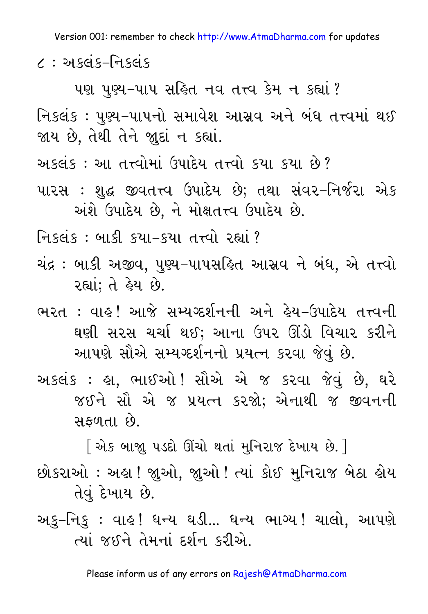૮ : અકલંક–નિકલંક

પણ પુણ્ય-પાપ સહિત નવ તત્ત્વ કેમ ન કહ્યાં?

નિકલંક : પુણ્ય–પાપનો સમાવેશ આસ્રવ અને બંધ તત્ત્વમાં થઈ જાય છે, તેથી તેને જાુદાં ન કહ્યાં.

અકલંક: આ તત્ત્વોમાં ઉપાદેય તત્ત્વો કયા કયા છે?

પારસ : શુદ્ધ જીવતત્ત્વ ઉપાદેય છે; તથા સંવર-નિર્જરા એક અંશે ઉપાદેય છે, ને મોક્ષતત્ત્વ ઉપાદેય છે.

નિકલંક : બાકી કયા–કયા તત્ત્વો રહ્યાં ?

- ચંદ્ર : બાકી અજીવ, પુણ્ય–પાપસહિત આસ્રવ ને બંધ, એ તત્ત્વો રહ્યાં: તે ફ્રેય છે.
- ભરત : વાહ! આજે સમ્યગ્દર્શનની અને હેય-ઉપાદેય તત્ત્વની ઘણી સરસ ચર્ચા થઈ; આના ઉપર ઊંડો વિચાર કરીને આપણે સૌએ સમ્યગ્દર્શનનો પ્રયત્ન કરવા જેવું છે.
- અકલંક : હ્રા. ભાઈઓ ! સૌએ એ જ કરવા જેવં છે. ઘરે જઈને સૌ એ જ પ્રયત્ન કરજો; એનાથી જ જીવનની સફળતા છે.

[ એક બાજ઼ા પડદો ઊંચો થતાં મુનિરાજ દેખાય છે. ] છોકરાઓ : અહ્રા ! જ્ઞુઓ, જ્ઞુઓ ! ત્યાં કોઈ મુનિરાજ બેઠા હોય તેવું દેખાય છે.

અકુ–નિકુ : વાઙ્! ધન્ય ઘડી... ધન્ય ભાગ્ય! ચાલો, આપણે ત્યાં જઈને તેમનાં દર્શન કરીએ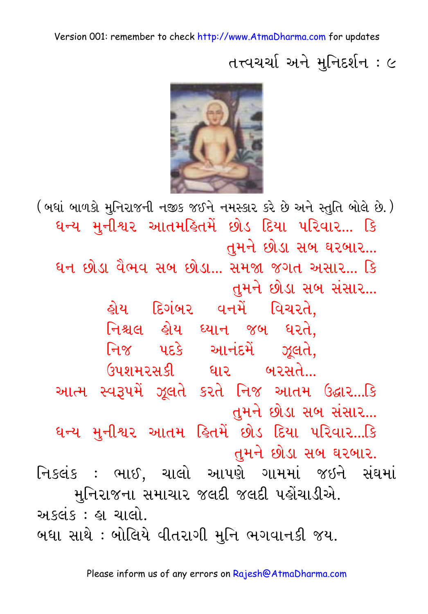તત્ત્વચર્ચાઝને મુનિદર્શન $: \in$ 

![](_page_14_Picture_2.jpeg)

(બધાં બાળકો મુનિરાજની નજીક જઈને નમસ્કાર કરે છે અને સ્તુતિ બોલે છે.) ધન્ય મુનીશ્વર આતમહિતમેં છોડ દિયા પરિવાર... કિ તમને છોડા સબ ઘરબાર... ધન છોડા વૈભવ સબ છોડા... સમજા જગત અસાર... કિ ાતમને છોડા સબ સંસાર... હોય દિગંબર વનમેં વિચરતે. નિશ્ચલ હોય ઘ્યાન જબ ઘરતે, નિજ પદકે આનંદમેં ઝૂલતે, ઉપશમરસકી ઘાર બરસતે... આત્મ સ્વરૂપમેં ઝૂલતે કરતે નિજ આતમ ઉદ્ઘાર...કિ તમને છોડા સબ સંસાર... ધન્ય મુનીશ્વર આતમ હિતમેં છોડ દિયા પરિવાર...કિ તુમને છોડા સબ ઘરબાર. નિકલંક: ભાઈ, ચાલો આપણે ગામમાં જઇને સંઘમાં મુનિરાજના સમાચાર જલદી જલદી પહોંચાડીએ. અલવંદ $:$  હા ચાલો. બધા સાથે : બોલિયે વીતરાગી મુનિ ભગવાનકી જય.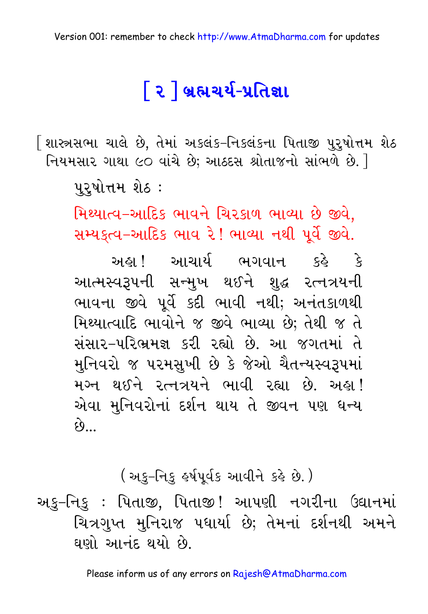# િર**ી બ્રહ્મચર્ય-પ્રતિજ્ઞા**

િશાસ્ત્રસભા ચાલે છે, તેમાં અકલંક–નિકલંકના પિતાજી પુરૃષોત્તમ શેઠ નિયમસાર ગાથા ૯૦ વાંચે છે; આઠદસ શ્રોતાજનો સાંભળે છે. 1

પુરૃષોત્તમ શેઠ :

મિથ્યાત્વ-આદિક ભાવને ચિરકાળ ભાવ્યા છે જીવે. સમ્યક્ત્વ-આદિક ભાવ રે! ભાવ્યા નથી પૂર્વે જીવે.

અહા આચાર્ય ભગવાન કહે કે આત્મસ્વરૂપની સન્મુખ થઈને શુદ્ધ રત્નત્રયની ભાવના જીવે પૂર્વે કદી ભાવી નથી; અનંતકાળથી મિથ્યાત્વાદિ ભાવોને જ જીવે ભાવ્યા છે; તેથી જ તે સંસાર-પરિભ્રમજ્ઞ કરી રહ્યો છે. આ જગતમાં તે મુનિવરો જ પરમસુખી છે કે જેઓ ચૈતન્યસ્વરૂપમાં મગ્ન થઈને રત્નત્રયને ભાવી રહ્યા છે. અહા! એવા મુનિવરોનાં દર્શન થાય તે જીવન પણ ધન્ય  $\hat{\mathcal{O}}$ 

(અકુ–નિકુ હર્ષપૂર્વક આવીને કહે છે.)

અકુ–નિકુ : પિતાજી, પિતાજી! આપણી નગરીના ઉદ્યાનમાં ચિત્રગુપ્ત મુનિરાજ પધાર્યા છે; તેમનાં દર્શનથી અમને ઘણો આનંદ થયો છે.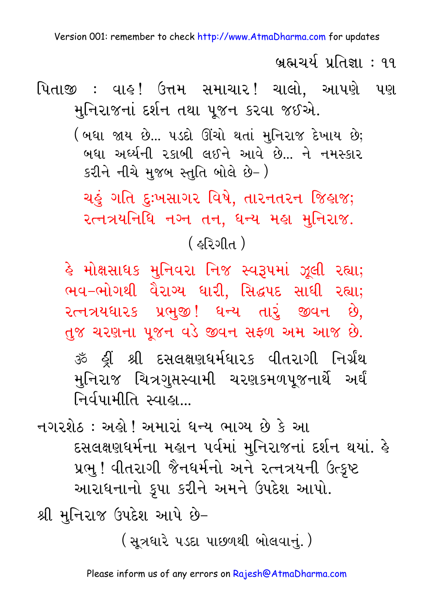<u>બ્રહ્મચર્ય પ્રતિજ્ઞા : ૧૧</u>

પિતાજી : વાઙ! ઉત્તમ સમાચાર! ચાલો, આપણે પણ મુનિરાજનાં દર્શન તથા પૂજન કરવા જઈએ.

> (બધા જાય છે... ૫ડદો ઊંચો થતાં મુનિરાજ દેખાય છે; બધા અર્ધ્યની રકાબી લઈને આવે છે... ને નમસ્કાર કરીને નીચે મુજબ સ્તુતિ બોલે છે-)

ચહું ગતિ દુઃખસાગર વિષે, તારનતરન જિહાજ; २त्नत्रयनिधि नञ्न तन. धन्य मड़ा मनिरा४.

( ફરિગીત )

હે મોક્ષસાધક મુનિવરા નિજ સ્વરૂપમાં ઝૂલી રહ્યા; ભવ-ભોગથી વૈરાગ્ય ધારી, સિદ્ધપદ સાધી રહ્યા; રત્નત્રયધારક પ્રભુજી! ધન્ય તારું જીવન છે, તુજ ચરણના પૂજન વડે જીવન સફળ અમ આજ છે. મુનિરાજ ચિત્રગુપ્તસ્વામી ચરણકમળપૂજનાર્થે અર્ઘં નિર્વપામીતિ સ્વાહા…

નગરશેઠ : અહો ! અમારાં ધન્ય ભાગ્ય છે કે આ દસલક્ષણઘર્મના મહાન પર્વમાં મુનિરાજનાં દર્શન થયાં. હે પ્રભુ! વીતરાગી જૈનધર્મનો અને રત્નત્રયની ઉત્કૃષ્ટ આરાધનાનો કૃપા કરીને અમને ઉપદેશ આપો.

શ્રી મુનિરાજ ઉપદેશ આપે છે–

(સત્રધારે ૫ડદા પાછળથી બોલવાનં.)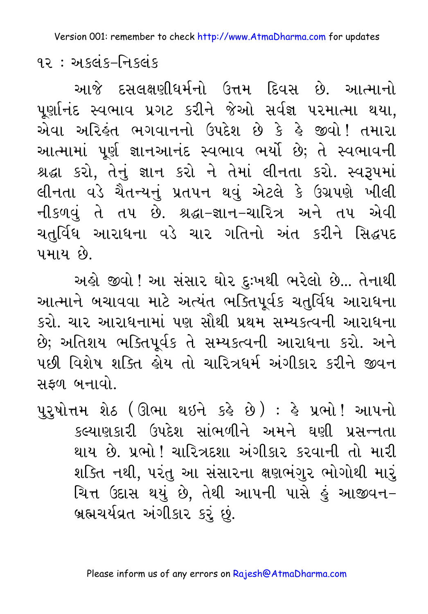૧૨ $:$  અકલંક–નિકલંક

આજે દસલક્ષણીધર્મનો ઉત્તમ દિવસ છે. આત્માનો પૂર્ણાનંદ સ્વભાવ પ્રગટ કરીને જેઓ સર્વજ્ઞ પરમાત્મા થયા, એવા અરિહંત ભગવાનનો ઉપદેશ છે કે હે જીવો! તમારા આત્મામાં પૂર્ણ જ્ઞાનઆનંદ સ્વભાવ ભર્યો છે; તે સ્વભાવની શ્રદ્ધા કરો, તેનું જ્ઞાન કરો ને તેમાં લીનતા કરો. સ્વરૂપમાં લીનતા વડે ચૈતન્યનું પ્રતપન થવું એટલે કે ઉગ્રપણે ખીલી નીકળવું તે તપ છે. શ્રદ્ધા-જ્ઞાન-ચારિત્ર અને તપ એવી ચતર્વિધ આરાધના વડે ચાર ગતિનો અંત કરીને સિદ્ધપદ પમાય છે

અહો જીવો ! આ સંસાર ઘોર દુઃખથી ભરેલો છે... તેનાથી આત્માને બચાવવા માટે અત્યંત ભક્તિપૂર્વક ચતુર્વિધ આરાધના કરો. ચાર આરાધનામાં પણ સૌથી પ્રથમ સમ્યક્ત્વની આરાધના છે; અતિશય ભક્તિપૂર્વક તે સમ્યકત્વની આરાધના કરો. અને પછી વિશેષ શક્તિ હોય તો ચારિત્રધર્મ અંગીકાર કરીને જીવન સકળ બનાવો.

પુરૂષોત્તમ શેઠ (ઊભા થઇને કર્લ્ડ છે) : હે પ્રભો !આપનો કલ્યાણકારી ઉપદેશ સાંભળીને અમને ઘણી પ્રસન્નતા થાય છે. પ્રભો ! ચારિત્રદશા અંગીકાર કરવાની તો મારી શક્તિ નથી, પરંતુ આ સંસારના ક્ષણભંગુર ભોગોથી મારું ચિત્ત ઉદાસ થયું છે. તેથી આપની પાસે કું આજીવન-બ્રહ્મચર્યવ્રત અંગીકાર કરૂં છું.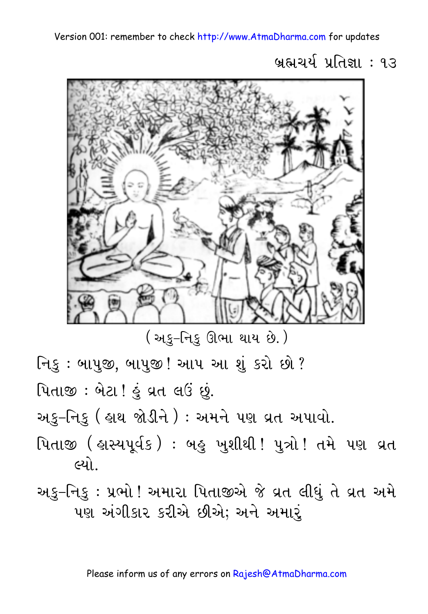બ્રહ્મચર્ય પ્રતિજ્ઞા : ૧૩

![](_page_18_Picture_2.jpeg)

( અકુ–નિકુ ઊભા થાય છે. )

નિકુ : બાપુજી, બાપુજી ! આપ આ શું કરો છો ?

પિતાજી: બેટા ! હું વ્રત લઉં છું.

અકુ–નિકુ ( હ્રાથ જોડીને ) : અમને પણ વ્રત અપાવો.

- પિતાજી ( હાસ્યપૂર્વક) : બહુ ખુશીથી ! પુત્રો ! તમે પણ વ્રત લ્યો
- અકુ–નિકુ : પ્રભો ! અમારા પિતાજીએ જે વ્રત લીધું તે વ્રત અમે પણ અંગીકાર કરીએ છીએ; અને અમારૂં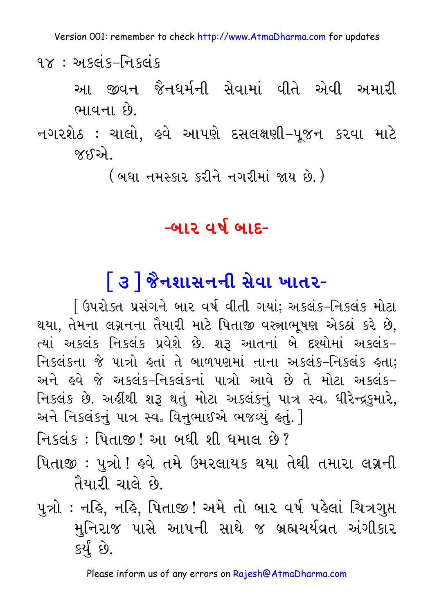૧ $\times$  : અકલંક–નિકલંક

આ જીવન જૈનધર્મની સેવામાં વીતે એવી અમારી ભાવના છે.

નગરશેઠ : ચાલો, હવે આપણે દસલક્ષણી-પૂજન કરવા માટે જક્દરને

( બધા નમસ્કાર કરીને નગરીમાં જાય છે.)

#### $-$ બાર વર્ષ બાદ-

# િ૩ | જૈનશાસનની સેવા ખાતર-

િ ઉપરોક્ત પ્રસંગને બાર વર્ષ વીતી ગયાં; અકલંક–નિકલંક મોટા થયા, તેમના લગ્નનના તૈયારી માટે પિતાજી વસ્ત્રાભૂષણ એકઠાં કરે છે, ત્યાં અકલંક નિકલંક પ્રવેશે છે. શરૂ આતનાં બે દશ્યોમાં અકલંક-નિકલંકના જે પાત્રો હતાં તે બાળપણમાં નાના અકલંક-નિકલંક હતા; અને હવે જે અકલંક-નિકલંકનાં પાત્રો આવે છે તે મોટા અકલંક-નિકલંક છે. અહીંથી શરૂ થતું મોટા અકલંકનું પાત્ર સ્વ. ધીરેન્દ્રકુમારે, અને નિકલંકનું પાત્ર સ્વ. વિનુભાઈએ ભજવ્યું હતું. 1

નિકલંક : પિતાજી ! આ બધી શી ધમાલ છે?

પિતાજી : પુત્રો ! હવે તમે ઉમરલાયક થયા તેથી તમારા લગ્નની તૈયારી ચાલે છે.

પુત્રો : નહિ, નહિ, પિતાજી ! અમે તો બાર વર્ષ પહેલાં ચિત્રગુપ્ત મુનિરાજ પાસે આપની સાથે જ બ્રહ્મચર્યવ્રત અંગીકાર કર્ય છે.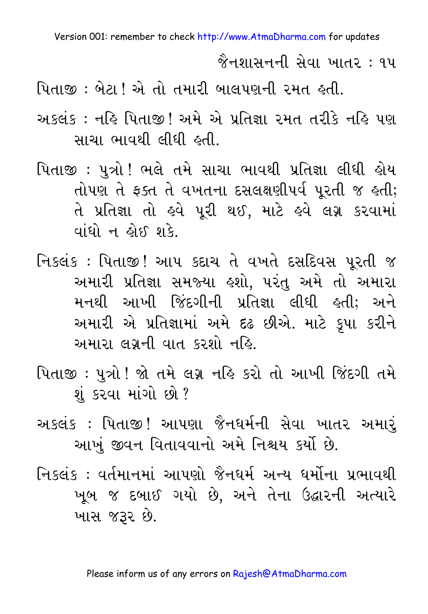જૈનશાસનની સેવા ખાતર : ૧૫

પિતાજી : બેટા ! એ તો તમારી બાલપણની રમત હતી.

- અકલંક: નહિ પિતાજી! અમે એ પ્રતિજ્ઞા રમત તરીકે નહિ પણ સાચા ભાવથી લીધી હતી.
- પિતાજી : પુત્રો ! ભલે તમે સાચા ભાવથી પ્રતિજ્ઞા લીધી હોય તોપણ તે ફક્ત તે વખતના દસલક્ષણીપર્વ પૂરતી જ હતી; તે પ્રતિજ્ઞા તો હવે પૂરી થઈ, માટે હવે લગ્ન કરવામાં  $q$
- નિકલંક: પિતાજી! આપ કદાચ તે વખતે દસદિવસ પૂરતી જ અમારી પ્રતિજ્ઞા સમજ્યા હશો. પરંતુ અમે તો અમારા મનથી આખી જિંદગીની પ્રતિજ્ઞા લીધી હતી; અને અમારી એ પ્રતિજ્ઞામાં અમે દઢ છીએ. માટે કૂપા કરીને અમારા લગ્નની વાત કરશો નહિ.
- પિતાજી: પુત્રો ! જો તમે લગ્ન નહિ કરો તો આખી જિંદગી તમે શું કરવા માંગો છો?
- અકલંક : પિતાજી! આપણા જૈનધર્મની સેવા ખાતર અમારં આખું જીવન વિતાવવાનો અમે નિશ્ચય કર્યો છે.
- નિકલંક : વર્તમાનમાં આપણો જૈનધર્મ અન્ય ધર્મોના પ્રભાવથી ખબ જ દબાઈ ગયો છે. અને તેના ઉદ્ઘારની અત્યારે ખાસ જરૂર છે.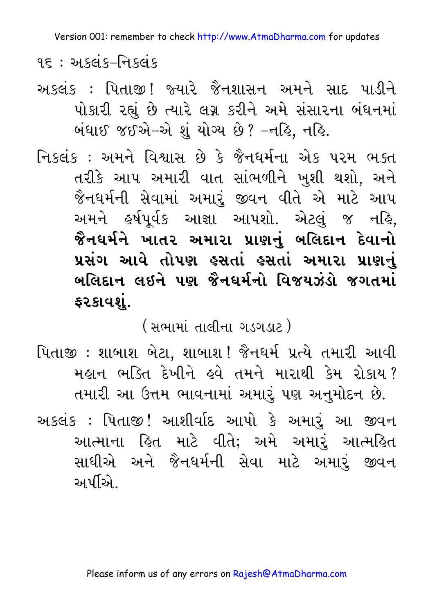<u>૧૬ : અકલંક–નિકલંક</u>

અકલંક : પિતાજી! જ્યારે જૈનશાસન અમને સાદ પાડીને પોકારી રહ્યું છે ત્યારે લગ્ન કરીને અમે સંસારના બંધનમાં બંધાઈ જઈએ–એ શું યોગ્ય છે? –નહિ, નહિ.

નિકલંક: અમને વિશ્વાસ છે કે જૈનધર્મના એક પરમ ભક્ત તરીકે આપ અમારી વાત સાંભળીને ખુશી થશો, અને જૈનધર્મની સેવામાં અમારું જીવન વીતે એ માટે આપ અમને હર્ષપૂર્વક આજ્ઞા આપશો. એટલું જ નહિ, જૈનઘર્મને ખાતર અમારા પ્રાણનું બલિદાન **દેવાનો** પ્રસંગ આવે તોપણ **કસતાં કસતાં અમારા પ્રા**ણનું <u>બલિદાન લઇને પણ જૈનધર્મનો વિજયઝંડો જગતમાં</u> ફરકાવશું.

( સભામાં તાલીના ગડગડાટ )

પિતાજી : શાબાશ બેટા. શાબાશ! જૈનધર્મ પ્રત્યે તમારી આવી મહાન ભક્તિ દેખીને હવે તમને મારાથી કેમ રોકાય? તમારી આ ઉત્તમ ભાવનામાં અમારું પણ અનુમોદન છે.

અકલંક : પિતાજી! આશીર્વાદ આપો કે અમારૂં આ જીવન આત્માના હિત માટે વીતે; અમે અમારૂં આત્મહિત સાધીએ અને જૈનધર્મની સેવા માટે અમારું જીવન અર્પીએ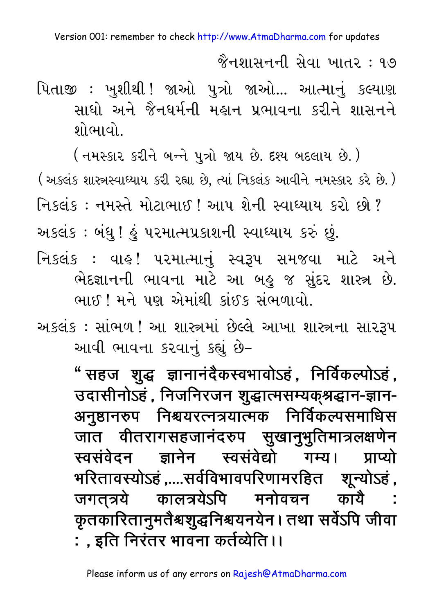જૈનશાસનની સેવા ખાતર : ૧૭

પિતાજી : ખુશીથી ! જાઓ પુત્રો જાઓ... આત્માનું કલ્યાણ સાધો અને જૈનધર્મની મહાન પ્રભાવના કરીને શાસનને શોભાવો..

( નમસ્કાર કરીને બન્ને પુત્રો જાય છે. દશ્ય બદલાય છે. ) (અકલંક શાસ્ત્રસ્વાઘ્યાય કરી રહ્યા છે, ત્યાં નિકલંક આવીને નમસ્કાર કરે છે.) નિકલંક: નમસ્તે મોટાભાઈ! આપ શેની સ્વાધ્યાય કરો છો? અકલંક : બંધુ ! હું પરમાત્મપ્રકાશની સ્વાધ્યાય કરું છું. નિકલંક : વાહ્ ! પરમાત્માનં સ્વરૂપ સમજવા માટે અને ભેદજ્ઞાનની ભાવના માટે આ બહુ જ સુંદર શાસ્ત્ર છે. ભાઈ ! મને પણ એમાંથી કાંઈક સંભળાવો.

અકલંક : સાંભળ ! આ શાસ્ત્રમાં છેલ્લે આખા શાસ્ત્રના સારરૂપ આવી ભાવના કરવાનું કહ્યું છે-

> " सहज शुद्ध ज्ञानानंदैकस्वभावोऽहं, निर्विकल्पोऽहं, उदासीनोऽहं, निजनिरजन शुद्धात्मसम्यक्श्रद्धान-ज्ञान-अनुष्ठानरुप निश्चयरत्नत्रयात्मक निर्विकल्पसमाधिस जात वीतरागसहजानंदरुप सुखानुभुतिमात्रलक्षणेन स्वसंवेदन ज्ञानेन स्वसंवेद्यो गम्य। प्राप्यो भरितावस्योऽहं ,....सर्वविभावपरिणामरहित शून्योऽहं , जगत्*त्रये कालत्रये*ऽपि मनोवचन कायै : कृतकारितानुमतैश्रशुद्धनिश्चयनयेन। तथा सर्वेऽपि जीवा : , इति निरंतर भावना कर्तव्येति ।।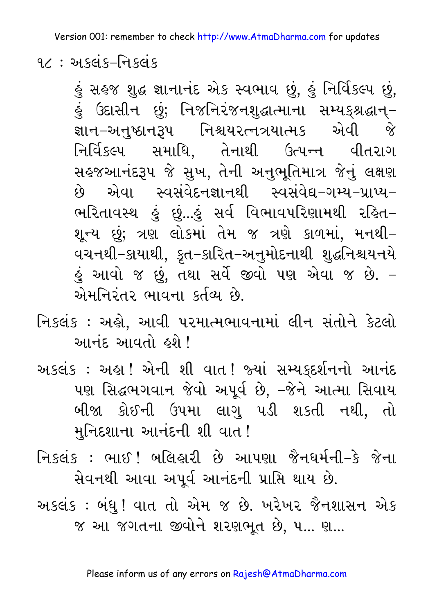૧૮ $:$  અકલંક–નિકલંક

હું સહજ શુદ્ધ જ્ઞાનાનંદ એક સ્વભાવ છું, હું નિર્વિકલ્પ છું, હું ઉદાસીન છું; નિજનિરંજનશુદ્ધાત્માના સમ્યક્શ્રદ્ધાન્– જ્ઞાન–અનુષ્ઠાનરૂપ નિશ્ચયરત્નત્રયાત્મક એવી જે નિર્વિકલ્પ સમાધિ, તેનાથી ઉત્પન્ન વીતરાગ સહજઆનંદરૂપ જે સુખ, તેની અનુભૂતિમાત્ર જેનું લક્ષણ છે એવા સ્વસંવેદનજ્ઞાનથી સ્વસંવેદ્ય–ગમ્ય–પ્રાપ્ય– ભરિતાવસ્થ હું છું...હું સર્વ વિભાવપરિણામથી રહિત-શૂન્ય છું; ત્રણ લોકમાં તેમ જ ત્રણે કાળમાં, મનથી– વચનથી–કાયાથી, કૃત–કારિત–અનુમોદનાથી શુદ્ધનિશ્ચયનયે હું આવો જ છું, તથા સર્વે જીવો પણ એવા જ છે. – એમનિરંતર ભાવના કર્તવ્ય છે

નિકલંક : અહો, આવી પરમાત્મભાવનામાં લીન સંતોને કેટલો आनंह આવતો હશે !

અકલંક : અહ્ય! એની શી વાત! જ્યાં સમ્યક્દર્શનનો આનંદ પણ સિદ્ધભગવાન જેવો અપૂર્વ છે, –જેને આત્મા સિવાય બીજા કોઈની ઉપમા લાગુ પડી શકતી નથી, તો મુનિદશાના આનંદની શી વાત !

નિકલંક : ભાઈ ! બલિહારી છે આપણા જૈનઘર્મની–કે જેના સેવનથી આવા અપૂર્વ આનંદની પ્રાપ્તિ થાય છે.

અકલંક : બંધુ ! વાત તો એમ જ છે. ખરેખર જૈનશાસન એક જ આ જગતના જીવોને શરણભૂત છે, ૫... ણ...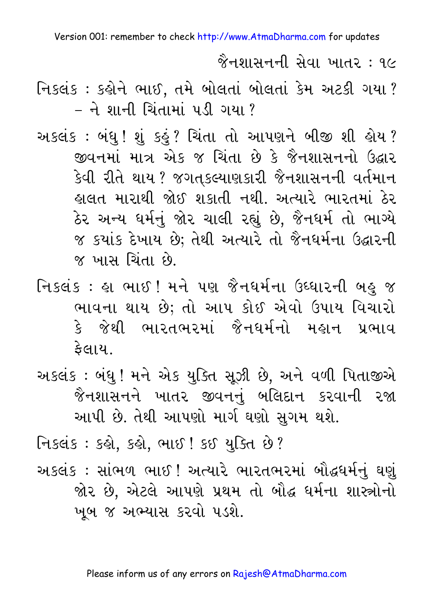જૈનશાસનની સેવા ખાતર : ૧૯

- નિકલંક: કહોને ભાઈ, તમે બોલતાં બોલતાં કેમ અટકી ગયા? - ने शानी ચિંતામાં પડી ગયા ?
- અકલંક : બંધુ ! શું કહું ? ચિંતા તો આપણને બીજી શી હોય ? જીવનમાં માત્ર એક જ ચિંતા છે કે જૈનશાસનનો ઉદ્ઘાર કેવી રીતે થાય ? જગતકલ્યાણકારી જૈનશાસનની વર્તમાન હાલત મારાથી જોઈ શકાતી નથી. અત્યારે ભારતમાં ઠેર ઠેર અન્ય ધર્મનું જોર ચાલી રહ્યું છે, જૈનધર્મ તો ભાગ્યે જ કયાંક દેખાય છે; તેથી અત્યારે તો જૈનધર્મના ઉદ્ઘારની જ ખાસ ચિંતા છે.
- નિકલંક : હા ભાઈ ! મને પણ જૈનધર્મના ઉઘ્ધારની બહુ જ ભાવના થાય છે; તો આપ કોઈ એવો ઉપાય વિચારો કે જેથી ભારતભરમાં જૈનધર્મનો મહાન પ્રભાવ કેલાય.
- અકલંક : બંધુ ! મને એક યુક્તિ સૂઝી છે, અને વળી પિતાજીએ જૈનશાસનને ખાતર જીવનનું બલિદાન કરવાની રજા આપી છે. તેથી આપણો માર્ગ ઘણો સુગમ થશે.

નિકલંક : કહ્યે, કહ્યે, ભાઈ ! કઈ યુક્તિ છે ?

અકલંક : સાંભળ ભાઈ ! અત્યારે ભારતભરમાં બૌદ્ધર્મનું ઘણું જોર છે, એટલે આપણે પ્રથમ તો બૌદ્ધ ધર્મના શાસ્ત્રોનો ખૂબ જ અભ્યાસ કરવો પડશે.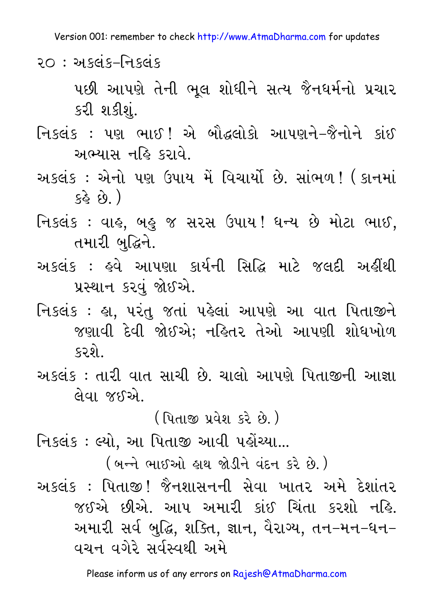२० $:$  અકલંક-નિકલંક

પછી આપણે તેની ભૂલ શોધીને સત્ય જૈનધર્મનો પ્રચાર કરી શકીશં.

નિકલંક: પણ ભાઈ! એ બૌદ્ધલોકો આપણને-જૈનોને કાંઈ અભ્યાસ નહિ કરાવે.

- અકલંક : એનો પણ ઉપાય મેં વિચાર્યો છે. સાંભળ! ( કાનમાં  $(\hat{g}_3 \hat{g}_3)$
- નિકલંક : વાહ, બહુ જ સરસ ઉપાય! ધન્ય છે મોટા ભાઈ, તમારી બદ્ધિને.
- અકલંક : ઙુવે આપણા કાર્યની સિદ્ધિ માટે જલદી અહીંથી પ્રસ્થાન કરવં જોઈએ.
- નિકલંક : હા, પરંતુ જતાં પહેલાં આપણે આ વાત પિતાજીને જણાવી દેવી જોઈએ; નહિતર તેઓ આપણી શોધખોળ કરશે
- અકલંક : તારી વાત સાચી છે. ચાલો આપણે પિતાજીની આજ્ઞા લેવા જઈએ.

( પિતાજી પ્રવેશ કરે છે.)

નિકલંક : લ્યો, આ પિતાજી આવી પહોંચ્યા...

( બન્ને ભાઈઓ હાથ જોડીને વંદન કરે છે.)

અકલંક : પિતાજી! જૈનશાસનની સેવા ખાતર અમે દેશાંતર જઈએ છીએ. આપ અમારી કાંઈ ચિંતા કરશો નહિ. અમારી સર્વ બુદ્ધિ, શક્તિ, જ્ઞાન, વૈરાગ્ય, તન–મન–ધન– વચન વગેરે સર્વસ્વથી અમે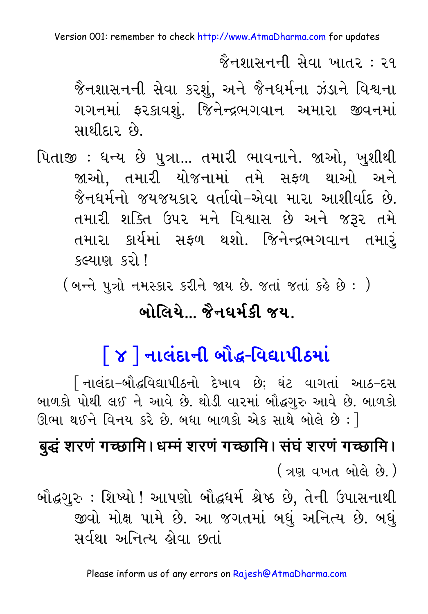જૈનશાસનની સેવા ખાતર : ૨૧

જૈનશાસનની સેવા કરશં. અને જૈનધર્મના ઝંડાને વિશ્વના ગગનમાં ફરકાવશું. જિનેન્દ્રભગવાન અમારા જીવનમાં સાથીદાર છે.

પિતાજી : ધન્ય છે પુત્રા... તમારી ભાવનાને. જાઓ, ખુશીથી જાઓ, તમારી યોજનામાં તમે સફળ થાઓ અને જૈનધર્મનો જયજયકાર વર્તાવો–એવા મારા આશીર્વાદ છે. તમારી શક્તિ ઉપર મને વિશ્વાસ છે અને જરૂર તમે તમારા કાર્યમાં સફળ થશો. જિનેન્દ્રભગવાન તમારં કલ્યાણ કરો !

( બન્ને પુત્રો નમસ્કાર કરીને જાય છે. જતાં જતાં કહે છે : )

#### <u> બોલિયે જૈનઘર્મકી જય</u>

## <u>| ૪ ] નાલંદાની બૌદ્ધ-વિદ્યાપીઠમાં</u>

િનાલંદા–બૌદ્ધવિદ્યાપીઠનો દેખાવ છે; ઘંટ વાગતાં આઠ–દસ બાળકો પોથી લઈ ને આવે છે. થોડી વારમાં બૌદ્ધગુરુ આવે છે. બાળકો ઊભા થઈને વિનય કરે છે. બધા બાળકો એક સાથે બોલે છે : 1

## बुद्धं शरणं गच्छामि । धम्मं शरणं गच्छामि । संघं शरणं गच्छामि । <u>(ત્રણ વખત બોલે છે.)</u>

બૌદ્ધગુરુ : શિષ્યો ! આપણો બૌદ્ધર્મ શ્રેષ્ઠ છે, તેની ઉપાસનાથી જીવો મોક્ષ પામે છે. આ જગતમાં બધું અનિત્ય છે. બધું સર્વથા અનિત્ય હોવા છતાં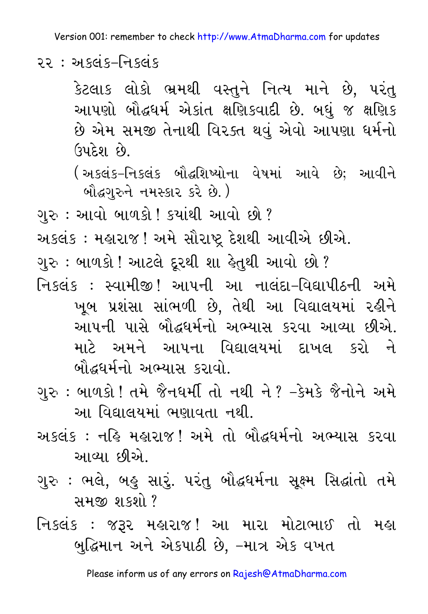રર: અકલંક–નિકલંક

કેટલાક લોકો ભ્રમથી વસ્તને નિત્ય માને છે. પરંત આપણો બૌદ્ધધર્મ એકાંત ક્ષણિકવાદી છે. બધું જ ક્ષણિક છે એમ સમજી તેનાથી વિરક્ત થવું એવો આપણા ધર્મનો ઉપદેશ દવે

(અકલંક-નિકલંક બૌદ્ધશિષ્યોના વેષમાં આવે છે; આવીને બૌદ્ધગરુને નમસ્કાર કરે છે.)

ગરુ : આવો બાળકો ! કયાંથી આવો છો ?

અકલંક : મહારાજ ! અમે સૌરાષ્ટ્ર દેશથી આવીએ છીએ.

ગુરુ : બાળકો ! આટલે દૂરથી શા હેતુથી આવો છો ?

નિકલંક : સ્વામીજી! આપની આ નાલંદા–વિદ્યાપીઠની અમે ખૂબ પ્રશંસા સાંભળી છે, તેથી આ વિદ્યાલયમાં રહીને આપની પાસે બૌદ્ધધર્મનો અભ્યાસ કરવા આવ્યા છીએ. માટે અમને આપના વિદ્યાલયમાં દાખલ કરો ને બૌદ્ધર્મનો અભ્યાસ કરાવો.

- ગુરુ : બાળકો ! તમે જૈનઘર્મી તો નથી ને ? –કેમકે જૈનોને અમે આ વિદ્યાલયમાં ભણાવતા નથી.
- અકલંક : નહિ મહારાજ! અમે તો બૌદ્ધર્મનો અભ્યાસ કરવા આવ્યા છીએ.
- ગુરુ : ભલે, બહુ સારું. પરંતુ બૌદ્ધર્મના સૂક્ષ્મ સિદ્ધાંતો તમે સમજી શકશો?
- નિકલંક : જરૂર મહારાજ! આ મારા મોટાભાઈ તો મહા બુદ્ધિમાન અને એકપાઠી છે, –માત્ર એક વખત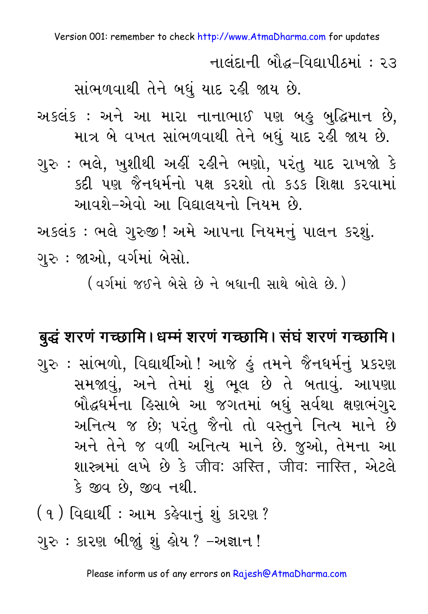નાલંદાની બૌદ્ધ-વિદ્યાપીઠમાં: ૨૩

સાંભળવાથી તેને બધું યાદ રહી જાય છે.

અકલંક : અને આ મારા નાનાભાઈ પણ બહુ બુદ્ધિમાન છે. માત્ર બે વખત સાંભળવાથી તેને બધું યાદ રહી જાય છે.

ગુરુ : ભલે, ખુશીથી અહીં રહીને ભણો, પરંતુ યાદ રાખજો કે કદી પણ જૈનધર્મનો પક્ષ કરશો તો કડક શિક્ષા કરવામાં આવશે-એવો આ વિદ્યાલયનો નિયમ છે.

અકલંક : ભલે ગુરુજી ! અમે આપના નિયમનું પાલન કરશું. ગુરુ : જાઓ. વર્ગમાં બેસો.

( વર્ગમાં જઈને બેસે છે ને બધાની સાથે બોલે છે. )

#### बुद्धं शरणं गच्छामि। धम्मं शरणं गच्छामि। संघं शरणं गच्छामि।

ગુરુ : સાંભળો, વિદ્યાર્થીઓ ! આજે હું તમને જૈનધર્મનું પ્રકરણ સમજાવું, અને તેમાં શું ભૂલ છે તે બતાવું. આપણા બૌદ્ધર્મના હિસાબે આ જગતમાં બધું સર્વથા ક્ષણભંગુર અનિત્ય જ છે; પરંતુ જૈનો તો વસ્તુને નિત્ય માને છે અને તેને જ વળી અનિત્ય માને છે. જુઓ, તેમના આ शास्त्रमां લખે છે કે जीव: अस्ति, जीव: नास्ति, એટલે કે જીવ છે. જીવ નથી.

(૧) વિદ્યાર્થી : આમ કહેવાનું શું કારણ ?

ગુરુ : કારણ બીજાું શું હોય ? -અજ્ઞાન !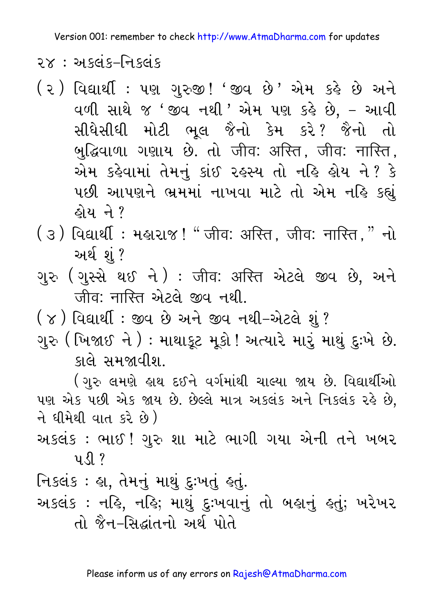२ $\times$ : અકલંક–નિકલંક

- (૨) વિદ્યાર્થી : ૫ણ ગુરુજી! 'જીવ છે' એમ કહે છે અને વળી સાથે જ 'જીવ નથી ' એમ પણ કહે છે, – આવી સીધેસીધી મોટી ભૂલ જૈનો કેમ કરે? જૈનો તો બુદ્ધિવાળા ગણાય છે. તો जीव: अस्ति, जीव: नास्ति, એમ કહેવામાં તેમનું કાંઈ રહસ્ય તો નહિ હોય ને ? કે પછી આપણને ભ્રમમાં નાખવા માટે તો એમ નહિ કહ્યું હોય ને ?
- ( ૩ ) વિદ્યાર્થી : મહારાજ ! " जीव: अस्ति, जीव: नास्ति, " નો અર્થશં?
- ગુરુ (ગુસ્સે થઈ ને): जीव: अस्ति એટલે જીવ છે, અને जीव: नास्ति એટલે જીવ નથી.
- ( ૪ ) વિદ્યાર્થી : જીવ છે અને જીવ નથી-એટલે શું ?
- ગુરુ ( ખિજાઈ ને ) : માથાકૂટ મૂકો ! અત્યારે મારું માથું દુઃખે છે. કાલે સમજાવીશ.

(ગુરુ લમણે હાથ દઈને વર્ગમાંથી ચાલ્યા જાય છે. વિદ્યાર્થીઓ પણ એક પછી એક જાય છે. છેલ્લે માત્ર અકલંક અને નિકલંક રહે છે, ને ધીમેથી વાત કરે છે)

અકલંક : ભાઈ ! ગુરુ શા માટે ભાગી ગયા એની તને ખબર  $U \setminus \{ \}$  ?

નિકલંક : હા, તેમનું માથું દુઃખતું હતું. અકલંક : નહિ, નહિ; માથું દુઃખવાનું તો બહાનું હતું; ખરેખર તો જૈન-સિદ્ધાંતનો અર્થ પોતે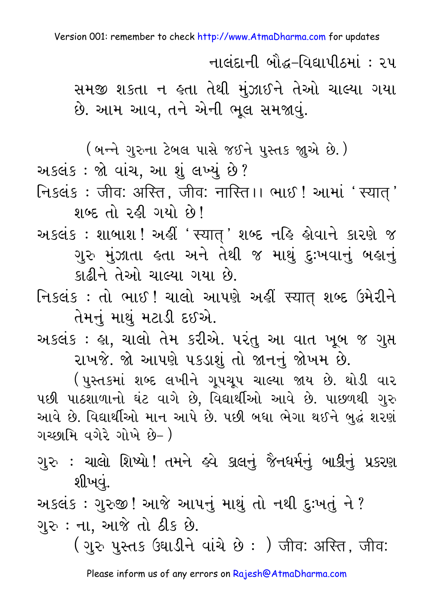નાલંદાની બૌદ્ધ-વિદ્યાપીઠમાં : ૨૫

સમજી શકતા ન હતા તેથી મંઝાઈને તેઓ ચાલ્યા ગયા છે. આમ આવ, તને એની ભૂલ સમજાવું.

( બન્ને ગુરુના ટેબલ પાસે જઈને પુસ્તક જાૂએ છે. )

અકલંક : જો વાંચ. આ શંલખ્યં છે?

निऽवंड: जीव: अस्ति, जीव: नास्ति।। लाछ! आमां 'स्यात्' शर्क्ट तो २ड़ी गयो छे।

અકલંક : શાબાશ ! અહીં ' स्यात् ' શબ્દ નહિ હોવાને કારણે જ ગુરુ મુંઝાતા હતા અને તેથી જ માથું દુઃખવાનું બહાનું કાઢીને તેઓ ચાલ્યા ગયા છે.

નિકલંક: તો ભાઈ! ચાલો આપણે અહીં स्यात् શબ્દ ઉમેરીને તેમનું માથું મટાડી દઈએ.

અકલંક : હ્રા, ચાલો તેમ કરીએ. પરંતુ આ વાત ખુબ જ ગુપ્ત રાખજે. જો આપણે પકડાશું તો જાનનું જોખમ છે.

( પુસ્તકમાં શબ્દ લખીને ગુપચુપ ચાલ્યા જાય છે. થોડી વાર પછી પાઠશાળાનો ઘંટ વાગે છે, વિદ્યાર્થીઓ આવે છે. પાછળથી ગુરુ આવે છે. વિદ્યાર્થીઓ માન આપે છે. પછી બધા ભેગા થઈને બુદ્ધ શરણં ગચ્છામિ વગેરે ગોખે છે– )

ગુરુ : ચાલો શિષ્યો ! તમને હવે કાલનું જૈનધર્મનું બાકીનું પ્રકરણ શીખવં.

અકલંક : ગુરુજી ! આજે આપનું માથું તો નથી દુઃખતું ને ? ગુરુ: ના, આજે તો ઠીક છે.

( ગુરુ પુસ્તક ઉઘાડીને વાંચે છે : ) जीव: अरित, जीव: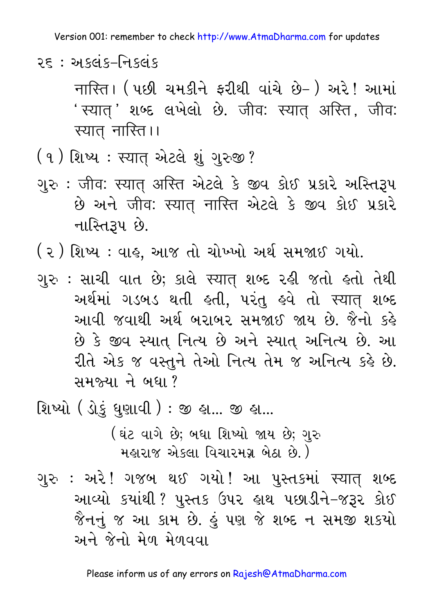२ $\epsilon$  : અકલંક–નિકલંક

नास्ति। ( પછી ચમકીને ફરીથી વાંચે છે– ) અરે ! આમાં ' स्यात् ' श़्क्ष क्षभेक्षो छे. जीव: स्यात् अस्ति, जीव: स्यात नास्ति।।

- (૧) શિષ્ય : स्यात् એટલે શું ગુરુજી?
- ગુરુ : जीव: स्यात अस्ति એટલે કે જીવ કોઈ પ્રકારે અસ્તિરૂપ છે અને जीव: स्यात् नास्ति એટલે કે જીવ કોઈ પ્રકારે નાસ્તિરૂપ છે.

( ૨ ) શિષ્ય : વાહ, આજ તો ચોખ્ખો અર્થ સમજાઈ ગયો.

- ગુરુ : સાચી વાત છે; કાલે સ્यात् શબ્દ રહી જતો હતો તેથી અર્થમાં ગડબડ થતી હતી, પરંતુ હવે તો સ્ચાત શબ્દ આવી જવાથી અર્થ બરાબર સમજાઈ જાય છે. જૈનો કહે છે કે જીવ સ્યાત્ નિત્ય છે અને સ્યાત્ અનિત્ય છે. આ रीते એક જ વસ્તુને તેઓ નિત્ય તેમ જ અનિત્ય કરે છે. સમજ્યા ને બધા?
- શિષ્યો ( ડોકું ધુણાવી ) : જી હ્ય... જી હ્ય...

( ઘંટ વાગે છે; બધા શિષ્યો જાય છે; ગુરુ મહારાજ એકલા વિચારમગ્ર બેઠા છે.)

ગુરુ : અરે! ગજબ થઈ ગયો! આ પુસ્તકમાં સ્ચાત શબ્દ આવ્યો કયાંથી ? પુસ્તક ઉપર હાથ પછાડીને–જરૂર કોઈ જૈનનું જ આ કામ છે. હું પણ જે શબ્દ ન સમજી શકયો અને જેનો મેળ મેળવવા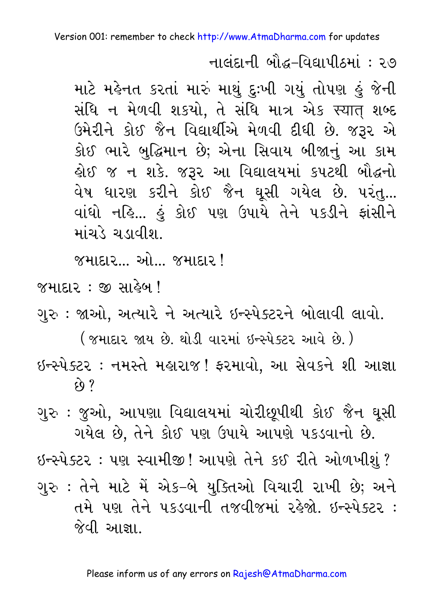નાલંદાની બૌદ્ધ-વિદ્યાપીઠમાં : ૨૭

માટે મહેનત કરતાં મારું માથું દુઃખી ગયું તોપણ હું જેની સંધિ ન મેળવી શકયો, તે સંધિ માત્ર એક स्यात् શબ્દ ઉમેરીને કોઈ જૈન વિદ્યાર્થીએ મેળવી દીધી છે. જરૂર એ કોઈ ભારે બુદ્ધિમાન છે; એના સિવાય બીજાનું આ કામ લેઈ જ ન શકે. જરૂર આ વિદ્યાલયમાં કપટથી બૌદ્ધનો વેષ ધારણ કરીને કોઈ જૈન ઘૂસી ગયેલ છે. પરંતુ... વાંધો નહિ... હું કોઈ પણ ઉપાયે તેને પકડીને ફાંસીને માંચડે ચડાવીશ

<u>જમાદાર...</u> ઓ.... જમાદાર!

જમાદાર : જી સાહેબ !

ગુરુ : જાઓ, અત્યારે ને અત્યારે ઇન્સ્પેક્ટરને બોલાવી લાવો.

( જમાદાર જાય છે. થોડી વારમાં ઇન્સ્પેક્ટર આવે છે. ) ઇન્સ્પેક્ટર : નમસ્તે મહારાજ! ફરમાવો, આ સેવકને શી આજ્ઞા  $\mathfrak{c}_0$  ?

ગુરુ : જુઓ, આપણા વિદ્યાલયમાં ચોરીછુપીથી કોઈ જૈન ઘુસી ગયેલ છે, તેને કોઈ પણ ઉપાયે આપણે પકડવાનો છે.

ઇન્સ્પેક્ટર : પણ સ્વામીજી ! આપણે તેને કઈ રીતે ઓળખીશું ? ગુરુ : તેને માટે મેં એક-બે યુક્તિઓ વિચારી રાખી છે; અને તમે પણ તેને પકડવાની તજવીજમાં રહેજો. ઇન્સ્પેક્ટર :

જેવી આજ્ઞા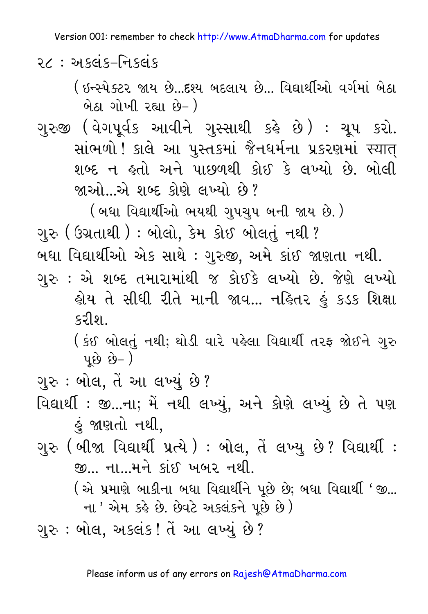ર $\epsilon$  : અકલંક–નિકલંક

( ઇન્સ્પેક્ટર જાય છે...દશ્ય બદલાય છે... વિદ્યાર્થીઓ વર્ગમાં બેઠા <u>બેઠા ગોખી રહ્યા છે- )</u>

ગુરુજી (વેગપૂર્વક આવીને ગુસ્સાથી કહે છે) : ચૂપ કરો. સાંભળો ! કાલે આ પુસ્તકમાં જૈનધર્મના પ્રકરણમાં સ્વાત્ શબ્દ ન હતો અને પાછળથી કોઈ કે લખ્યો છે. બોલી જાઓ એ શબ્દ કોણે લખ્યો છે?

( બધા વિદ્યાર્થીઓ ભયથી ગુપચુપ બની જાય છે.)

ગરુ ( ઉગ્રતાથી ) : બોલો. કેમ કોઈ બોલતં નથી ?

બધા વિદ્યાર્થીઓ એક સાથે : ગુરુજી, અમે કાંઈ જાણતા નથી.

ગુરુ : એ શબ્દ તમારામાંથી જ કોઈકે લખ્યો છે. જેણે લખ્યો હોય તે સીધી રીતે માની જાવ... નહિતર હું કડક શિક્ષા કરીશ.

( કંઈ બોલતું નથી; થોડી વારે પહેલા વિદ્યાર્થી તરફ જોઈને ગુરુ  $\mu$   $\hat{g}$   $\hat{g}$   $\hat{g}$   $\hat{g}$   $\hat{g}$ 

ગુરુ : બોલ, તેં આ લખ્યું છે?

- વિદ્યાર્થી: જી...ના; મેં નથી લખ્યું, અને કોણે લખ્યું છે તે પણ કું જાણતો નથી.
- ગુરુ (બીજા વિદ્યાર્થી પ્રત્યે ) : બોલ, તેં લખ્યુ છે? વિદ્યાર્થી : <u>જી... ના...મને કાંઈ ખબર નથી.</u>

(એ પ્રમાણે બાકીના બધા વિદ્યાર્થીને પૂછે છે; બધા વિદ્યાર્થી 'જી... ના ' એમ કહે છે. છેવટે અકલંકને પૂછે છે)

ગુરુ : બોલ, અકલંક ! તેં આ લખ્યું છે ?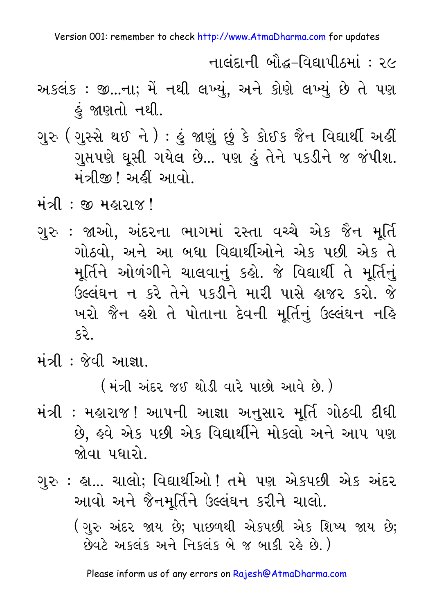નાલંદાની બૌદ્ધ–વિદ્યાપીઠમાં : ૨૯

- અકલંક : જી...ના; મેં નથી લખ્યું, અને કોણે લખ્યું છે તે પણ કું જાણતો નથી.
- ગુરુ (ગુસ્સે થઈ ને ) : હું જાણું છું કે કોઈક જૈન વિદ્યાર્થી અહીં ગુપ્તપણે ઘૂસી ગયેલ છે... પણ હું તેને પકડીને જ જંપીશ. મંત્રીજી! અહીં આવો.
- મંત્રી: જી મહારાજ!
- ગરુ : જાઓ. અંદરના ભાગમાં રસ્તા વચ્ચે એક જૈન મર્તિ ગોઠવો. અને આ બધા વિદ્યાર્થીઓને એક પછી એક તે મૂર્તિને ઓળંગીને ચાલવાનું કહો. જે વિદ્યાર્થી તે મૂર્તિનું ઉલ્લંઘન ન કરે તેને પકડીને મારી પાસે હાજર કરો. જે ખરો જૈન હશે તે પોતાના દેવની મૂર્તિનું ઉલ્લંઘન નહિ કરે..
- મંત્રી : જેવી આજ્ઞા

( મંત્રી અંદર જઈ થોડી વારે પાછો આવે છે. )

- મંત્રી : મહારાજ ! આપની આજ્ઞા અનુસાર મૂર્તિ ગોઠવી દીધી છે. હવે એક પછી એક વિદ્યાર્થીને મોકલો અને આપ પણ જોવા પધારો.
- ગુરુ : હા... ચાલો; વિદ્યાર્થીઓ ! તમે પણ એકપછી એક અંદર આવો અને જૈનમૂર્તિને ઉલ્લંઘન કરીને ચાલો. (ગુરુ અંદર જાય છે; પાછળથી એકપછી એક શિષ્ય જાય છે; છેવટે અકલંક અને નિકલંક બે જ બાકી રહે છે.)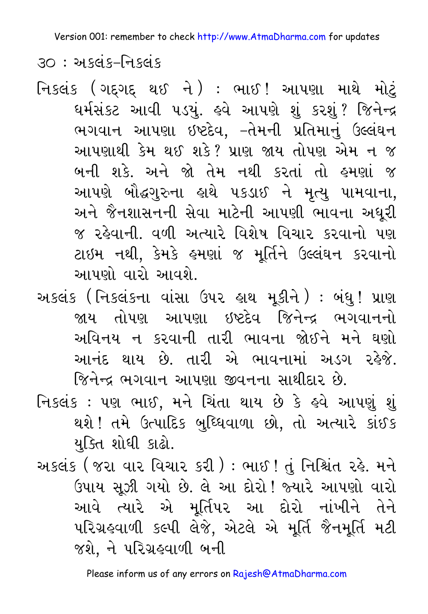<u> ૩૦ : અકલંક-નિકલંક</u>

- નિકલંક (ગદ્દગદ્ થઈ ને) : ભાઈ! આપણા માથે મોટું ઘર્મસંકટ આવી ૫ડયું. હવે આપણે શું કરશું? જિનેન્દ્ર ભગવાન આપણા ઇષ્ટદેવ, –તેમની પ્રતિમાનું ઉલ્લંઘન આપણાથી કેમ થઈ શકે? પ્રાણ જાય તોપણ એમ ન જ બની શકે. અને જો તેમ નથી કરતાં તો હમણાં જ આપણે બૌદ્ધગુરુના હાથે ૫કડાઈ ને મૃત્યુ પામવાના, અને જૈનશાસનની સેવા માટેની આપણી ભાવના અધુરી જ રહેવાની. વળી અત્યારે વિશેષ વિચાર કરવાનો પણ ટાઇમ નથી, કેમકે હમણાં જ મૂર્તિને ઉલ્લંઘન કરવાનો આપણો વારો આવશે.
- અકલંક (નિકલંકના વાંસા ઉપર હાથ મૂકીને) : બંધુ ! પ્રાણ જાય તોપણ આપણા ઇષ્ટદેવ જિનેન્દ્ર ભગવાનનો અવિનય ન કરવાની તારી ભાવના જોઈને મને ઘણો આનંદ થાય છે. તારી એ ભાવનામાં અડગ રહેજે. જિનેન્દ્ર ભગવાન આપણા જીવનના સાથીદાર છે.
- નિકલંક : પણ ભાઈ, મને ચિંતા થાય છે કે હવે આપણું શું થશે ! તમે ઉત્પાદિક બુધ્ધિવાળા છો, તો અત્યારે કાંઈક યુક્તિ શોધી કાઢો.
- અકલંક ( જરા વાર વિચાર કરી ) : ભાઈ ! તું નિશ્ચિંત રહે. મને ઉપાય સૂઝી ગયો છે. લે આ દોરો! જ્યારે આપણો વારો આવે ત્યારે એ મૂર્તિપર આ દોરો નાંખીને તેને પરિગ્રહવાળી કલ્પી લેજે, એટલે એ મૂર્તિ જૈનમૂર્તિ મટી જશે. ને પરિગ્રહવાળી બની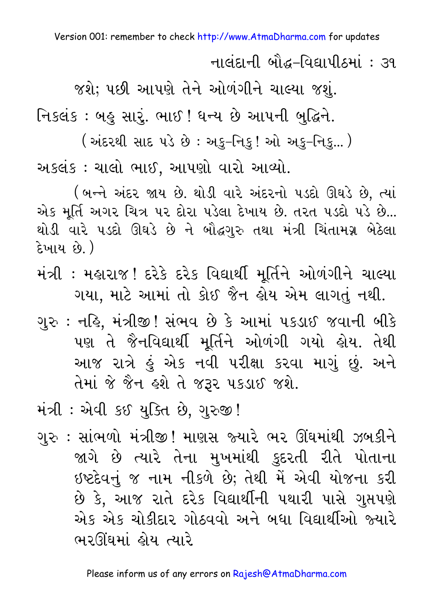નાલંદાની બૌદ્ધ-વિદ્યાપીઠમાં : ૩૧

જશે; પછી આપણે તેને ઓળંગીને ચાલ્યા જશું.

નિકલંક : બહુ સારું. ભાઈ ! ધન્ય છે આપની બુદ્ધિને.

(અંદરથી સાદ પડે છે : અકુ–નિકુ! ઓ અકુ–નિકુ... )

અકલંક : ચાલો ભાઈ, આપણો વારો આવ્યો.

(બન્ને અંદર જાય છે. થોડી વારે અંદરનો પડદો ઊઘડે છે, ત્યાં એક મૂર્તિ અગર ચિત્ર પર દોરા પડેલા દેખાય છે. તરત પડદો પડે છે... થોડી વારે પડદો ઊઘડે છે ને બૌદ્ધગુરુ તથા મંત્રી ચિંતામગ્ન બેઠેલા દેખાય છે.)

- મંત્રી : મહારાજ ! દરેકે દરેક વિદ્યાર્થી મૂર્તિને ઓળંગીને ચાલ્યા ગયા, માટે આમાં તો કોઈ જૈન હોય એમ લાગતું નથી.
- ગુરુ : નહિ, મંત્રીજી ! સંભવ છે કે આમાં ૫કડાઈ જવાની બીકે પણ તે જૈનવિદ્યાર્થી મૂર્તિને ઓળંગી ગયો હોય. તેથી આજ રાત્રે હું એક નવી પરીક્ષા કરવા માગું છું. અને તેમાં જે જૈન હશે તે જરૂર પકડાઈ જશે.
- મંત્રી: એવી કઈ યુક્તિ છે, ગુરુજી!
- ગુરુ : સાંભળો મંત્રીજી ! માણસ જ્યારે ભર ઊંઘમાંથી ઝબકીને જાગે છે ત્યારે તેના મુખમાંથી કુદરતી રીતે પોતાના ઇષ્ટદેવનું જ નામ નીકળે છે; તેથી મેં એવી યોજના કરી છે કે, આજ રાતે દરેક વિદ્યાર્થીની પથારી પાસે ગુપ્તપણે એક એક ચોકીદાર ગોઠવવો અને બધા વિદ્યાર્થીઓ જ્યારે ભરઊંઘમાં હોય ત્યારે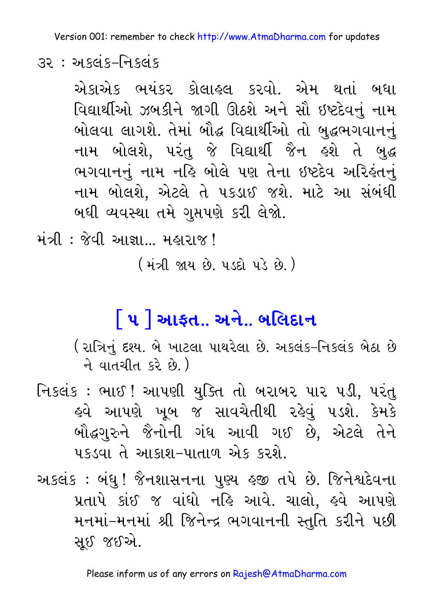32 : અકલંક-નિકલંક

એકાએક ભયંકર કોલાહલ કરવો. એમ થતાં બધા વિદ્યાર્થીઓ ઝબકીને જાગી ઊઠશે અને સૌ ઇષ્ટદેવનં નામ બોલવા લાગશે. તેમાં બૌદ્ધ વિદ્યાર્થીઓ તો બુદ્ધભગવાનનું નામ બોલશે, પરંતુ જે વિદ્યાર્થી જૈન હશે તે બુદ્ધ ભગવાનનું નામ નહિ બોલે પણ તેના ઇષ્ટદેવ અરિહંતનું નામ બોલશે. એટલે તે પકડાઈ જશે. માટે આ સંબંધી બઘી વ્યવસ્થા તમે ગુપ્તપણે કરી લેજો.

મંત્રી: જેવી આજ્ઞા... મહારાજ!

( મંત્રી જાય છે. ૫ડદો પડે છે. )

## **[ ૫ ] આફત.. અને.. બલિદાન**

( રાત્રિનું દશ્ય. બે ખાટલા પાથરેલા છે. અકલંક–નિકલંક બેઠા છે ने वातथीत ६२े छे )

નિકલંક : ભાઈ ! આપણી યુક્તિ તો બરાબર પાર પડી, પરંતુ હવે આપણે ખુબ જ સાવચેતીથી રહેવ<mark>ં</mark> પડશે. કેમકે બૌદ્ધગુરુને જૈનોની ગંધ આવી ગઈ છે. એટલે તેને પકડવા તે આકાશ-પાતાળ એક કરશે.

અકલંક : બંધુ ! જૈનશાસનના પુણ્ય હજી તપે છે. જિનેશ્વદેવના પ્રતાપે કાંઈ જ વાંધો નહિ આવે. ચાલો, હવે આપણે મનમાં–મનમાં શ્રી જિનેન્દ્ર ભગવાનની સ્તુતિ કરીને પછી સઈ જઈએ.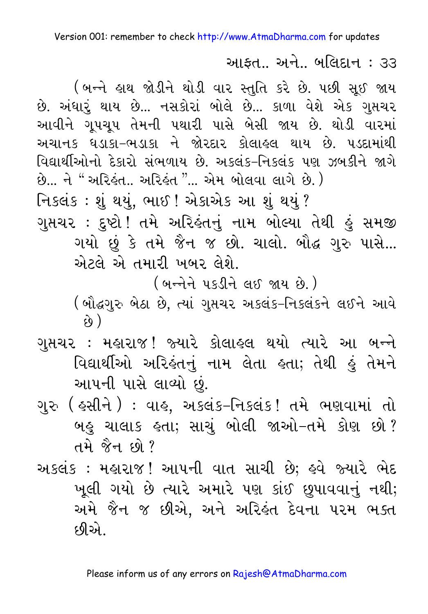આફત.. અને.. બલિદાન : ૩૩

(બન્ને હાથ જોડીને થોડી વાર સ્તુતિ કરે છે. પછી સૂઈ જાય છે. અંધારૂં થાય છે... નસકોરાં બોલે છે... કાળા વેશે એક ગુપ્તચર આવીને ગુપચુપ તેમની પથારી પાસે બેસી જાય છે. થોડી વારમાં અચાનક ધડાકા-ભડાકા ને જોરદાર કોલાહલ થાય છે. પડદામાંથી વિદ્યાર્થીઓનો દેકારો સંભળાય છે. અકલંક-નિકલંક પણ ઝબકીને જાગે છે... ને " અરિકંત.. અરિકંત "... એમ બોલવા લાગે છે. ) નિકલંક : શું થયું, ભાઈ ! એકાએક આ શું થયું ? ગુપ્તચર : દુષ્ટો ! તમે અરિહંતનું નામ બોલ્યા તેથી હું સમજી ગયો છું કે તમે જૈન જ છો. ચાલો. બૌદ્ધ ગુરુ પાસે... એટલે એ તમારી ખબર લેશે.

(બન્નેને પકડીને લઈ જાય છે.)

(બૌદ્ધગુરુ બેઠા છે, ત્યાં ગુપ્તચર અકલંક-નિકલંકને લઈને આવે ે છે )

- ગુપ્તચર : મહારાજ! જ્યારે કોલાહલ થયો ત્યારે આ બન્ને વિદ્યાર્થીઓ અરિલંતનું નામ લેતા હતા; તેથી હું તેમને આપની પાસે લાવ્યો છં.
- ગુરુ ( હસીને ) : વાહ, અકલંક-નિકલંક ! તમે ભણવામાં તો બહુ ચાલાક હતા; સાચું બોલી જાઓ–તમે કોણ છો? તમે જૈન છો?
- અકલંક : મહારાજ! આપની વાત સાચી છે; હવે જ્યારે ભેદ ખૂલી ગયો છે ત્યારે અમારે પણ કાંઈ છુપાવવાનું નથી; અમે જૈન જ છીએ, અને અરિલંત દેવના ૫૨મ ભક્ત <u>દળીએ ક</u>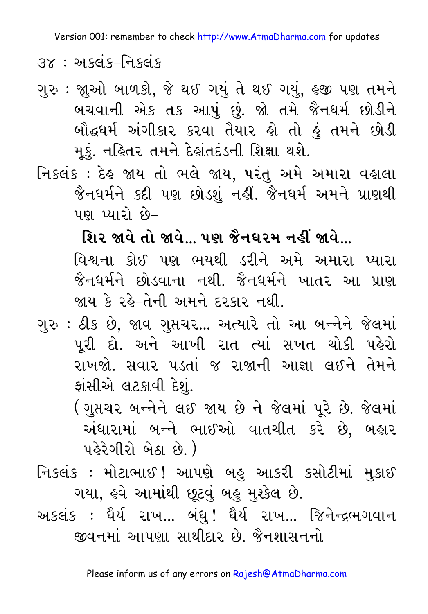3x : અકલંક-નિકલંક

- ગુરુ : જાુઓ બાળકો, જે થઈ ગયું તે થઈ ગયું, હજી પણ તમને બચવાની એક તક આપું છું. જો તમે જૈનધર્મ છોડીને બૌદ્ધર્મ અંગીકાર કરવા તૈયાર હો તો હું તમને છોડી મૂકું. નહિતર તમને દેહાંતદંડની શિક્ષા થશે.
- નિકલંક : દેહ જાય તો ભલે જાય, પરંતુ અમે અમારા વહાલા જૈનધર્મને કદી પણ છોડશું નહીં. જૈનધર્મ અમને પ્રાણથી પણ પ્યારો છે-

શિર જાવે તો જાવે... પણ જૈનઘરમ નહીં જાવે...

વિશ્વના કોઈ પણ ભયથી ડરીને અમે અમારા પ્યારા જૈનધર્મને છોડવાના નથી. જૈનધર્મને ખાતર આ પ્રાણ જાય કે રહે-તેની અમને દરકાર નથી.

- ગુરુ : ઠીક છે, જાવ ગુપ્તચર... અત્યારે તો આ બન્નેને જેલમાં પૂરી દો. અને આખી રાત ત્યાં સખત ચોકી પહેરો રાખજો. સવાર પડતાં જ રાજાની આજ્ઞા લઈને તેમને ફાંસીએ લટકાવી દેશું.
	- (ગુપ્તચર બન્નેને લઈ જાય છે ને જેલમાં પરે છે. જેલમાં અંધારામાં બન્ને ભાઈઓ વાતચીત કરે છે, બહાર પહેરેગીરો બેઠા છે.)
- નિકલંક : મોટાભાઈ ! આપણે બહુ આકરી કસોટીમાં મુકાઈ ગયા, હવે આમાંથી છૂટવું બહુ મુશ્કેલ છે.
- અકલંક : ધૈર્ય રાખ... બંધુ! ધૈર્ય રાખ... જિનેન્દ્રભગવાન જીવનમાં આપણા સાથીદાર છે. જૈનશાસનનો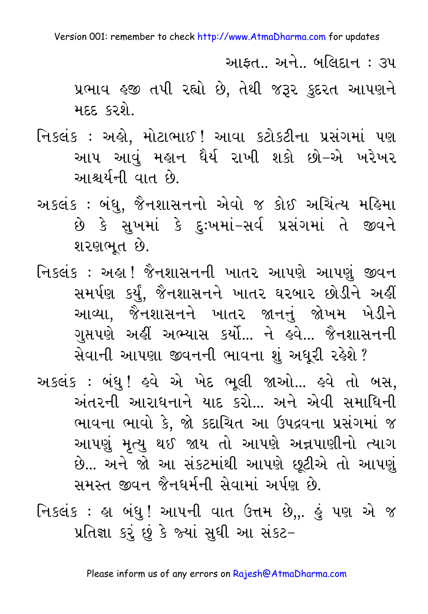આકત… અને… બલિદાન : ૩૫

પ્રભાવ હજી તપી રહ્યો છે, તેથી જરૂર કુદરત આપણને મદદ કરશે.

- નિકલંક : અહો, મોટાભાઈ ! આવા કટોકટીના પ્રસંગમાં પણ આપ આવું મહાન ઘૈર્ય રાખી શકો છો–એ ખરેખર આશ્ચર્યની વાત છે.
- અકલંક : બંધુ, જૈનશાસનનો એવો જ કોઈ અચિંત્ય મહિમા છે કે સુખમાં કે દુઃખમાં–સર્વ પ્રસંગમાં તે જીવને શરણભૂત છે.
- નિકલંક : અહ્ય! જૈનશાસનની ખાતર આપણે આપણું જીવન સમર્પણ કર્યું, જૈનશાસનને ખાતર ઘરબાર છોડીને અહીં આવ્યા. જૈનશાસનને ખાતર જાનનું જોખમ ખેડીને ગુપ્તપણે અહીં અભ્યાસ કર્યો... ને હવે... જૈનશાસનની સેવાની આપણા જીવનની ભાવના શું અધૂરી રહેશે ?

અકલંક : બંધુ! હવે એ ખેદ ભૂલી જાઓ... હવે તો બસ, અંતરની આરાધનાને યાદ કરો... અને એવી સમાધિની ભાવના ભાવો કે, જો કદાચિત આ ઉપદ્રવના પ્રસંગમાં જ આપણું મૃત્યુ થઈ જાય તો આપણે અન્નપાણીનો ત્યાગ છે... અને જો આ સંકટમાંથી આપણે છૂટીએ તો આપણું સમસ્ત જીવન જૈનઘર્મની સેવામાં અર્પણ છે.

નિકલંક : હ્રા બંધુ! આપની વાત ઉત્તમ છે,,. હું પણ એ જ પ્રતિજ્ઞા કરું છું કે જ્યાં સુધી આ સંકટ–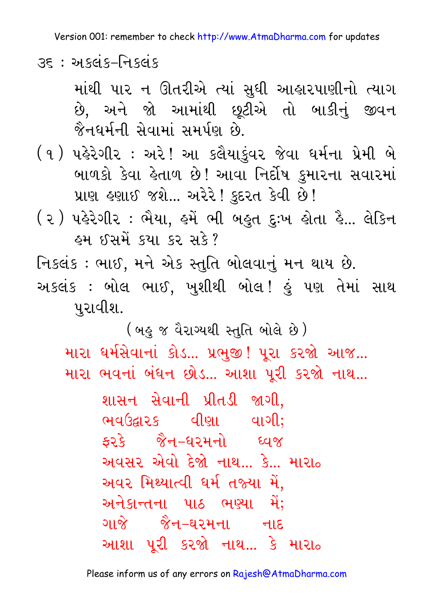35 : અકલંક-નિકલંક

માંથી પાર ન ઊતરીએ ત્યાં સુધી આહારપાણીનો ત્યાગ છે. અને જો આમાંથી છુટીએ તો બાકીનું જીવન જૈનઘર્મની સેવામાં સમર્પણ છે.

(૧) પહેરેગીર : અરે! આ કલૈયાકુંવર જેવા ધર્મના પ્રેમી બે બાળકો કેવા હેતાળ છે! આવા નિર્દોષ કુમારના સવારમાં પ્રાણ હણાઈ જશે... અરેરે! કુદરત કેવી છે!

( ૨ ) પહેરેગીર : ભૈયા, હમેં ભી બહુત દુઃખ હોતા હૈ... લેકિન હમ ઈસમેં કચા કર સકે?

નિકલંક : ભાઈ, મને એક સ્તુતિ બોલવાનું મન થાય છે. અકલંક : બોલ ભાઈ, ખુશીથી બોલ! હું પણ તેમાં સાથ પુરાવીશ.

(બહુ જ વૈરાગ્યથી સ્તુતિ બોલે છે)

મારા ધર્મસેવાનાં કોડ... પ્રભજી! પરા કરજો આજ... મારા ભવનાં બંધન છોડ... આશા પૂરી કરજો નાથ...

> શાસન સેવાની પ્રીતડી જાગી. ભવઉદ્ઘારક વીણા વાગી: કરકે જૈન–ધરમનો ધ્વજ અવસર એવો દેજો નાથ… કે… મારા<sub>૦</sub> અવર મિથ્યાત્વી ધર્મ તજ્યા મેં. અનેકાન્તના પાઠ ભણ્યા મેં: ગાજે જૈન–ઘરમના નાદ આશા પૂરી કરજો નાથ... કે મારા<sub>૦</sub>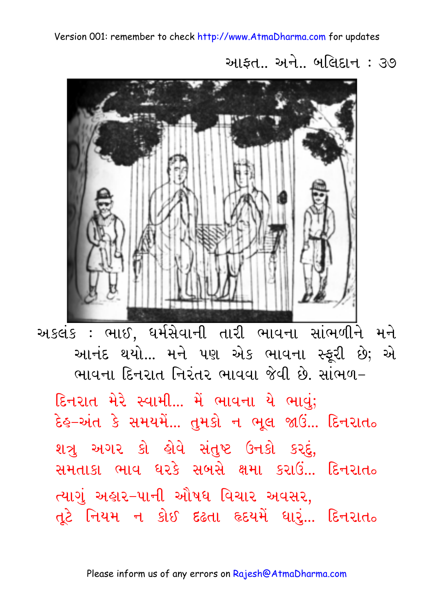આફત.. અને.. બલિદાન : ૩૭



અકલંક : ભાઈ, ધર્મસેવાની તારી ભાવના સાંભળીને મને આનંદ થયો... મને પણ એક ભાવના સ્ફરી છે; એ ભાવના દિનરાત નિરંતર ભાવવા જેવી છે. સાંભળ-

દિનરાત મેરે સ્વામી... મેં ભાવના યે ભાવું; દેહ-અંત કે સમયમેં... તુમકો ન ભૂલ જાઉં... દિનરાત<sub>૦</sub> શત્રુ અગર કો હોવે સંતુષ્ટ ઉનકો કરદું, સમતાકા ભાવ ધરકે સબસે ક્ષમા કરાઉં… દિનરાત<sub>ુ</sub> ત્યાગું અહાર–પાની ઔષધ વિચાર અવસર, તૂટે નિયમ ન કોઈ દઢતા હૃદયમેં ધારૂં... દિનરાત<sub>૦</sub>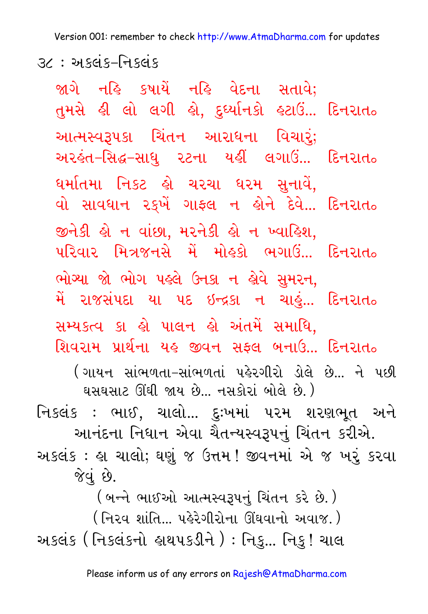Version 001: remember to check http://www.AtmaDharma.com for updates  $3$ ૮ : અકલંક–નિકલંક

જાગે નહિ કષાયેં નહિ વેદના સતાવે; તુમસે હી લો લગી હો, દુધ્યાનિકો હટાઉં... દિનરાત<sub>૦</sub> આત્મસ્વરૂપકા ચિંતન આરાધના વિચારું; અરહંત–સિદ્ધ–સાધુ ૨ટના યહીં લગાઉં... દિનરાત<sub>૦</sub> ધર્માતમા નિકટ હો ચરચા ધરમ સુનાવે, વો સાવધાન રક્ષ ગાફ્લ ન હોને દેવે... દિનરાત<sub>૦</sub> જીનેકી હો ન વાંછા, મરનેકી હો ન ખ્વાહિશ,  $\mu$ રિવાર મિત્રજનસે મેં મોહકો ભગાઉં... દિનરાત $_{\circ}$ ભોગ્યા જો ભોગ પહલે ઉનકા ન હોવે સુમરન, મેં રાજસંપદા યા ૫દ ઇન્દ્રકા ન ચાહું... દિનરાત<sub>૦</sub> સમ્યકત્વ કા હો પાલન હો અંતમેં સમાધિ, શિવરામ પ્રાર્થના યહ જીવન સફ્લ બનાઉ... દિનરાત<sub>૦</sub> ( ગાયન, સાંભળતા-સાંભળતાં, પહેરગીરો, ડોલે, છે... ને, પછી ઘસઘસાટ ઊંઘી જાય છે... નસકોરાં બોલે છે.) નિકલંક : ભાઈ, ચાલો... દઃખમાં પરમ શરણભત અને આનંદના નિધાન એવા ચૈતન્યસ્વરૂપનં ચિંતન કરીએ. અકલંક : હ્રા ચાલો; ઘણું જ ઉત્તમ ! જીવનમાં એ જ ખરું કરવા જેવું છે. (બન્ને ભાઈઓ આત્મસ્વરૂપનું ચિંતન કરે છે.)

( નિરવ શાંતિ... પહેરેગીરોના ઊંઘવાનો અવાજ. ) અકલંક ( નિકલંકનો હાથપકડીને ) : નિકુ... નિકુ ! ચાલ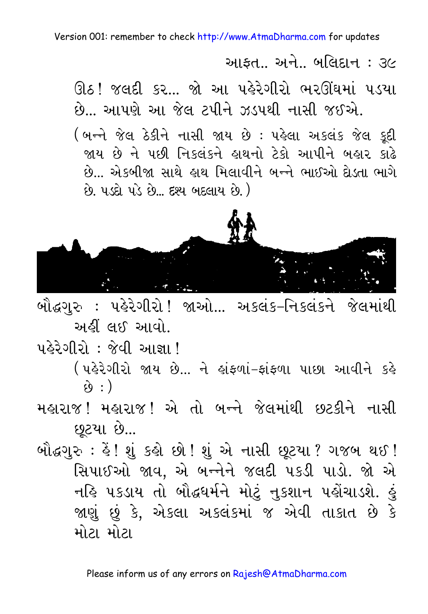આકત… અને… બલિદાન : ૩૯

ઊઠ! જલદી કર... જો આ પહેરેગીરો ભરઊંઘમાં પડયા છે... આપણે આ જેલ ટપીને ઝડપથી નાસી જઈએ. (બન્ને જેલ ઠેકીને નાસી જાય છે : પહેલા અકલંક જેલ કુદી જાય છે ને પછી નિકલંકને હાથનો ટેકો આપીને બહાર કાઢે

છે... એકબીજા સાથે હાથ મિલાવીને બન્ને ભાઈઓ દોડતા ભાગે છે. પડદો પડે છે... દશ્ય બદલાય છે.)



બૌદ્ધગુરુ : પહેરેગીરો ! જાઓ... અકલંક-નિકલંકને જેલમાંથી અહીં લઈ આવો.

<u> પહેરેગીરો : જેવી આજ્ઞા!</u>

(પહેરેગીરો જાય છે... ને હાંફળાં-ફાંફળા પાછા આવીને કહે  $\hat{y}$  : )

મહારાજ ! મહારાજ ! એ તો બન્ને જેલમાંથી છટકીને નાસી છૂટયા છે...

બૌદ્ધગુરુ : હૈ ! શું કહો છો ! શું એ નાસી છૂટયા ? ગજબ થઈ ! સિપાઈઓ જાવ, એ બન્નેને જલદી પકડી પાડો. જો એ નહિ ૫કડાય તો બૌદ્ધર્મને મોટું નુકશાન પહોંચાડશે. હું જાણું છું કે, એકલા અકલંકમાં જ એવી તાકાત છે કે મોટા મોટા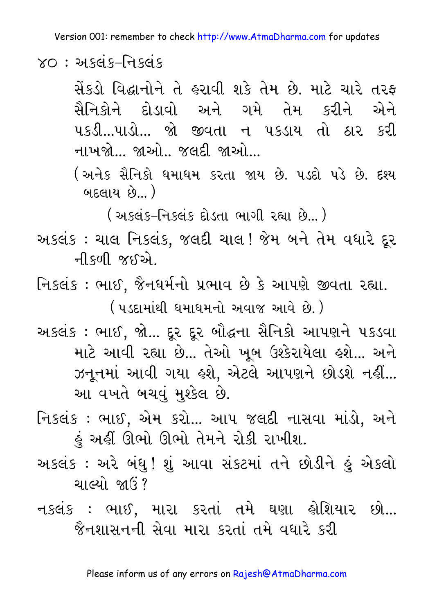$XO:$  અકલંક-નિકલંક

સેંકડો વિદ્ધાનોને તે હરાવી શકે તેમ છે. માટે ચારે તરફ સૈનિકોને દોડાવો અને ગમે તેમ કરીને એને ૫કડી...૫ાડો... જો જીવતા ન ૫કડાય તો ઠાર કરી નાખજો... જાઓ.. જલદી જાઓ...

(અનેક સૈનિકો ધમાધમ કરતા જાય છે. ૫ડદો પડે છે. દશ્ય બદલાય છે...  $)$ 

<u>( અકલંક-નિકલંક દોડતા ભાગી રહ્યા છે...)</u>

- અકલંક : ચાલ નિકલંક, જલદી ચાલ! જેમ બને તેમ વધારે દૂર ની કળી જઈ એ
- નિકલંક: ભાઈ, જૈનધર્મનો પ્રભાવ છે કે આપણે જીવતા રહ્યા. ( પડદામાંથી ધમાધમનો અવાજ આવે છે. )
- અકલંક : ભાઈ, જો... દૂર દૂર બૌદ્ધના સૈનિકો આપણને પકડવા માટે આવી રહ્યા છે... તેઓ ખુબ ઉશ્કેરાયેલા હશે... અને ઝનૂનમાં આવી ગયા હશે, એટલે આપણને છોડશે નહીં... આ વખતે બચવું મુશ્કેલ છે.
- નિકલંક : ભાઈ, એમ કરો... આપ જલદી નાસવા માંડો, અને હું અહીં ઊભો ઊભો તેમને રોકી રાખીશ.
- અકલંક : અરે બંધુ! શું આવા સંકટમાં તને છોડીને હું એકલો ચાલ્યો જાઉં?
- નકલંક : ભાઈ, મારા કરતાં તમે ઘણા હોશિયાર છો... જૈનશાસનની સેવા મારા કરતાં તમે વધારે કરી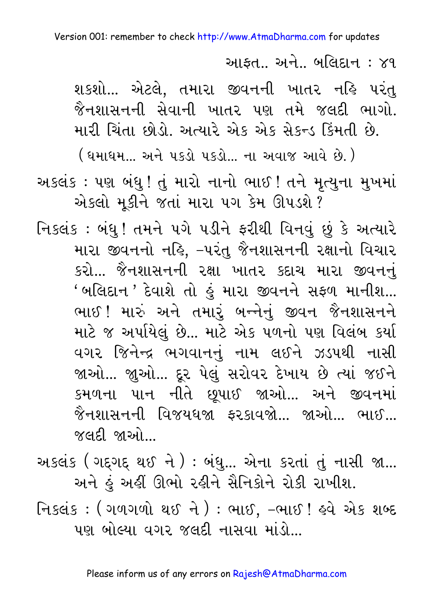આકત… અને… બલિદાન : ૪૧

શકશો... એટલે, તમારા જીવનની ખાતર નહિ પરંતુ જૈનશાસનની સેવાની ખાતર પણ તમે જલદી ભાગો. મારી ચિંતા છોડો. અત્યારે એક એક સેકન્ડ કિંમતી છે.

<u>( ધમાધમ… અને પકડો પકડો… ના અવાજ આવે છે. )</u>

અકલંક : પણ બંધુ ! તું મારો નાનો ભાઈ ! તને મૃત્યુના મુખમાં એકલો મૂકીને જતાં મારા પગ કેમ ઊપડશે ?

નિકલંક : બંધુ ! તમને પગે પડીને ફરીથી વિનવું છું કે અત્યારે મારા જીવનનો નહિ, –પરંતુ જૈનશાસનની રક્ષાનો વિચાર કરો... જૈનશાસનની રક્ષા ખાતર કદાચ મારા જીવનનું 'બલિદાન ' દેવાશે તો હું મારા જીવનને સફળ માનીશ... ભાઈ! મારું અને તમારું બન્નેનું જીવન જૈનશાસનને માટે જ અર્પાયેલું છે... માટે એક પળનો પણ વિલંબ કર્યા વગર જિનેન્દ્ર ભગવાનનું નામ લઈને ઝડપથી નાસી જાઓ... જાુઓ... દૂર પેલું સરોવર દેખાય છે ત્યાં જઈને કમળના પાન નીતે છૂપાઈ જાઓ... અને જીવનમાં જૈનશાસનની વિજયધજા ફરકાવજો... જાઓ... ભાઈ... જલદી જાઓ

અકલંક (ગદ્દગદ્દ થઈ ને): બંધુ... એના કરતાં તું નાસી જા... અને હું અહીં ઊભો રહીને સૈનિકોને રોકી રાખીશ.

નિકલંક: (ગળગળો થઈ ને): ભાઈ, -ભાઈ! હવે એક શબ્દ ૫ણ બોલ્યા વગર જલદી નાસવા માંડો...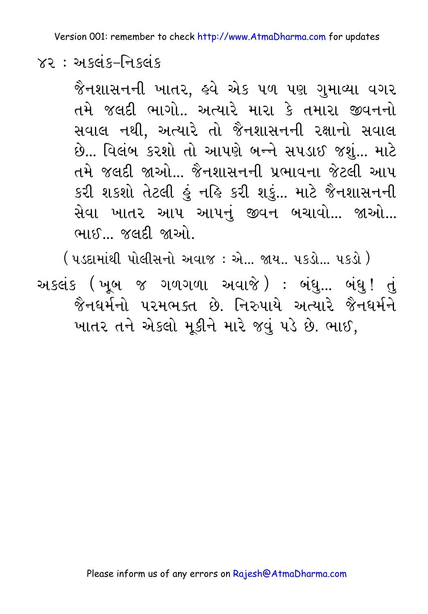#### $82:$  અકલંક–નિકલંક

જૈનશાસનની ખાતર, હવે એક ૫ળ પણ ગુમાવ્યા વગર તમે જલદી ભાગો.. અત્યારે મારા કે તમારા જીવનનો સવાલ નથી, અત્યારે તો જૈનશાસનની રક્ષાનો સવાલ છે... વિલંબ કરશો તો આપણે બન્ને સપડાઈ જશું... માટે તમે જલદી જાઓ... જૈનશાસનની પ્રભાવના જેટલી આપ કરી શકશો તેટલી હું નહિ કરી શકું... માટે જૈનશાસનની સેવા ખાતર આપ આપનું જીવન બચાવો... જાઓ... ભાઈ જલદી જાઓ

( પડદામાંથી પોલીસનો અવાજ : એ... જાય.. પકડો... પકડો ) અકલંક (ખૂબ જ ગળગળા અવાજે) : બંધુ... બંધુ! તું જૈનઘર્મનો પરમભક્ત છે નિરુપાયે અત્યારે જૈનઘર્મને ખાતર તને એકલો મૂકીને મારે જવું પડે છે. ભાઈ,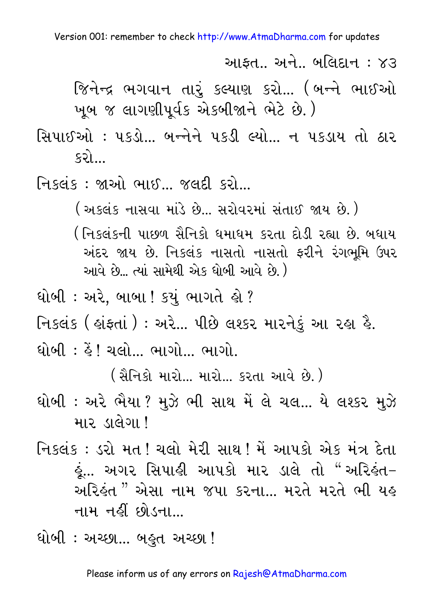આકત… અને… બલિદાન : ૪૩

જિનેન્દ્ર ભગવાન તારું કલ્યાણ કરો... (બન્ને ભાઈઓ ખૂબ જ લાગણીપૂર્વક એકબીજાને ભેટે છે.)

સિપાઈઓ : ૫કડો ... બન્નેને ૫કડી લ્યો ... ન ૫કડાય તો ઠાર  $52$ 

નિકલંક: જાઓ ભાઈ... જલદી કરો...

( અકલંક નાસવા માંડે છે... સરોવરમાં સંતાઈ જાય છે. )

- ( નિકલંકની પાછળ સૈનિકો ધમાધમ કરતા દોડી રહ્યા છે. બધાય અંદર જાય છે. નિકલંક નાસતો નાસતો ફરીને રંગભુમિ ઉપર આવે છે… ત્યાં સામેથી એક ધોબી આવે છે.)
- ધોબી : અરે, બાબા ! કયું ભાગતે હો ?
- નિકલંક ( હાંફતાં ) : અરે... પીછે લશ્કર મારનેકું આ રહા હૈ.

<u>ધોબી : હૈં! ચલો… ભાગો… ભાગો.</u>

(સૈનિકો મારો... મારો... કરતા આવે છે.)

- ધોબી : અરે ભૈયા ? મુઝે ભી સાથ મેં લે ચલ... યે લશ્કર મુઝે मार डालेगा !
- નિકલંક : ડરો મત ! ચલો મેરી સાથ ! મેં આપકો એક મંત્ર દેતા હું... અગર સિપાહી આપકો માર ડાલે તો "અરિહંત− અરિઙુંત " એસા નામ જપા કરના... મરતે મરતે ભી યહ નામ નહીં છોડના...
- ધોબી : અચ્છા... બહુત અચ્છા !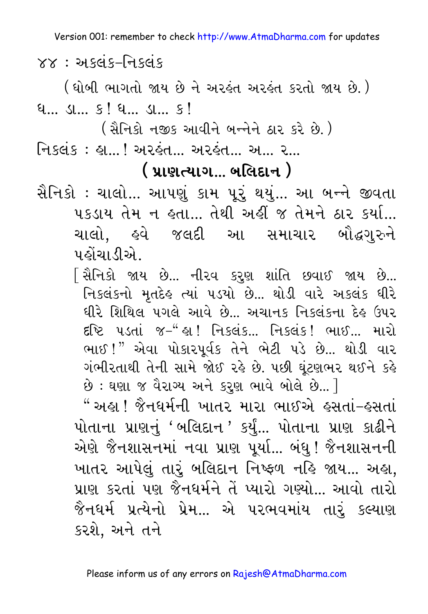$\times\times$ : અકલંક–નિકલંક

( ધોબી ભાગતો જાય છે ને અરહંત અરહંત કરતો જાય છે. )  $9...$   $9...$   $9!$   $9...$   $9!$   $9!$ 

- <u>્ ( સૈનિકો નજીક આવીને બન્નેને ઠાર કરે છે. )</u>
- <u>નિકલંક: હા...! અરહંત... અરહંત... અ... ર...</u>

#### <u>( પ્રાણત્યાગ… બલિદાન )</u>

- સૈનિકો : ચાલો... આપણું કામ પૂરું થયું... આ બન્ને જીવતા ૫કડાય તેમ ન હતા... તેથી અહીં જ તેમને ઠાર કર્યા... પહોંચાડીએ.
	- િસૈનિકો જાય છે... નીરવ કરૃણ શાંતિ છવાઈ જાય છે... નિકલંકનો મૃતદેહ ત્યાં ૫ડયો છે... થોડી વારે અકલંક ધીરે ધીરે શિથિલ પગલે આવે છે. અચાનક નિકલંકના દેહ ઉપર દૃષ્ટિ પડતાં જ-"હા! નિકલંક… નિકલંક! ભાઈ… મારો ભાઈ!" એવા પોકારપૂર્વક તેને ભેટી પડે છે... થોડી વાર ગંભીરતાથી તેની સામે જોઈ રહે છે. ૫છી ઘંટણભર થઈને કહે છે: ઘણા જ વૈરાગ્ય અને કરણ ભાવે બોલે છે... ]

" અહા ! જૈનધર્મની ખાતર મારા ભાઈએ હસતાં-હસતાં પોતાના પ્રાણનું 'બલિદાન ' કર્યું... પોતાના પ્રાણ કાઢીને એણે જૈનશાસનમાં નવા પ્રાણ પૂર્યા... બંધુ ! જૈનશાસનની ખાતર આપેલું તારું બલિદાન નિષ્ફળ નહિ જાય... અહા, પ્રાણ કરતાં પણ જૈનધર્મને તેં પ્યારો ગણ્યો… આવો તારો જૈનધર્મ પ્રત્યેનો પ્રેમ... એ પરભવમાંય તારું કલ્યાણ કરશે. અને તને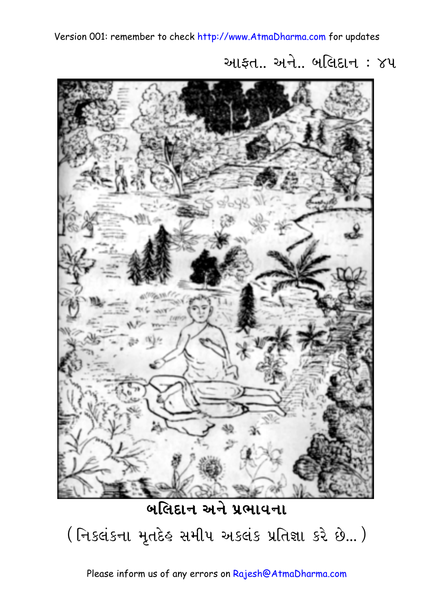આફત $\ldots$  અને $\ldots$  બલિદાન $\ldots$   $\gamma$ પ



**બલિદાન અને પ્રભાવના** (નિકલંકના મૃતદેહ સમીપ અકલંક પ્રતિજ્ઞા કરે છે...)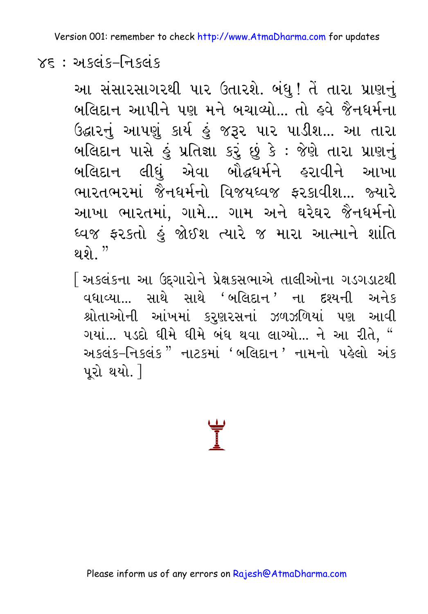#### $Y\xi$ : અ $s$ લંક–નિકલંક

આ સંસારસાગરથી પાર ઉતારશે. બંધુ! તેં તારા પ્રાણનું બલિદાન આપીને પણ મને બચાવ્યો... તો હવે જૈનધર્મના ઉદ્ઘારનું આપણું કાર્ય હું જરૂર પાર પાડીશ... આ તારા બલિદાન પાસે હું પ્રતિજ્ઞા કરું છું કે : જેણે તારા પ્રાણનું બલિદાન લીધું એવા બૌદ્ધર્મને હરાવીને આખા ભારતભરમાં જૈનધર્મનો વિજયઘ્વજ કરકાવીશ... જ્યારે આખા ભારતમાં, ગામે... ગામ અને ઘરેઘર જૈનધર્મનો ધ્વજ ફરકતો હું જોઈશ ત્યારે જ મારા આત્માને શાંતિ ଥ $\hat{p}$  "

[ અકલંકના આ ઉદ્દગારોને પ્રેક્ષકસભાએ તાલીઓના ગડગડાટથી  $q$ દ્યા $\omega$ ... સાથે સાથે 'બલિદાન' ના દશ્યની અનેક શ્રોતાઓની આંખમાં કરણરસનાં ઝળઝળિયાં પણ આવી ગયાં... ૫ડદો ધીમે ધીમે બંધ થવા લાગ્યો... ને આ રીતે, " Muscis-નિકલંક" નાટકમાં 'બલિદાન' નામનો પહેલો અંક પરો થયો. $\overline{\phantom{a}}$ 

**E**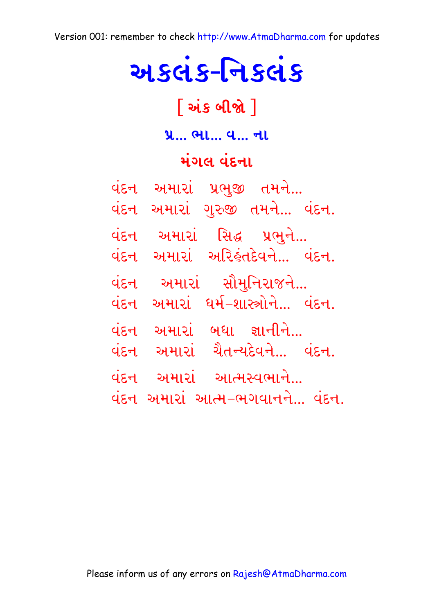# અકલંક-નિકલંક

## [અંક બીજો]

#### પ્ર... ભા... વ... ના

#### મંગલ વંદના

| વંદન | અમારાં                    | પ્રભુજી તમને          |  |
|------|---------------------------|-----------------------|--|
| વંદન | અમારાં                    | ગુરુજી તમને વંદન.     |  |
| વંદન | અમારાં                    | સિદ્ધ પ્રભુને         |  |
| વંદન | અમારાં                    | અરિકંતદેવને વંદન.     |  |
| વંદન | અમારાં                    | સૌમુનિરાજને           |  |
| વંદન | અમારાં                    | ધર્મ–શાસ્ત્રોને વંદન. |  |
| વંદન | અમારાં                    | બધા જ્ઞાનીને          |  |
| વંદન | અમારાં                    | ચૈતન્યદેવને વંદન.     |  |
| વંદન |                           | અમારાં આત્મસ્વભાને    |  |
| વંદન | અમારાં આત્મ–ભગવાનને વંદન. |                       |  |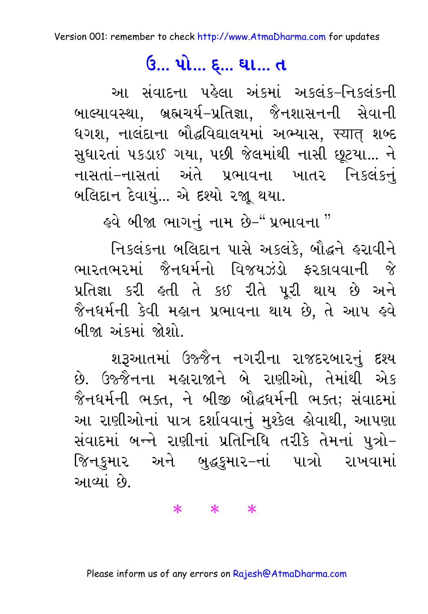### ઉં... પો... **દ્...** ઘા... ત

આ સંવાદના પહેલા અંકમાં અકલંક–નિકલંકની બાલ્યાવસ્થા, બ્રહ્મચર્ય-પ્રતિજ્ઞા, જૈનશાસનની સેવાની ધગશ, નાલંદાના બૌદ્ધવિદ્યાલયમાં અભ્યાસ, स्यात् શબ્દ સુધારતાં ૫કડાઈ ગયા, ૫છી જેલમાંથી નાસી છૂટયા... ને નાસતાં–નાસતાં અંતે પ્રભાવના ખાતર નિકલંકનં બલિદાન દેવાયું... એ દશ્યો રજા થયા.

૬વે બીજા ભાગનું નામ છે−"પ્રભાવના "

નિકલંકના બલિદાન પાસે અકલંકે, બૌદ્ધને હરાવીને ભારતભરમાં જૈનધર્મનો વિજયઝંડો કરકાવવાની જે પ્રતિજ્ઞા કરી હતી તે કઈ રીતે પૂરી થાય છે અને જૈનધર્મની કેવી મહાન પ્રભાવના થાય છે, તે આપ હવે બીજા અંકમાં જોશો

શરૂઆતમાં ઉજ્જૈન નગરીના રાજદરબારનું દશ્ય છે. ઉજ્જૈનના મહારાજાને બે રાણીઓ, તેમાંથી એક જૈનઘર્મની ભક્ત, ને બીજી બૌદ્ધર્મની ભક્ત; સંવાદમાં આ રાણીઓનાં પાત્ર દર્શાવવાનું મુશ્કેલ હોવાથી, આપણા સંવાદમાં બન્ને રાણીનાં પ્રતિનિધિ તરીકે તેમનાં પુત્રો-જિનકુમાર અને બુદ્ધકુમાર-નાં પાત્રો રાખવામાં આવ્યાં છે.

 $* * * *$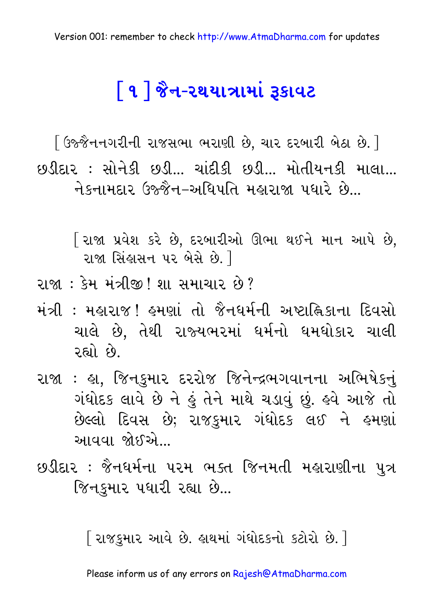# <u>િ૧ | જૈન-૨થયાત્રામાં રૂકાવટ</u>

[ ઉજ્જૈનનગરીની રાજસભા ભરાણી છે, ચાર દરબારી બેઠા છે. ] છડીદાર : સોનેકી છડી… ચાંદીકી છડી… મોતીયનકી માલા… નેકનામદાર ઉજ્જૈન–અધિપતિ મહારાજા પધારે છે...

િરાજા પ્રવેશ કરે છે, દરબારીઓ ઊભા થઈને માન આપે છે, રાજા સિંહાસન પર બેસે છે. 1

- રાજા : કેમ મંત્રીજી ! શા સમાચાર છે ?
- મંત્રી : મહારાજ ! હુમણાં તો જૈનધર્મની અષ્ટાહ્નિકાના દિવસો ચાલે છે, તેથી રાજ્યભરમાં ધર્મનો ધમધોકાર ચાલી છે. હિલ
- રાજા : હા, જિનકુમાર દરરોજ જિનેન્દ્રભગવાનના અભિષેકનું ગંધોદક લાવે છે ને હું તેને માથે ચડાવું છું. હવે આજે તો છેલ્લો દિવસ છે; રાજકુમાર ગંધોદક લઈ ને હમણાં આવવા જોઈએ…
- છડીદાર : જૈનધર્મના પરમ ભક્ત જિનમતી મહારાણીના પુત્ર જિનકુમાર પધારી રહ્યા છે...

[ રાજકુમાર આવે છે. હાથમાં ગંધોદકનો કટોરો છે. ]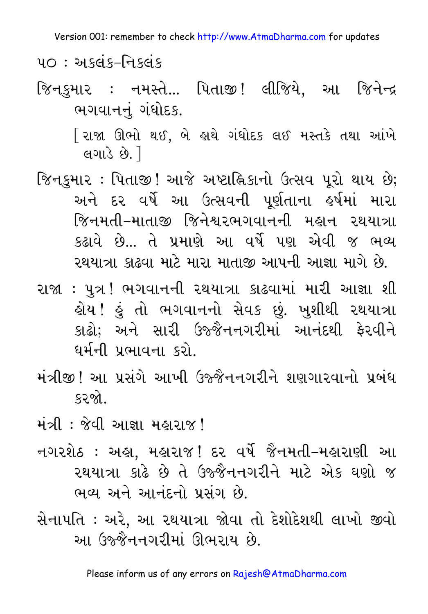$40:$  અકલંક-નિકલંક

જિનકમાર : નમસ્તે... પિતાજી! લીજિયે. આ જિનેન્દ્ર ભગવાનનં ગંધોદક.

> [રાજા ઊભો થઈ, બે હાથે ગંધોદક લઈ મસ્તકે તથા આંખે લગાડે છે. 1

- જિનકુમાર : પિતાજી ! આજે અષ્ટાહ્નિકાનો ઉત્સવ પૂરો થાય છે; અને દર વર્ષે આ ઉત્સવની પૂર્ણતાના હર્ષમાં મારા જિનમતી–માતાજી જિનેશ્વરભગવાનની મહાન રથયાત્રા કઢાવે છે... તે પ્રમાણે આ વર્ષે પણ એવી જ ભવ્ય રથયાત્રા કાઢવા માટે મારા માતાજી આપની આજ્ઞા માગે છે.
- રાજા : પુત્ર ! ભગવાનની રથયાત્રા કાઢવામાં મારી આજ્ઞા શી હોય ! હું તો ભગવાનનો સેવક છું. ખુશીથી રથયાત્રા કાઢો; અને સારી ઉજ્જૈનનગરીમાં આનંદથી ફેરવીને ઘર્મની પ્રભાવના કરો.
- મંત્રીજી ! આ પ્રસંગે આખી ઉજ્જૈનનગરીને શણગારવાનો પ્રબંધ કરજો

મંત્રી: જેવી આજ્ઞા મહારાજ!

- નગરશેઠ : અહ્રા, મહારાજ! દર વર્ષે જૈનમતી–મહારાણી આ રથયાત્રા કાઢે છે તે ઉજ્જૈનનગરીને માટે એક ઘણો જ ભવ્ય અને આનંદનો પ્રસંગ છે.
- સેનાપતિ : અરે, આ રથયાત્રા જોવા તો દેશોદેશથી લાખો જીવો આ ઉજ્જૈનનગરીમાં ઊભરાય છે.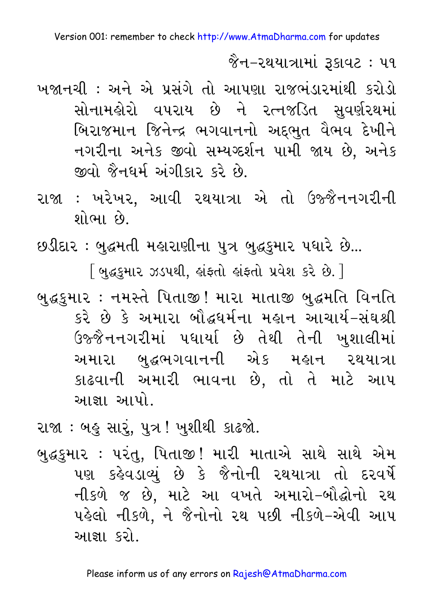જૈન–રથયાત્રામાં રૂકાવટ : ૫૧

- ખજાનચી : અને એ પ્રસંગે તો આપણા રાજભંડારમાંથી કરોડો સોનામહોરો વપરાય છે ને રત્નજડિત સુવર્ણરથમાં બિરાજમાન જિનેન્દ્ર ભગવાનનો અદ્દભુત વૈભવ દેખીને નગરીના અનેક જીવો સમ્યગ્દર્શન પામી જાય છે. અનેક જીવો જૈનધર્મ અંગીકાર કરે છે.
- રાજા : ખરેખર, આવી રથયાત્રા એ તો ઉજ્જૈનનગરીની શોભા છે.
- છડીદાર : બુદ્ધમતી મહારાણીના પુત્ર બુદ્ધકુમાર પધારે છે...

[ બુદ્ધકુમાર ઝડપથી, હાંફતો હાંફતો પ્રવેશ કરે છે. ]

- બુદ્ધકુમાર : નમસ્તે પિતાજી! મારા માતાજી બુદ્ધમતિ વિનતિ કરે છે કે અમારા બૌદ્ધઘર્મના મહાન આચાર્ય-સંઘશ્રી ઉજ્જૈનનગરીમાં પધાર્યા છે તેથી તેની ખુશાલીમાં અમારા બદ્ધભગવાનની એક મહાન રથયાત્રા કાઢવાની અમારી ભાવના છે, તો તે માટે આપ આજ્ઞા આપો.
- રાજા : બહુ સારું, પુત્ર ! ખુશીથી કાઢજો.
- બુદ્ધકુમાર : પરંતુ, પિતાજી! મારી માતાએ સાથે સાથે એમ પણ કહેવડાવ્યું છે કે જૈનોની રથયાત્રા તો દરવર્ષે નીકળે જ છે. માટે આ વખતે અમારો-બૌદ્ધોનો રથ પહેલો નીકળે. ને જૈનોનો રથ પછી નીકળે-એવી આપ આજ્ઞા કરો.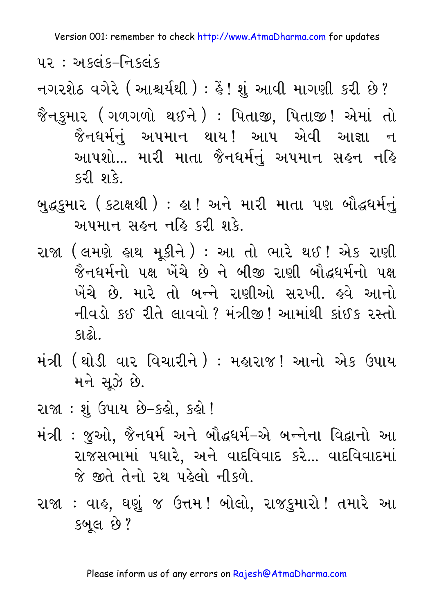<u>પર: અલ્લંક–નિક્લંક</u>

નગરશેઠ વગેરે ( આશ્ચર્યથી ) : હૈં ! શું આવી માગણી કરી છે ?

- જૈનકુમાર (ગળગળો થઈને ) : પિતાજી, પિતાજી! એમાં તો જૈનધર્મનં અપમાન થાય! આપ એવી આજ્ઞા ન આપશો... મારી માતા જૈનધર્મનું અપમાન સહન નહિ કરી શકે.
- બુદ્ધકુમાર ( કટાક્ષથી ) : હા ! અને મારી માતા પણ બૌદ્ધર્મનું અપમાન સહન નહિ કરી શકે.
- રાજા (લમણે હાથ મકીને ) : આ તો ભારે થઈ! એક રાણી જૈનધર્મનો પક્ષ ખેંચે છે ને બીજી રાણી બૌદ્ધધર્મનો પક્ષ ખેંચે છે. મારે તો બન્ને રાણીઓ સરખી. હવે આનો નીવડો કઈ રીતે લાવવો ? મંત્રીજી ! આમાંથી કાંઈક રસ્તો કાઢો..
- મંત્રી (થોડી વાર વિચારીને ) : મહારાજ! આનો એક ઉપાય મને સઝે છે.
- રાજા : શંઉપાય છે-કહો, કહો !
- મંત્રી : જુઓ, જૈનધર્મ અને બૌદ્ધર્મ-એ બન્નેના વિદ્વાનો આ રાજસભામાં ૫ધારે, અને વાદવિવાદ કરે... વાદવિવાદમાં જે જીતે તેનો રથ પહેલો નીકળે.
- રાજા : વાહ, ઘણું જ ઉત્તમ! બોલો, રાજકુમારો! તમારે આ કબલ છે?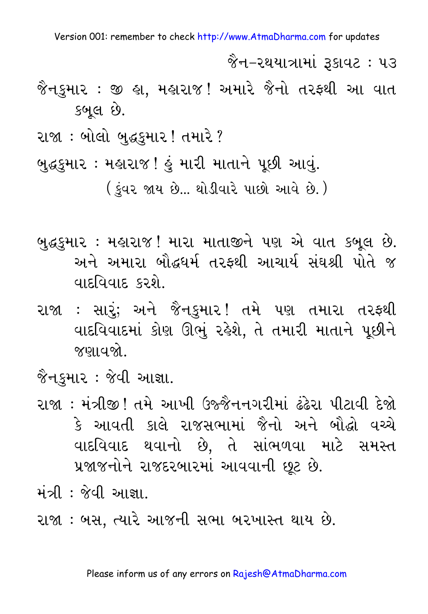જૈન–રથયાત્રામાં રૂકાવટ : ૫૩

- જૈનકુમાર : જી હ્રા, મહારાજ! અમારે જૈનો તરફથી આ વાત કબલ છે.
- રાજા : બોલો બુદ્ધકુમાર ! તમારે ?
- બુદ્ધકુમાર : મહારાજ ! હું મારી માતાને પૂછી આવું.

( કુંવર જાય છે... થોડીવારે પાછો આવે છે.)

- બુદ્ધકુમાર : મહારાજ! મારા માતાજીને પણ એ વાત કબૂલ છે. અને અમારા બૌદ્ધધર્મ તરફથી આચાર્ય સંઘશ્રી પોતે જ વાદવિવાદ કરશે.
- રાજા : સારં; અને જૈનકમાર! તમે પણ તમારા તરફથી વાદવિવાદમાં કોણ ઊભું રહેશે. તે તમારી માતાને પછીને જણાવજો.

જૈનકમાર : જેવી આજ્ઞા.

- રાજા : મંત્રીજી ! તમે આખી ઉજ્જૈનનગરીમાં ઢંઢેરા પીટાવી દેજો કે આવતી કાલે રાજસભામાં જૈનો અને બૌદ્ધો વચ્ચે વાદવિવાદ થવાનો છે, તે સાંભળવા માટે સમસ્ત પ્રજાજનોને રાજદરબારમાં આવવાની છૂટ છે.
- મંત્રી : જેવી આજ્ઞા
- રાજા : બસ, ત્યારે આજની સભા બરખાસ્ત થાય છે.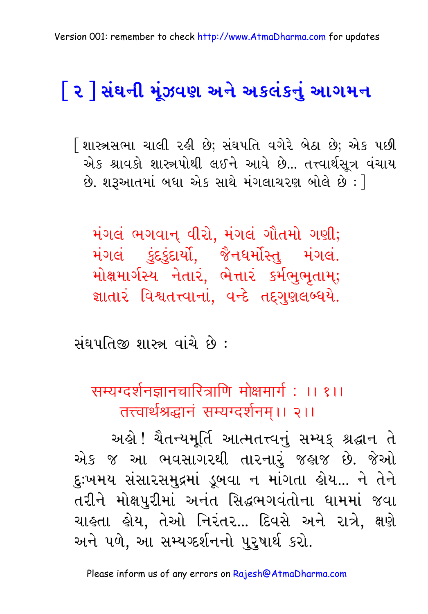# <u>િર |ે સંઘની મું</u>ઝવણ અને અકલંકનું આગમન

િશાસ્ત્રસભા ચાલી રહી છે; સંઘપતિ વગેરે બેઠા છે; એક પછી એક શ્રાવકો શાસ્ત્રપોથી લઈને આવે છે... તત્ત્વાર્થસૂત્ર વંચાય  $\dot{\mathbf{\vartheta}}$ . શરૂઆતમાં બધા એક સાથે મંગલાચરણ બોલે છે:  $\rceil$ 

મંગલં ભગવાન્ વીરો, મંગલં ગૌતમો ગણી; મંગલં કુંદકુંદાર્યો, જૈનધર્મોસ્તુ મંગલં. મોક્ષમાર્ગસ્ય નેતારં, ભેત્તારં કર્મભુભૂતામ્; જ્ઞાતારં વિશ્વતત્ત્વાનાં, વન્દે તદ્દગુણલબ્ધયે.

સંઘપતિજી શાસ્ત્ર વાંચે છે :

सम्यग्दर्शनज्ञानचारित्राणि मोक्षमार्ग : ।। १।। तत्त्वार्थश्रद्धानं सम्यग्दर्शनम।। २।।

અહો! ચૈતન્યમૂર્તિ આત્મતત્ત્વનું સમ્યક્ શ્રદ્ધાન તે એક જ આ ભવસાગરથી તારનારું જહાજ છે. જેઓ દુઃખમય સંસારસમુદ્રમાં ડૂબવા ન માંગતા ક્રોય... ને તેને તરીને મોક્ષપુરીમાં અનંત સિદ્ધભગવંતોના ધામમાં જવા ચાહતા હોય, તેઓ નિરંતર... દિવસે અને રાત્રે, ક્ષણે અને પળે, આ સમ્યગ્દર્શનનો પુરૂષાર્થ કરો.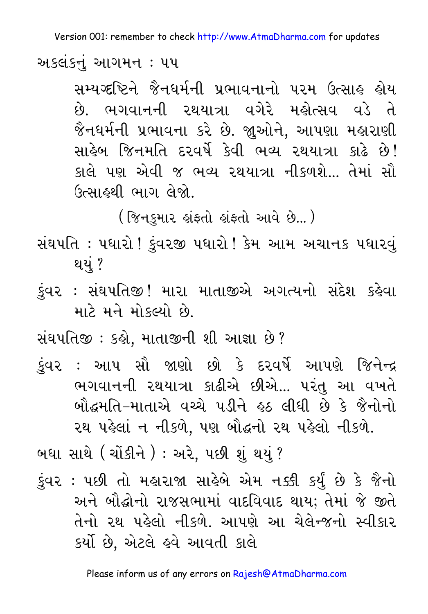અકલંકનું આગમન : ૫૫

સમ્યગ્દષ્ટિને જૈનધર્મની પ્રભાવનાનો પરમ ઉત્સાહ હોય છે. ભગવાનની રથયાત્રા વગેરે મહોત્સવ વડે તે જૈનધર્મની પ્રભાવના કરે છે. જાુઓને, આપણા મહારાણી સાહેબ જિનમતિ દરવર્ષે કેવી ભવ્ય રથયાત્રા કાઢે છે! કાલે પણ એવી જ ભવ્ય રથયાત્રા નીકળશે... તેમાં સૌ ઉત્સાહથી ભાગ લેજો.

( જિનકમાર હાંફતો હાંફતો આવે છે... )

- સંઘપતિ : પધારો ! ડુંવરજી પધારો ! કેમ આમ અચાનક પધારવું થયું ?
- કુંવર : સંઘપતિજી! મારા માતાજીએ અગત્યનો સંદેશ કહેવા માટે મને મોકલ્યો છે.

સંઘપતિજી : કહો, માતાજીની શી આજ્ઞા છે?

કંવર : આપ સૌ જાણો છો કે દરવર્ષે આપણે જિનેન્દ્ર ભગવાનની રથયાત્રા કાઢીએ છીએ... પરંતુ આ વખતે બૌદ્ધમૃતિ-માતાએ વચ્ચે પડીને ૬ઠ લીધી છે કે જૈનોનો રથ પહેલાં ન નીકળે. પણ બૌદ્ધનો રથ પહેલો નીકળે.

બઘા સાથે (ચોંકીને ) : અરે, પછી શું થયું ?

કુંવર : ૫છી તો મહારાજા સાહેબે એમ નક્કી કર્યું છે કે જૈનો અને બૌદ્ધોનો રાજસભામાં વાદવિવાદ થાય; તેમાં જે જીતે તેનો રથ પહેલો નીકળે. આપણે આ ચેલેન્જનો સ્વીકાર કર્યો છે. એટલે હવે આવતી કાલે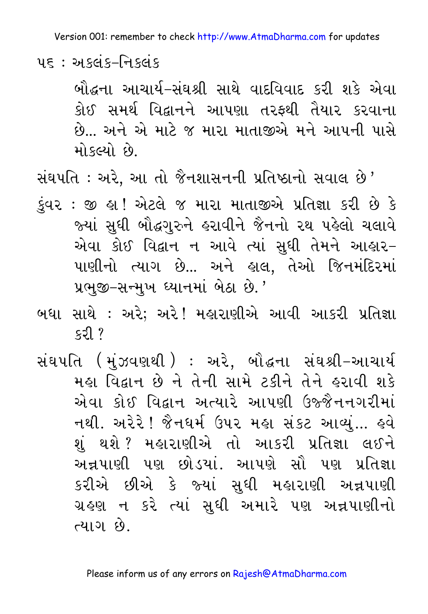<u> ५६ : અક્લંક–નિક્લંક</u>

બૌદ્ધના આચાર્ય-સંઘશ્રી સાથે વાદવિવાદ કરી શકે એવા કોઈ સમર્થ વિદ્વાનને આપણા તરફથી તૈયાર કરવાના છે... અને એ માટે જ મારા માતાજીએ મને આપની પાસે મોકલ્યો છે.

સંઘપતિ : અરે, આ તો જૈનશાસનની પ્રતિષ્ઠાનો સવાલ છે'

- કુંવર : જી હ્રા! એટલે જ મારા માતાજીએ પ્રતિજ્ઞા કરી છે કે જ્યાં સુધી બૌદ્ધગુરુને હરાવીને જૈનનો રથ પહેલો ચલાવે એવા કોઈ વિદ્વાન ન આવે ત્યાં સુધી તેમને આહાર– પાણીનો ત્યાગ છે... અને હાલ, તેઓ જિનમંદિરમાં પ્રભુજી-સન્મુખ ધ્યાનમાં બેઠા છે.'
- બધા સાથે : અરે; અરે! મહારાણીએ આવી આકરી પ્રતિજ્ઞા  $53$
- સંઘપતિ (મુંઝવણથી) : અરે, બૌદ્ધના સંઘશ્રી-આચાર્ય મહા વિદ્વાન છે ને તેની સામે ટકીને તેને હરાવી શકે એવા કોઈ વિદ્વાન અત્યારે આપણી ઉજ્જૈનનગરીમાં નથી. અરેરે ! જૈનધર્મ ઉપર મહા સંકટ આવ્યું... હવે શું થશે? મહારાણીએ તો આકરી પ્રતિજ્ઞા લઈને અન્નપાણી પણ છોડયાં. આપણે સૌ પણ પ્રતિજ્ઞા કરીએ છીએ કે જ્યાં સુધી મહારાણી અન્નપાણી ગ્રહણ ન કરે ત્યાં સુધી અમારે પણ અન્નપાણીનો ત્યાગ છે.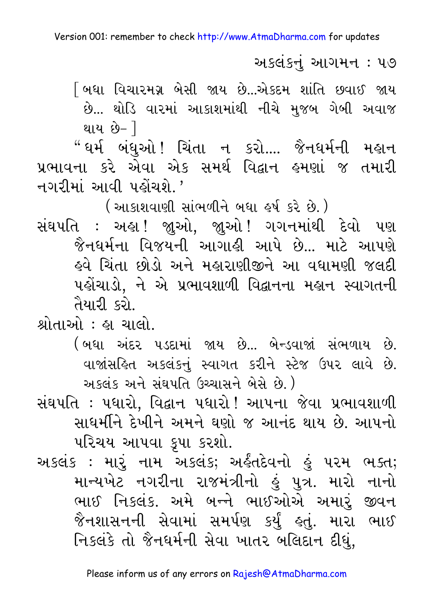અકલંકનું આગમન : ૫૭

[ બધા વિચારમગ્ન બેસી જાય છે...એકદમ શાંતિ છવાઈ જાય છે... થોડિ વારમાં આકાશમાંથી નીચે મુજબ ગેબી અવાજ થાય છે- <u>]</u>

"ઘર્મ બંધુઓ! ચિંતા ન કરો.... જૈનધર્મની મહાન પ્રભાવના કરે એવા એક સમર્થ વિદ્વાન હુમણાં જ તમારી નગરીમાં આવી પહોંચશે.'

( આકાશવાણી સાંભળીને બધા ઙર્ષ કરે છે. )

સંઘપતિ : અહ્ય! જાઓ. જાઓ! ગગનમાંથી દેવો પણ જૈનઘર્મના વિજયની આગાહી આપે છે... માટે આપણે <u>ઢવે ચિંતા છોડો અને મહારાણીજીને આ વધામણી જલદી</u> પહોંચાડો, ને એ પ્રભાવશાળી વિદ્વાનના મહાન સ્વાગતની તૈયારી કરો.

શ્રોતાઓ : હા ચાલો.

(બધા અંદર પડદામાં જાય છે... બેન્ડવાજાં સંભળાય છે. વાજાંસહિત અકલંકનું સ્વાગત કરીને સ્ટેજ ઉપર લાવે છે. અકલંક અને સંઘપતિ ઉચ્ચાસને બેસે છે.)

સંઘપતિ: પધારો, વિદ્વાન પધારો! આપના જેવા પ્રભાવશાળી સાધર્મીને દેખીને અમને ઘણો જ આનંદ થાય છે. આપનો પરિચય આપવા કૃપા કરશો.

અકલંક : મારૂં નામ અકલંક; અર્કંતદેવનો હું ૫૨મ ભક્ત; માન્યખેટ નગરીના રાજમંત્રીનો હું પુત્ર. મારો નાનો ભાઈ નિકલંક. અમે બન્ને ભાઈઓએ અમારું જીવન જૈનશાસનની સેવામાં સમર્પણ કર્યું ઙ્તું. મારા ભાઈ નિકલંકે તો જૈનધર્મની સેવા ખાતર બલિદાન દીધું,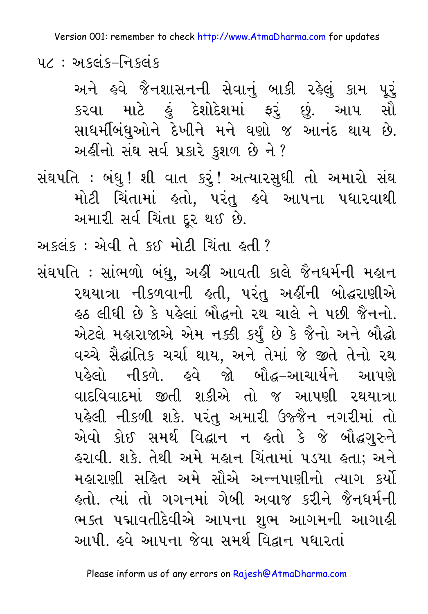૫૮: અકલંક–નિકલંક

અને હવે જૈનશાસનની સેવાનું બાકી રહેલું કામ પૂર્ કરવા માટે કું દેશોદેશમાં ફરું છું. આપ સૌ સાધર્મીબંધુઓને દેખીને મને ઘણો જ આનંદ થાય છે. અહીંનો સંઘ સર્વ પ્રકારે કુશળ છે ને ?

સંઘપતિ : બંધુ ! શી વાત કરું ! અત્યારસુધી તો અમારો સંઘ મોટી ચિંતામાં ક્રતો, પરંતુ ક્રવે આપના પધારવાથી અમારી સર્વ ચિંતા દૂર થઈ છે.

અકલંક: એવી તે કઈ મોટી ચિંતા હતી?

સંઘપતિ : સાંભળો બંધુ, અહીં આવતી કાલે જૈનધર્મની મહાન રથયાત્રા નીકળવાની હતી, પરંતુ અહીંની બોદ્ધરાણીએ ફ્રુઠ લીધી છે કે પહેલાં બૌદ્ધનો રથ ચાલે ને પછી જૈનનો. એટલે મહારાજાએ એમ નક્કી કર્યું છે કે જૈનો અને બૌદ્ધો વચ્ચે સૈદ્ધાંતિક ચર્ચા થાય, અને તેમાં જે જીતે તેનો રથ પહેલો નીકળે. હવે જો બૌદ્ધ–આચાર્યને આપણે વાદવિવાદમાં જીતી શકીએ તો જ આપણી રથયાત્રા પહેલી નીકળી શકે. પરંતુ અમારી ઉજ્જૈન નગરીમાં તો એવો કોઈ સમર્થ વિદ્વાન ન ક્લો કે જે બૌદ્ધગુરુને હરાવી. શકે. તેથી અમે મહાન ચિંતામાં ૫ડયા હતા; અને મહારાણી સહિત અમે સૌએ અન્નપાણીનો ત્યાગ કર્યો <u>હતો. ત્યાં તો ગગનમાં ગેબી અવાજ કરીને જૈનધર્મની</u> ભક્ત પદ્માવતીદેવીએ આપના શુભ આગમની આગાહી આપી. હવે આપના જેવા સમર્થ વિદ્વાન પધારતાં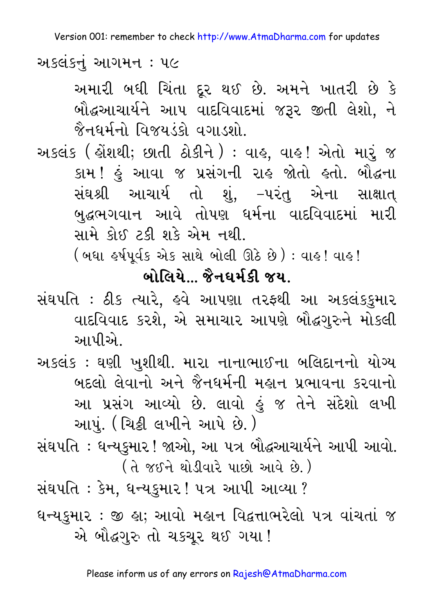અકલંકનું આગમન : ૫૯

અમારી બધી ચિંતા દૂર થઈ છે. અમને ખાતરી છે કે બૌદ્ધઆચાર્યને આપ વાદવિવાદમાં જરૂર જીતી લેશો, ને જૈનઘર્મનો વિજયડંકો વગાડશો.

અકલંક ( હોંશથી; છાતી ઠોકીને ) : વાહ, વાહ! એતો મારું જ કામ ! હું આવા જ પ્રસંગની રાહ જોતો હતો. બૌદ્ધના સંઘશ્રી આચાર્ય તો શું, –પરંતુ એના સાક્ષાત્ બુદ્ધભગવાન આવે તોપણ ઘર્મના વાદવિવાદમાં મારી સામે કોઈ ટકી શકે એમ નથી.

( બધા બ્પિર્વક એક સાથે બોલી ઊઠે છે ) : વાઙ ! વાઙ !

#### <u>બોલિયે...</u> જૈનધર્મકી જય.

સંઘપતિ : ઠીક ત્યારે, હવે આપણા તરફથી આ અકલંકકુમાર વાદવિવાદ કરશે, એ સમાચાર આપણે બૌદ્ધગુરુને મોકલી આપીએ

અકલંક : ઘણી ખુશીથી. મારા નાનાભાઈના બલિદાનનો યોગ્ય બદલો લેવાનો અને જૈનધર્મની મહાન પ્રભાવના કરવાનો આ પ્રસંગ આવ્યો છે. લાવો કું જ તેને સંદેશો લખી આપું. ( ચિક્રી લખીને આપે છે. )

સંઘપતિ : ધન્યકુમાર ! જાઓ, આ પત્ર બૌદ્ધઆચાર્યને આપી આવો. (તે જઈને થોડીવારે પાછો આવે છે.)

સંઘપતિ : કેમ, ધન્યકુમાર ! ૫ત્ર આપી આવ્યા ?

ધન્યકુમાર : જી હા; આવો મહાન વિદ્વત્તાભરેલો ૫ત્ર વાંચતાં જ એ બૌદ્ધગુરુ તો ચકચુર થઈ ગયા !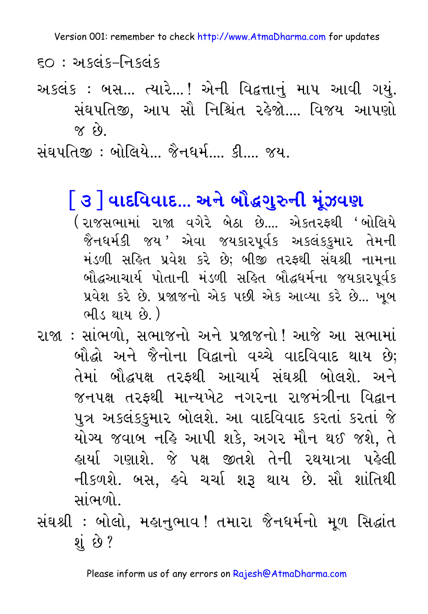$50 : 315 - 955$ 

અકલંક: બસ... ત્યારે...! એની વિદ્વત્તાનું માપ આવી ગયું. સંઘપતિજી, આપ સૌ નિશ્ચિંત રહેજો.... વિજય આપણો  $63 \times$ 

સંઘપતિજી : બોલિયે… જૈનધર્મ… કી… જય.

## િ૩ |ે વાદવિવાદ... અને બૌદ્ધગુરુની મૂંઝવણ

- (રાજસભામાં રાજા વગેરે બેઠા છે.... એકતરકથી 'બોલિયે જૈનધર્મકી જય 'એવા જયકારપર્વક અકલંકકમાર તેમની મંડળી સહિત પ્રવેશ કરે છે; બીજી તરફથી સંઘશ્રી નામના બૌદ્ધઆચાર્ય પોતાની મંડળી સહિત બૌદ્ધધર્મના જયકારપૂર્વક પ્રવેશ કરે છે. પ્રજાજનો એક પછી એક આવ્યા કરે છે... ખબ ભીડ થાય છે. )
- રાજા : સાંભળો, સભાજનો અને પ્રજાજનો ! આજે આ સભામાં બૌદ્ધો અને જૈનોના વિદ્વાનો વચ્ચે વાદવિવાદ થાય છે; તેમાં બૌદ્ધપક્ષ તરફથી આચાર્ય સંઘશ્રી બોલશે. અને જનપક્ષ તરફથી માન્યખેટ નગરના રાજમંત્રીના વિદ્વાન પુત્ર અકલંકકુમાર બોલશે. આ વાદવિવાદ કરતાં કરતાં જે યોગ્ય જવાબ નહિ આપી શકે, અગર મૌન થઈ જશે, તે હાર્યા ગણાશે. જે પક્ષ જીતશે તેની રથયાત્રા પહેલી નીકળશે. બસ, હવે ચર્ચા શરૂ થાય છે. સૌ શાંતિથી સાંભળો
- સંઘશ્રી : બોલો, મહાનુભાવ ! તમારા જૈનધર્મનો મૂળ સિદ્ધાંત શં છે ?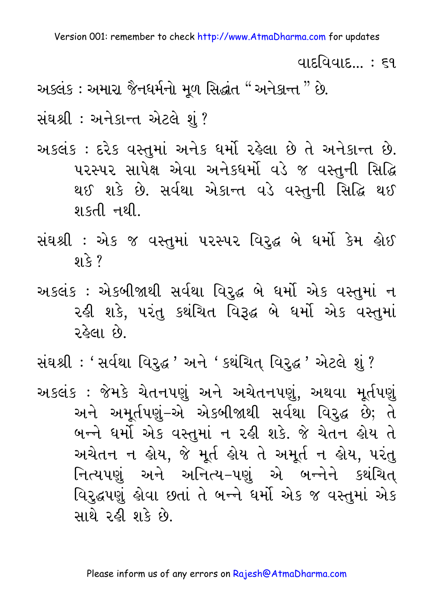વાદવિવાદ $\ldots$  : ૬૧

અક્લંક : અમારા જૈનધર્મનો મળ સિદ્ધાંત "અનેકાન્ત " છે.

સંઘશ્રી: અનેકાન્ત એટલે શં?

- અકલંક : દરેક વસ્તુમાં અનેક ધર્મો રહેલા છે તે અનેકાન્ત છે. ૫૨સ્પર સાપેક્ષ એવા અનેક્ઘર્મો વડે જ વસ્તુની સિદ્ધિ થઈ શકે છે. સર્વથા એકાન્ત વડે વસ્તુની સિદ્ધિ થઈ શકતી નથી
- સંઘશ્રી : એક જ વસ્તુમાં પરસ્પર વિરુદ્ધ બે ધર્મો કેમ હોઈ શકે ?
- અકલંક : એકબીજાથી સર્વથા વિરૃદ્ધ બે ધર્મો એક વસ્તુમાં ન રહી શકે, પરંતુ કથંચિત વિરૂદ્ધ બે ધર્મો એક વસ્તુમાં રહેલા છે.

સંઘશ્રી : ' સર્વથા વિરુદ્ધ ' અને ' કથંચિત્ વિરુદ્ધ ' એટલે શું ? અકલંક : જેમકે ચેતનપણું અને અચેતનપણું, અથવા મુર્તપણું અને અમૂર્તપણું–એ એકબીજાથી સર્વથા વિરૃદ્ધ છે; તે બન્ને ધર્મો એક વસ્તુમાં ન રહી શકે. જે ચેતન હોય તે અચેતન ન હોય, જે મૂર્ત હોય તે અમૂર્ત ન હોય, પરંતુ નિત્યપણું અને અનિત્ય–પણું એ બન્નેને કથંચિત્ વિરુદ્ધપણું હોવા છતાં તે બન્ને ધર્મો એક જ વસ્તુમાં એક સાથે રહી શકે છે.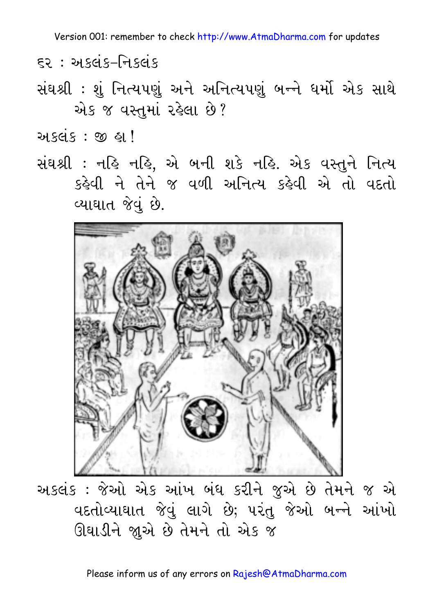- $52:$  અકલંક–નિકલંક
- સંઘશ્રી : શું નિત્યપણું અને અનિત્યપણું બન્ને ધર્મો એક સાથે એક જ વસ્તુમાં રહેલા છે?

અકલંક : જી હા!

સંઘશ્રી : નહિ નહિ, એ બની શકે નહિ. એક વસ્તુને નિત્ય કહેવી ને તેને જ વળી અનિત્ય કહેવી એ તો વદતો વ્યાઘાત જેવું છે.



અકલંક : જેઓ એક આંખ બંધ કરીને જુએ છે તેમને જ એ વદતોવ્યાઘાત જેવું લાગે છે; પરંતુ જેઓ બન્ને આંખો ઊઘાડીને જાુએ છે તેમને તો એક જ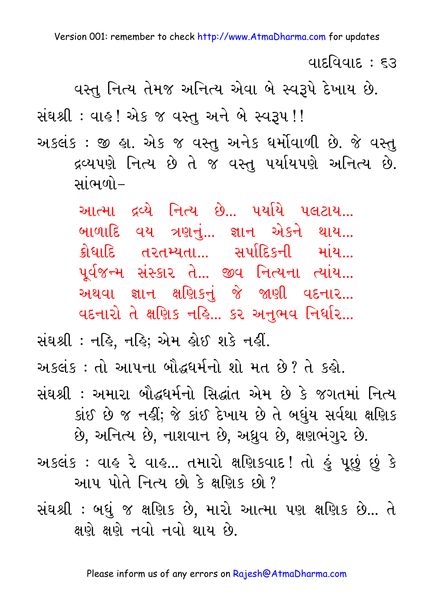વાદવિવાદ : દર

વસ્તુ નિત્ય તેમજ અનિત્ય એવા બે સ્વરૂપે દેખાય છે.

સંઘશ્રી : વાહ! એક જ વસ્તુ અને બે સ્વરૂપ !!

અકલંક : જી હ્રા. એક જ વસ્તુ અનેક ધર્મોવાળી છે. જે વસ્તુ દ્રવ્યપણે નિત્ય છે તે જ વસ્તુ પર્યાયપણે અનિત્ય છે. સાંભળો–

> આત્મા દ્રવ્યે નિત્ય છે... પર્યાયે પલટાય... બાળાદિ વય ત્રણનં... જ્ઞાન એકને થાય... ક્રોધાદિ તરતમ્યતા... સર્પાદિકની માંય... પર્વજન્મ સંસ્કાર તે... જીવ નિત્યના ત્યાંય... અથવા જ્ઞાન ક્ષણિકનું જે જાણી વદનાર... વદનારો તે ક્ષણિક નહિ... કર અનુભવ નિર્ધાર...

સંઘશ્રી : નહિ, નહિ; એમ હોઈ શકે નહીં.

અકલંક : તો આપના બૌદ્ધધર્મનો શો મત છે? તે કહો.

સંઘશ્રી : અમારા બૌદ્ધર્મનો સિદ્ધાંત એમ છે કે જગતમાં નિત્ય કાંઈ છે જ નહીં; જે કાંઈ દેખાય છે તે બધુંય સર્વથા ક્ષણિક છે, અનિત્ય છે, નાશવાન છે, અઘ્રુવ છે, ક્ષણભંગુર છે.

અકલંક : વાહ રે વાહ... તમારો ક્ષણિકવાદ! તો હું પૂછું છું કે આપ પોતે નિત્ય છો કે ક્ષણિક છો?

સંઘશ્રી: બધું જ ક્ષણિક છે, મારો આત્મા પણ ક્ષણિક છે... તે ક્ષણે ક્ષણે નવો નવો થાય છે.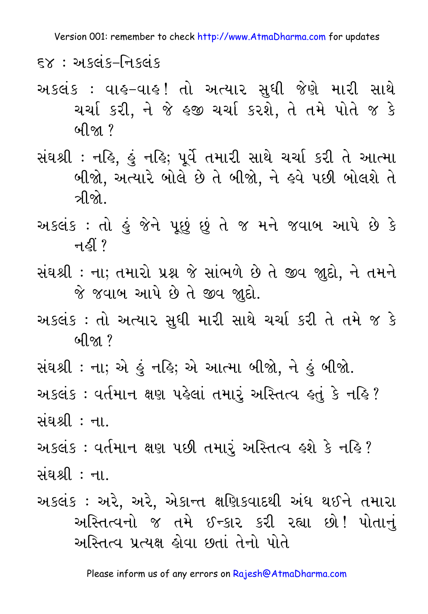$5x : 315 - 915$ 

- અકલંક : વાહ-વાહ! તો અત્યાર સુધી જેણે મારી સાથે ચર્ચા કરી, ને જે હજી ચર્ચા કરશે, તે તમે પોતે જ કે <u>બીજા ?</u>
- સંઘશ્રી : નહિ, હું નહિ; પૂર્વે તમારી સાથે ચર્ચા કરી તે આત્મા બીજો, અત્યારે બોલે છે તે બીજો, ને હવે પછી બોલશે તે ત્રીજો⊥
- અકલંક : તો હું જેને પૂછું છું તે જ મને જવાબ આપે છે કે ন $S<sub>l</sub>$  ?
- સંઘશ્રી: ના; તમારો પ્રશ્ન જે સાંભળે છે તે જીવ જાુદો, ને તમને જે જવાબ આપે છે તે જીવ જાદો.
- અકલંક : તો અત્યાર સુધી મારી સાથે ચર્ચા કરી તે તમે જ કે બીજા $?$
- સંઘશ્રી : ના; એ હું નહિ; એ આત્મા બીજો, ને હું બીજો. અકલંક : વર્તમાન ક્ષણ પહેલાં તમારૃં અસ્તિત્વ હતું કે નહિ ? સંઘશ્રી : ના
- અકલંક : વર્તમાન ક્ષણ પછી તમારું અસ્તિત્વ હશે કે નહિ? સંઘશ્રી : ના.
- અકલંક : અરે, અરે, એકાન્ત ક્ષણિકવાદથી અંધ થઈને તમારા અસ્તિત્વનો જ તમે ઈન્કાર કરી રહ્યા છો! પોતાનું અસ્તિત્વ પ્રત્યક્ષ કોવા છતાં તેનો પોતે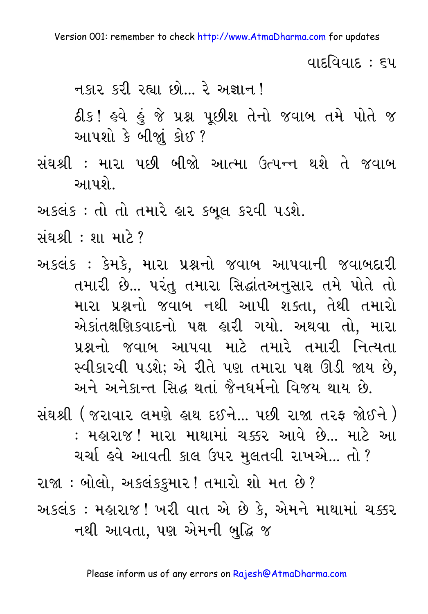વાદવિવાદ : ૬૫

નકાર કરી રહ્યા છો... રે અજ્ઞાન !

ઠીક! હવે હું જે પ્રશ્ન પૂછીશ તેનો જવાબ તમે પોતે જ આપશો કે બીજાું કોઈ?

સંઘશ્રી : મારા પછી બીજો આત્મા ઉત્પન્ન થશે તે જવાબ આપશે

અકલંક : તો તો તમારે હાર કબલ કરવી ૫ડશે.

<u> સંઘશ્રી: શા માટે?</u>

અકલંક : કેમકે. મારા પ્રશ્નનો જવાબ આપવાની જવાબદારી તમારી છે... પરંતુ તમારા સિદ્ધાંતઅનુસાર તમે પોતે તો મારા પ્રશ્નનો જવાબ નથી આપી શક્તા. તેથી તમારો એકાંતક્ષણિકવાદનો પક્ષ હારી ગયો. અથવા તો, મારા પ્રશ્નનો જવાબ આપવા માટે તમારે તમારી નિત્યતા સ્વીકારવી પડશે; એ રીતે પણ તમારા પક્ષ ઊડી જાય છે. અને અનેકાન્ત સિદ્ધ થતાં જૈનઘર્મનો વિજય થાય છે.

સંઘશ્રી ( જરાવાર લમણે હાથ દઈને… પછી રાજા તરફ જોઈને ) : મહારાજ! મારા માથામાં ચક્કર આવે છે... માટે આ

ચર્ચા હવે આવતી કાલ ઉપર મુલતવી રાખએ... તો ?

રાજા : બોલો, અકલંકડ્રમાર ! તમારો શો મત છે ? અકલંક : મહારાજ ! ખરી વાત એ છે કે, એમને માથામાં ચક્કર નથી આવતા, પણ એમની બુદ્ધિ જ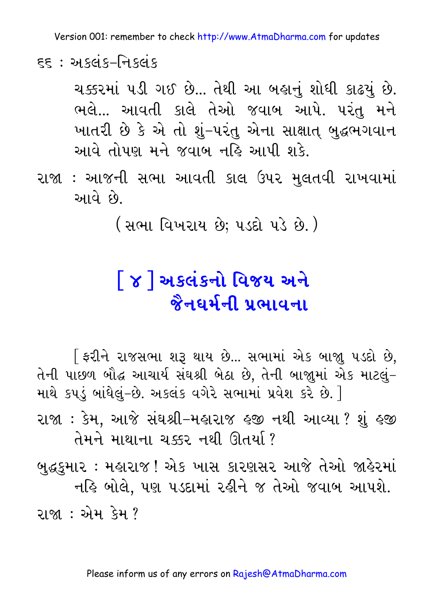$55 - 3$  અકલંક–નિકલંક

ચક્કરમાં ૫ડી ગઈ છે... તેથી આ બહાનું શોધી કાઢયું છે. ભલે... આવતી કાલે તેઓ જવાબ આપે. પરંતુ મને ખાતરી છે કે એ તો શું–પરંતુ એના સાક્ષાત્ બુદ્ધભગવાન આવે તોપણ મને જવાબ નહિ આપી શકે.

રાજા : આજની સભા આવતી કાલ ઉપર મુલતવી રાખવામાં આવે છે.

( સભા વિખરાય છે; પડદો પડે છે. )

## <u>| ૪ | અકલંકનો વિજય અને</u> <u> જૈનઘર્મની પ્રભાવના</u>

[ ફરીને રાજસભા શરૂ થાય છે... સભામાં એક બાજા પડદો છે. તેની પાછળ બૌદ્ધ આચાર્ય સંઘશ્રી બેઠા છે, તેની બાજાુમાં એક માટલું-માથે કપડું બાંધેલું-છે. અકલંક વગેરે સભામાં પ્રવેશ કરે છે. ] રાજા : કેમ, આજે સંઘશ્રી-મહારાજ હજી નથી આવ્યા ? શું હજી तेमने भाथाना ચક્કર नथी ઊતર્યા?

બુદ્ધકુમાર : મહારાજ ! એક ખાસ કારણસર આજે તેઓ જાહેરમાં નહિ બોલે. પણ પડદામાં રહીને જ તેઓ જવાબ આપશે. રાજા : એમ કેમ <sup>?</sup>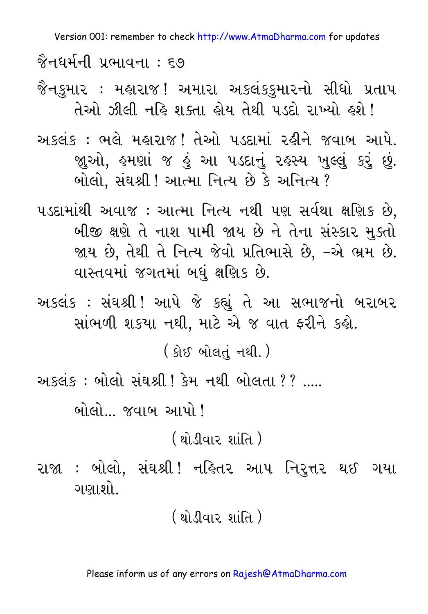જૈનઘર્મની પ્રભાવના : ૬૭

જૈનકમાર : મહારાજ! અમારા અકલંકકમારનો સીધો પ્રતાપ તેઓ ઝીલી નહિ શક્તા હોય તેથી ૫ડદો રાખ્યો હશે !

અકલંક : ભલે મહારાજ! તેઓ પડદામાં રહીને જવાબ આપે. જાઓ, હમણાં જ હું આ પડદાનું રહસ્ય ખુલ્લું કરું છું. બોલો, સંઘશ્રી ! આત્મા નિત્ય છે કે અનિત્ય ?

૫ડદામાંથી અવાજ : આત્મા નિત્ય નથી પણ સર્વથા ક્ષણિક છે, બીજી ક્ષણે તે નાશ પામી જાય છે ને તેના સંસ્કાર મુક્તો જાય છે, તેથી તે નિત્ય જેવો પ્રતિભાસે છે, –એ ભ્રમ છે. વાસ્તવમાં જગતમાં બધું ક્ષણિક છે.

અકલંક : સંઘશ્રી! આપે જે કહ્યું તે આ સભાજનો બરાબર સાંભળી શકયા નથી, માટે એ જ વાત ફરીને કહો.

( કોઈ બોલતું નથી.)

અકલંક: બોલો સંઘશ્રી ! કેમ નથી બોલતા ?? .....

બોલો... જવાબ આપો !

<u>( થોડીવાર શાંતિ )</u>

રાજા : બોલો, સંઘશ્રી! નહિતર આપ નિરુત્તર થઈ ગયા ગણાશો..

<u>(શોડીવાર શાંતિ)</u>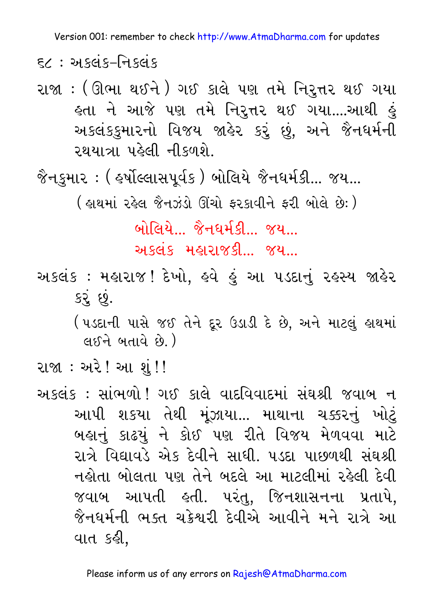$52 : 315 - 715$ 

રાજા : (ઊભા થઈને) ગઈ કાલે પણ તમે નિરૂત્તર થઈ ગયા હતા ને આજે પણ તમે નિર્**ત્તર થઈ ગયા....આ**થી <u>હુ</u>ં અકલંકકુમારનો વિજય જાહેર કરું છું, અને જૈનઘર્મની રથયાત્રા પહેલી નીકળશે

( હાથમાં રહેલ જૈનઝંડો ઊંચો ફરકાવીને ફરી બોલે છે: )

બોલિયે… જૈનધર્મકી… જય…

અકલંક મહારાજકી... જય...

અકલંક : મહારાજ ! દેખો, હવે હું આ પડદાનું રહસ્ય જાહેર કરે છે.

( પડદાની પાસે જઈ તેને દૂર ઉડાડી દે છે, અને માટલું હાથમાં  $(453 - 641)$ 

રાજા : અરે ! આ શું ! !

અકલંક: સાંભળો! ગઈ કાલે વાદવિવાદમાં સંઘશ્રી જવાબ ન આપી શકયા તેથી મૂંઝાયા... માથાના ચક્કરનું ખોટું બહાનું કાઢયું ને કોઈ પણ રીતે વિજય મેળવવા માટે રાત્રે વિદ્યાવડે એક દેવીને સાધી. પડદા પાછળથી સંઘશ્રી નહોતા બોલતા પણ તેને બદલે આ માટલીમાં રહેલી દેવી જવાબ આપતી હતી. પરંતુ. જિનશાસનના પ્રતાપે. જૈનધર્મની ભક્ત ચક્રેશરી દેવીએ આવીને મને રાત્રે આ વાત કહી.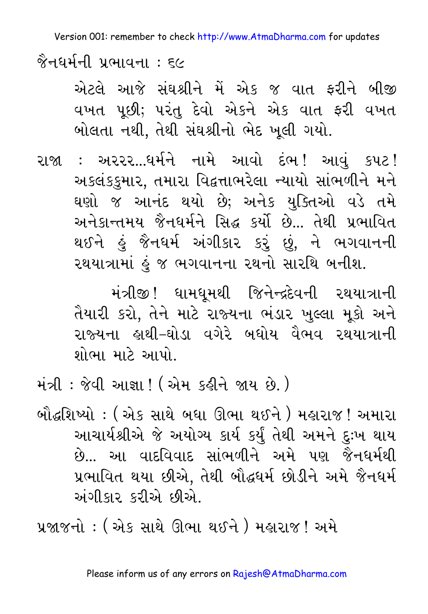જૈનઘર્મની પ્રભાવના : ૬૯

એટલે આજે સંઘશ્રીને મેં એક જ વાત ફરીને બીજી વખત પૂછી; પરંતુ દેવો એકને એક વાત ફરી વખત બોલતા નથી, તેથી સંઘશ્રીનો ભેદ ખૂલી ગયો.

રાજા : અરરર...ધર્મને નામે આવો દંભ! આવં કપટ! અકલંકકુમાર, તમારા વિદ્વત્તાભરેલા ન્યાયો સાંભળીને મને ઘણો જ આનંદ થયો છે; અનેક યુક્તિઓ વડે તમે અનેકાન્તમય જૈનધર્મને સિદ્ધ કર્યો છે... તેથી પ્રભાવિત થઈને હું જૈનધર્મ અંગીકાર કરું છું, ને ભગવાનની રથયાત્રામાં હું જ ભગવાનના રથનો સારથિ બનીશ.

> મંત્રીજી !ધામધમથી જિનેન્દ્રદેવની રથયાત્રાની તૈયારી કરો, તેને માટે રાજ્યના ભંડાર ખુલ્લા મુકો અને રાજ્યના હાથી–ઘોડા વગેરે બધોય વૈભવ રથયાત્રાની શોભા માટે આપો.

મંત્રી : જેવી આજ્ઞા ! ( એમ કઢીને જાય છે. )

બૌદ્ધશિષ્યો : ( એક સાથે બધા ઊભા થઈને ) મહારાજ ! અમારા આચાર્યશ્રીએ જે અયોગ્ય કાર્ય કર્યું તેથી અમને દુઃખ થાય છે... આ વાદવિવાદ સાંભળીને અમે પણ જૈનધર્મથી પ્રભાવિત થયા છીએ, તેથી બૌદ્ધર્મ છોડીને અમે જૈનધર્મ અંગીકાર કરીએ છીએ.

પ્રજાજનો : ( એક સાથે ઊભા થઈને ) મહારાજ ! અમે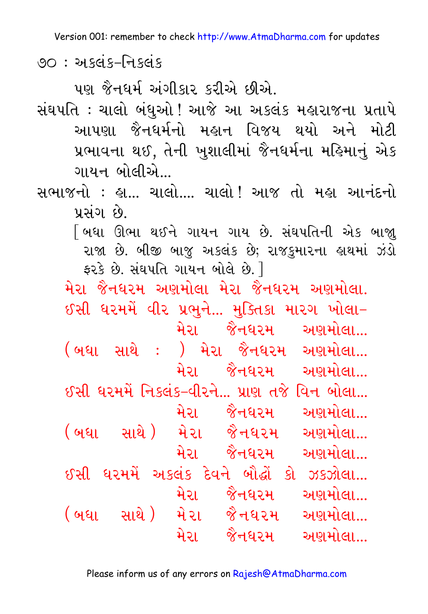90 : અકલંક–નિકલંક

પણ જૈનધર્મ અંગીકાર કરીએ છીએ.

- સંઘપતિ : ચાલો બંધઓ ! આજે આ અકલંક મહારાજના પ્રતાપે આપણા જૈનધર્મનો મહાન વિજય થયો અને મોટી પ્રભાવના થઈ, તેની ખુશાલીમાં જૈનઘર્મના મહિમાનું એક ગાયન બોલીએ...
- સભાજનો : હા... ચાલો.... ચાલો ! આજ તો મહા આનંદનો પ્રસંગ છે.
	- [ બધા ઊભા થઈને ગાયન ગાય છે. સંઘપતિની એક બાજા રાજા છે. બીજી બાજુ અકલંક છે; રાજકુમારના હાથમાં ઝંડો  $52s$  છે. સંઘપતિ ગાયન બોલે છે.  $\overline{\phantom{a}}$

મેરા જૈનઘરમ અણમોલા મેરા જૈનઘરમ અણમોલા. ઈસી ધરમમેં વીર પ્રભુને... મુક્તિકા મારગ ખોલા– મેરા જૈનઘરમ અ<u>ણમોલા...</u>  $($  બધા સાથે : ) મેરા જૈનધરમ અણમોલા... મેરા જૈનધરમ અણમોલા... ઈસી ધરમમેં નિકલંક–વીરને... પ્રાણ તજે વિન બોલા... મેરા જૈનધરમ અણમોલા... (બધા સાથે) મેરા જૈનઘરમ અ<u>ણમોલા...</u> મેરા જૈનઘરમ અણમોલા...  $S3$ સી ધરમમેં અકલંક દેવને બૌદ્ધોં કો ઝકઝોલા... મેરા જૈનધરમ અણમોલા...

(બધા સાથે) મે૨ા જૈનઘ૨મ અ<u>ણમોલા...</u> મેરા જૈનઘરમ અણમોલા...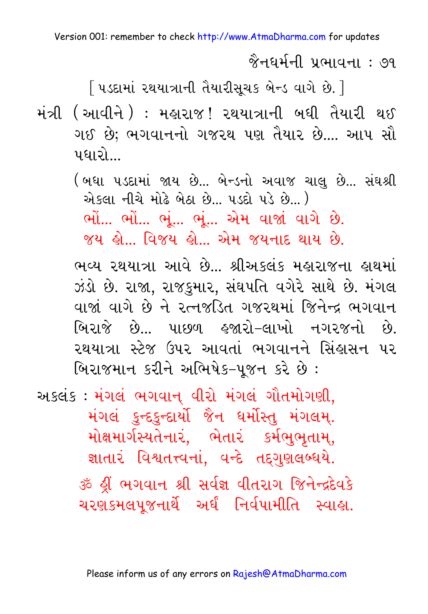<u> જૈનઘર્મની પ્રભાવના : ૭૧</u>

[ પડદામાં રથયાત્રાની તૈયારીસૂચક બેન્ડ વાગે છે. ]

- મંત્રી (આવીને ) : મહારાજ! રથયાત્રાની બધી તૈયારી થઈ ગઈ છે; ભગવાનનો ગજરથ પણ તૈયાર છે.... આપ સૌ પધારો
	- (બધા પડદામાં જાય છે... બેન્ડનો અવાજ ચાલુ છે... સંઘશ્રી એકલા નીચે મોઢે બેઠા છે... પડદો પડે છે...) ભોં... ભોં... ભૂં... ભૂં... એમ વાજાં વાગે છે. જય હો… વિજય હો… એમ જયનાદ થાય છે.

ભવ્ય રથયાત્રા આવે છે... શ્રીઅકલંક મહારાજના હાથમાં ઝંડો છે. રાજા, રાજકુમાર, સંઘપતિ વગેરે સાથે છે. મંગલ વાજાં વાગે છે ને રત્નજડિત ગજરથમાં જિનેન્દ્ર ભગવાન બિરાજે છે... પાછળ હજારો–લાખો નગરજનો છે. રથયાત્રા સ્ટેજ ઉપર આવતાં ભગવાનને સિંહાસન પર બિરાજમાન કરીને અભિષેક-૫જન કરે છે:

અકલંક: મંગલં ભગવાન્ વીરો મંગલં ગૌતમોગણી, મંગલં કુન્દકુન્દાર્યો જૈન ધર્મોસ્તુ મંગલમ્. મોક્ષમાર્ગસ્યતેનારં, ભેતારં કર્મભુભુતામ્, જ્ઞાતારં વિશ્વતત્ત્વનાં, વન્દે તદ્દગુણલબ્ધયે. ॐ શ્રી ભગવાન શ્રી સર્વજ્ઞ વીતરાગ જિનેન્દ્રદેવકે ચરણકમલપુજનાર્થે અર્ધં નિર્વપામીતિ સ્વાહ્ય.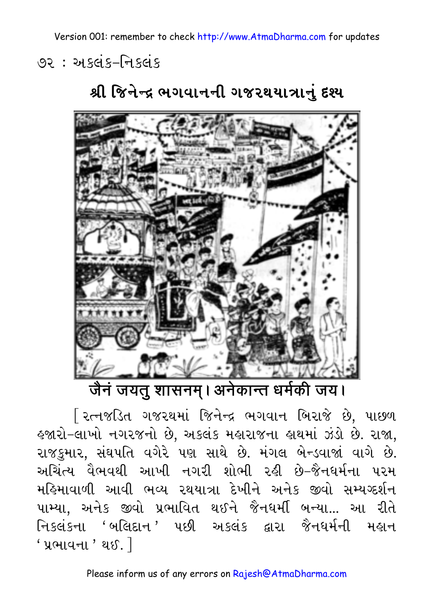૭૨ : અકલંક-નિકલંક



શ્રી જિનેન્દ્ર ભગવાનની ગજરથયાત્રાનું દશ્ય

जैन जयतु शासनम्। अनेकान्त धर्मकी जय।

<u>રિત્નજડિત ગજરથમાં જિનેન્દ્ર ભગવાન બિરાજે છે, પાછળ</u> લ્જારો−લાખો નગરજનો છે, અકલંક મહારાજના લાથમાં ઝંડો છે. રાજા, રાજકમાર, સંઘપતિ વગેરે પણ સાથે છે. મંગલ બેન્ડવાજાં વાગે છે. અચિંત્ય વૈભવથી આખી નગરી શોભી રહી છે-જૈનધર્મના પરમ મહિમાવાળી આવી ભવ્ય રથયાત્રા દેખીને અનેક જીવો સમ્યગ્દર્શન પામ્યા. અનેક જીવો પ્રભાવિત થઈને જૈનધર્મી બન્યા... આ રીતે નિકલંકના 'બલિદાન ' પછી અકલંક દ્વારા જૈનધર્મની મહાન  $'$  પ્રભાવના $'$  થઈ. $\overline{\ }$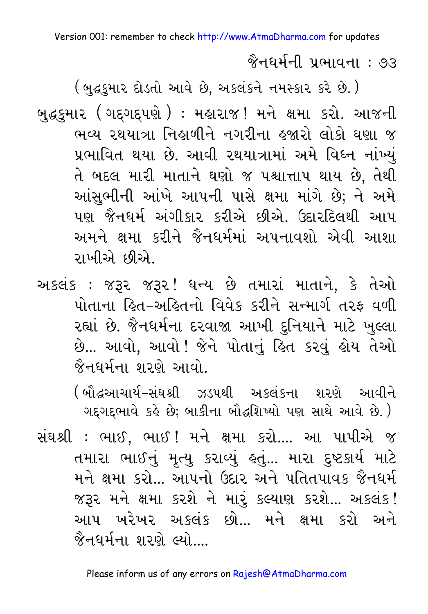$\delta$ નઘર્મની પ્રભાવના : ૭૩

( બુદ્ધકુમાર દોડતો આવે છે, અકલંકને નમસ્કાર કરે છે.)

બુદ્ધકુમા૨ ( ગદ્દગદ્દપણે ): મહારાજ! મને ક્ષમા કરો. આજની ભવ્ય રથયાત્રા નિહાળીને નગરીના હજારો લોકો ઘણા જ પ્રભાવિત થયા છે. આવી રથયાત્રામાં અમે વિઘ્ન નાંખ્યં તે બદલ મારી માતાને ઘણો જ પશ્ચાત્તાપ થાય છે. તેથી આંસુભીની આંખે આપની પાસે ક્ષમા માંગે છે; ને અમે પણ જૈનધર્મ અંગીકાર કરીએ છીએ. ઉદારદિલથી આપ અમને ક્ષમા કરીને જૈનધર્મમાં અપનાવશો એવી આશા રાખીએ છીએ.

અકલંક : જરૂર જરૂર! ધન્ય છે તમારાં માતાને, કે તેઓ <u>પોતાના હિત-અહિતનો વિવેક કરીને સન્માર્ગ તરફ વળી</u> રહ્યાં છે. જૈનધર્મના દરવાજા આખી દુનિયાને માટે ખુલ્લા છે... આવો, આવો ! જેને પોતાનું હિત કરવું હોય તેઓ જૈનધર્મના શરણે આવો.

> (બૌદ્ધઆચાર્ય-સંઘશ્રી ઝડપથી અ<u>કલંકના શરણે આવીને</u> ગદ્દગદ્દભાવે કહે છે; બાકીના બૌદ્ધશિષ્યો પણ સાથે આવે છે.)

સંઘશ્રી : ભાઈ, ભાઈ ! મને ક્ષમા કરો.... આ પાપીએ જ તમારા ભાઈનું મૃત્યુ કરાવ્યું હતું... મારા દુષ્ટકાર્ય માટે મને ક્ષમા કરો... આપનો ઉદાર અને પતિતપાવક જૈનુધર્મ જરૂર મને ક્ષમા કરશે ને મારૂં કલ્યાણ કરશે... અકલંક! આપ ખરેખર અકલંક છો.. મને ક્ષમા કરો અને  $\mathcal{\hat{R}}$ નધર્મના શરણે લ્યો....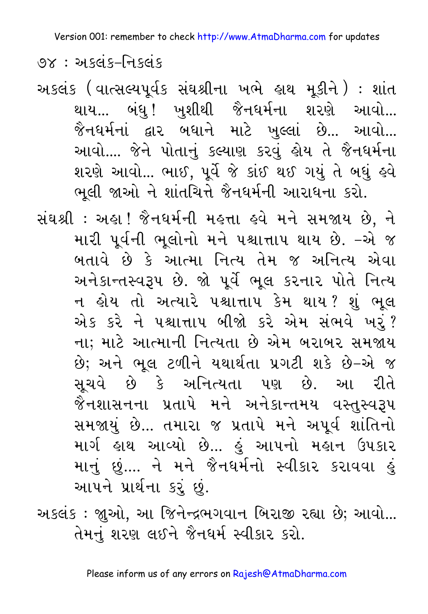७४: અseis-નિકલંક

અકલંક (વાત્સલ્યપૂર્વક સંઘશ્રીના ખભે હાથ મૂકીને) : શાંત થાય... બંધુ! ખુશીથી જૈનધર્મના શરણે આવો... જૈનધર્મનાં દ્વાર બધાને માટે ખુલ્લાં છે... આવો... આવો.... જેને પોતાનું કલ્યાણ કરવું હોય તે જૈનધર્મના શરણે આવો... ભાઈ, પૂર્વે જે કાંઈ થઈ ગયું તે બધું હવે ભૂલી જાઓ ને શાંતચિત્તે જૈનધર્મની આરાધના કરો.

સંઘશ્રી: અહ્રા! જૈનધર્મની મહત્તા હવે મને સમજાય છે, ને મારી પૂર્વની ભૂલોનો મને પશ્ચાત્તાપ થાય છે. –એ જ બતાવે છે કે આત્મા નિત્ય તેમ જ અનિત્ય એવા અનેકાન્તસ્વરૂપ છે. જો પૂર્વે ભૂલ કરનાર પોતે નિત્ય ન હોય તો અત્યારે પશ્ચાત્તાપ કેમ થાય? શું ભૂલ એક કરે ને પશ્ચાત્તાપ બીજો કરે એમ સંભવે ખરું? ના; માટે આત્માની નિત્યતા છે એમ બરાબર સમજાય છે; અને ભૂલ ટળીને યથાર્થતા પ્રગટી શકે છે–એ જ સચવે છે કે અનિત્યતા પણ છે. આ રીતે જૈનશાસનના પ્રતાપે મને અનેકાન્તમય વસ્તુસ્વરૂપ સમજાયું છે... તમારા જ પ્રતાપે મને અપૂર્વ શાંતિનો માર્ગ હાથ આવ્યો છે... હું આપનો મહાન ઉપકાર માનું છું.... ને મને જૈનધર્મનો સ્વીકાર કરાવવા હું આપને પ્રાર્થના કરું છું.

અકલંક : જ્ઞુઓ, આ જિનેન્દ્રભગવાન બિરાજી રહ્યા છે; આવો... તેમનું શરણ લઈને જૈનધર્મ સ્વીકાર કરો.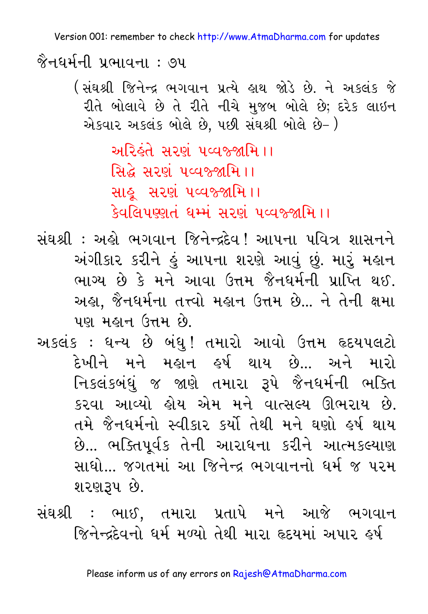જૈનઘર્મની પ્રભાવના : ૭૫

( સંઘશ્રી જિનેન્દ્ર ભગવાન પ્રત્યે હાથ જોડે છે. ને અ.કલંક જે રીતે બોલાવે છે તે રીતે નીચે મુજબ બોલે છે; દરેક લાઇન એકવાર અકલંક બોલે છે, પછી સંઘશ્રી બોલે છે- )

> અરિહંતે સરણ પવ્વજ્જામિ ।। સિદ્ધે સરણ પવ્વજ્જામિ ।। સાહુ સરણં ૫વ્વજ્જામિ ।। डेवलिपण्णतं धर्म्मं सरणं पव्वश्र्श्रमि ।।

- સંઘશ્રી : અહી ભગવાન જિનેન્દ્રદેવ ! આપના પવિત્ર શાસનને અંગીકાર કરીને હું આપના શરણે આવું છું. મારૂં મહાન ભાગ્ય છે કે મને આવા ઉત્તમ જૈનઘર્મની પ્રાપ્તિ થઈ. અહ્ય, જૈનધર્મના તત્ત્વો મહાન ઉત્તમ છે... ને તેની ક્ષમા પણ મહાન ઉત્તમ છે.
- અકલંક : ધન્ય છે બંધુ! તમારો આવો ઉત્તમ હૃદયપલટો <u>દેખીને મને મહાન હર્ષ થાય છે.. અને મારો</u> નિકલંકબંધું જ જાણે તમારા રૂપે જૈનધર્મની ભક્તિ કરવા આવ્યો હોય એમ મને વાત્સલ્ય ઊભરાય છે. તમે જૈનઘર્મનો સ્વીકાર કર્યો તેથી મને ઘણો હર્ષ થાય છે... ભક્તિપૂર્વક તેની આરાધના કરીને આત્મકલ્યાણ સાધો... જગતમાં આ જિનેન્દ્ર ભગવાનનો ધર્મ જ પરમ શરણરૂપ છે.
- સંઘશ્રી : ભાઈ. તમારા પ્રતાપે મને આજે ભગવાન જિનેન્દ્દેવનો ધર્મ મળ્યો તેથી મારા હૃદયમાં અપાર હર્ષ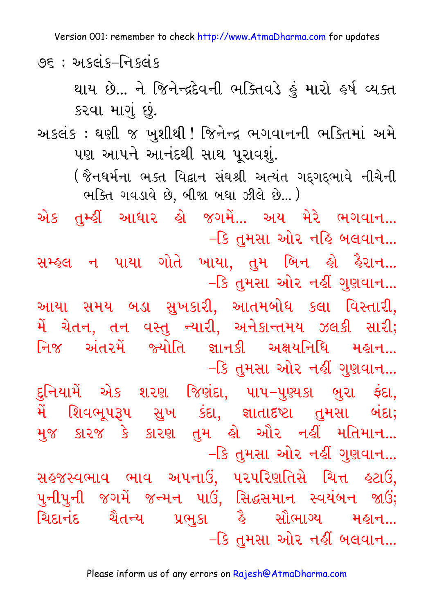95 : અકલંક–નિકલંક

થાય છે... ને જિનેન્દ્રદેવની ભક્તિવડે હું મારો હર્ષ વ્યક્ત કરવા માગું છું.

અકલંક : ઘણી જ ખુશીથી ! જિનેન્દ્ર ભગવાનની ભક્તિમાં અમે પણ આપને આનંદથી સાથ પુરાવશું.

(જૈનધર્મના ભક્ત વિદ્વાન સંઘશ્રી અત્યંત ગદગદભાવે નીચેની ભક્તિ ગવડાવે છે. બીજા બધા ઝીલે છે...)

એક તમ્ફીં આધાર ક્રો જગમેં... અય મેરે ભગવાન... –કિ તુમસા ઓર નહિ બલવાન...

સમ્હલ ન પાયા ગોતે ખાયા, તુમ બિન હો હૈરાન... –કિ તુમસા ઓર નહીં ગુણવાન...

આયા સમય બડા સુખકારી, આતમબોધ કલા વિસ્તારી, મેં ચેતન, તન વસ્તુ ન્યારી, અનેકાન્તમય ઝલકી સારી; નિજ અંતરમેં જ્યોતિ જ્ઞાનકી અક્ષયનિધિ મહાન... –કિ તુમસા ઓર નહીં ગુણવાન...

દુનિયામેં એક શરણ જિણંદા, પાપ–પુણ્યકા બુરા ફંદા, મેં શિવભૂપરૂપ સુખ કંદા, જ્ઞાતાદષ્ટા તુમસા બંદા; મુજ કારજ કે કારણ તુમ લો ઓર નહીં મતિમાન... –કિ તુમસા ઓર નહીં ગુણવાન...

સહ્જસ્વભાવ ભાવ અપનાઉં, પરપરિણતિસે ચિત્ત હટાઉં, પુનીપુની જગમેં જન્મન પાઉં, સિદ્ધસમાન સ્વયંબન જાઉં; icdanHd cEtNy Ýwuka hE saEwaGy mhan... –કિ તુમસા ઓર નહીં બલવાન...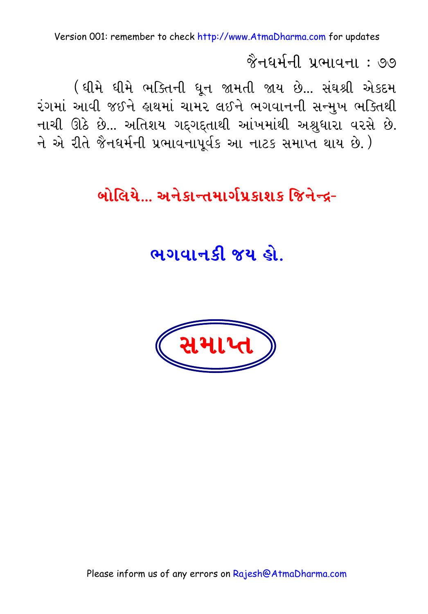<u> જૈનઘર્મની પ્રભાવના : ૭૭</u>

( ઘીમે ઘીમે ભક્તિની ધુન જામતી જાય છે... સંઘશ્રી એકદમ રંગમાં આવી જઈને હાથમાં ચામર લઈને ભગવાનની સન્મુખ ભક્તિથી નાચી ઊઠે છે... અતિશય ગદ્ગદ્દતાથી આંખમાંથી અશ્રુધારા વરસે છે. ને એ રીતે જૈનધર્મની પ્રભાવનાપૂર્વક આ નાટક સમાપ્ત થાય છે.)

## <u> બોલિયે… અનેકાન્તમાર્ગપ્રકાશક જિનેન્દ-</u>

ભગવાનકી જય હો

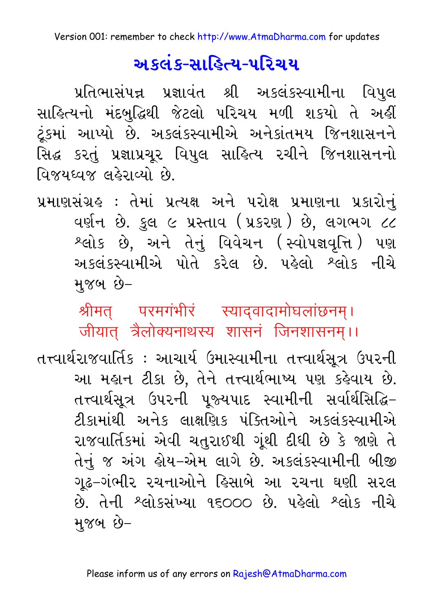## <u>અકલંક-સાહિત્ય-પરિચય</u>

પ્રતિભાસંપન્ન પ્રજ્ઞાવંત શ્રી અકલંકસ્વામીના વિપુલ સાહિત્યનો મંદબુદ્ધિથી જેટલો પરિચય મળી શકયો તે અહીં ટૂંકમાં આપ્યો છે. અકલંકસ્વામીએ અનેકાંતમય જિનશાસનને સિદ્ધ કરતું પ્રજ્ઞાપ્રચૂર વિપુલ સાહિત્ય રચીને જિનશાસનનો વિજયધ્વજ લહેરાવ્યો છે.

પ્રમાણસંગ્રહ : તેમાં પ્રત્યક્ષ અને પરોક્ષ પ્રમાણના પ્રકારોનું વર્ણન છે. કુલ ૯ પ્રસ્તાવ (પ્રકરણ) છે, લગભગ ૮૮ શ્લોક છે, અને તેનું વિવેચન (સ્વોપજ્ઞવૃત્તિ) પણ અકલંકસ્વામીએ પોતે કરેલ છે. પહેલો શ્લોક નીચે મજબ છે–

श्रीमत् परमगंभीरं स्याद्वादामोघलांछनम्। जीयात् त्रैलोक्यनाथस्य शासनं जिनशासनम्।।

તત્ત્વાર્થરાજવાર્તિક : આચાર્ય ઉમાસ્વામીના તત્ત્વાર્થસૂત્ર ઉપરની આ મહાન ટીકા છે, તેને તત્ત્વાર્થભાષ્ય પણ કહેવાય છે. તત્ત્વાર્થસૂત્ર ઉપરની પુજ્યપાદ સ્વામીની સર્વાર્થસિદ્ધિ– ટીકામાંથી અનેક લાક્ષણિક પંક્તિઓને અકલંકસ્વામીએ રાજવાર્તિકમાં એવી ચતુરાઈથી ગૂંથી દીધી છે કે જાણે તે તેનું જ અંગ હોય–એમ લાગે છે. અકલંકસ્વામીની બીજી ગઢ–ગંભીર રચનાઓને હિસાબે આ રચના ઘણી સરલ છે. તેની શ્લોકસંખ્યા ૧૬૦૦૦ છે. પહેલો શ્લોક નીચે મુજબ છે–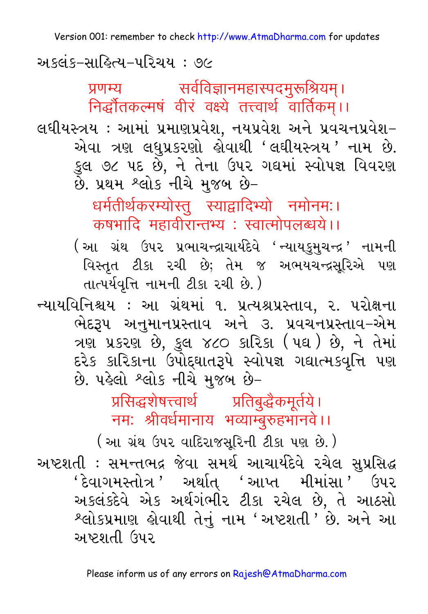અકલંક-સાહિત્ય-પરિચય : ૭૯

सर्वविज्ञानमहास्पदमुरूश्रियम्। प्रणम्य निर्द्धौतकल्मषं वीरं वक्ष्ये तत्त्वार्थ वार्तिकम्।।

લઘીયસ્ત્રય : આમાં પ્રમાણપ્રવેશ, નયપ્રવેશ અને પ્રવચનપ્રવેશ-એવા ત્રણ લઘુપ્રકરણો કોવાથી 'લઘીયસ્ત્રય ' નામ છે. કુલ ૭૮ ૫દ છે, ને તેના ઉપર ગઘમાં સ્વોપજ્ઞ વિવરણ છે. પ્રથમ શ્લોક નીચે મુજબ છે-

> धर्मतीर्थकरम्योस्तु स्याद्वादिभ्यो नमोनमः। कषभादि महावीरान्तभ्य : स्वात्मोपलब्धये।।

(આ ગ્રંથ ઉપર પ્રભાચન્દ્રાચાર્યદેવે 'ન્યાયકુમુચન્દ્ર ' નામની વિસ્તૃત ટીકા રચી છે; તેમ જ અભયચન્દ્રસૂરિએ પણ તાત્પર્યવૃત્તિ નામની ટીકા રચી છે.)

ન્યાયવિનિશ્ચય : આ ગ્રંથમાં ૧. પ્રત્યશ્રપ્રસ્તાવ, ૨. પરોક્ષના ભેદરૂપ અનુમાનપ્રસ્તાવ અને ૩. પ્રવચનપ્રસ્તાવ–એમ ત્રણ પ્રકરણ છે, કુલ ૪૮૦ કારિકા (૫ઘ) છે, ને તેમાં દરેક કારિકાના ઉપોદ્દઘાતરૂપે સ્વોપજ્ઞ ગદ્યાત્મકવૃત્તિ પણ છે. પહેલો શ્લોક નીચે મુજબ છે-

> प्रसिद्धशेषत्त्वार्थ प्रतिबुद्धैकमूर्तये। नम: श्रीवर्धमानाय भव्याम्बुरुहभानवे।।

(આ ગ્રંથ ઉપર વાદિરાજસૂરિની ટીકા પણ છે.) અષ્ટશતી : સમન્તભદ્ર જેવા સમર્થ આચાર્યદેવે રચેલ સુપ્રસિદ્ધ 'દેવાગમસ્તોત્ર ' અર્થાત 'આપ્ત મીમાંસા ' ઉપર અકલંકદેવે એક અર્થગંભીર ટીકા રચેલ છે, તે આઠસો શ્લોકપ્રમાણ હોવાથી તેનું નામ 'અષ્ટશતી ' છે. અને આ અષ્ટશતી ઉપર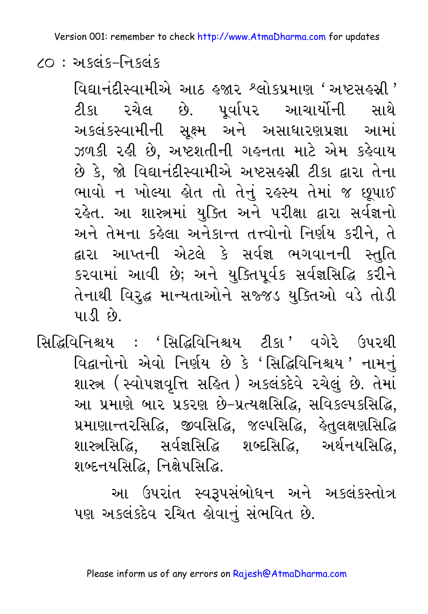$20:$  अस्तुं s-नि प्रतंश

વિદ્યાનંદીસ્વામીએ આઠ હજાર શ્લોકપ્રમાણ 'અષ્ટસહસી ' ટીકા રચેલ છે. પુર્વાપર આચાર્યોની સાથે અકલંકસ્વામીની સૂક્ષ્મ અને અસાધારણપ્રજ્ઞા આમાં ઝળકી રહી છે. અષ્ટશતીની ગહનતા માટે એમ કહેવાય છે કે, જો વિદ્યાનંદીસ્વામીએ અષ્ટસહસ્રી ટીકા દ્વારા તેના ભાવો ન ખોલ્યા હોત તો તેનું રહસ્ય તેમાં જ છૂપાઈ રહેત. આ શાસ્ત્રમાં યુક્તિ અને પરીક્ષા દ્વારા સર્વજ્ઞનો અને તેમના કહેલા અનેકાન્ત તત્ત્વોનો નિર્ણય કરીને, તે દ્વારા આપ્તની એટલે કે સર્વજ્ઞ ભગવાનની સ્તુતિ કરવામાં આવી છે; અને યુક્તિપૂર્વક સર્વજ્ઞસિદ્ધિ કરીને તેનાથી વિરુદ્ધ માન્યતાઓને સજ્જડ યુક્તિઓ વડે તોડી  $41.5$   $6$ .

સિદ્ધિવિનિશ્ચય : 'સિદ્ધિવિનિશ્ચય ટીકા ' વગેરે ઉપરથી વિદ્વાનોનો એવો નિર્ણય છે કે 'સિદ્ધિવિનિશ્ચય ' નામનું શાસ્ત્ર (સ્વોપજ્ઞવૃત્તિ સહિત ) અકલંકદેવે રચેલું છે. તેમાં આ પ્રમાણે બાર પ્રકરણ છે-પ્રત્યક્ષસિદ્ધિ, સવિકલ્પકસિદ્ધિ, પ્રમાણાન્તરસિદ્ધિ, જીવસિદ્ધિ, જલ્પસિદ્ધિ, લેતુલક્ષણસિદ્ધિ શાસ્ત્રસિદ્ધિ. સર્વજ્ઞસિદ્ધિ શબ્દસિદ્ધિ. અર્થનયસિદ્ધિ. શબ્દનયસિદ્ધિ, નિક્ષેપસિદ્ધિ.

> આ ઉપરાંત સ્વરૂપસંબોધન અને અકલંકસ્તોત્ર પણ અકલંકદેવ રચિત હોવાનું સંભવિત છે.